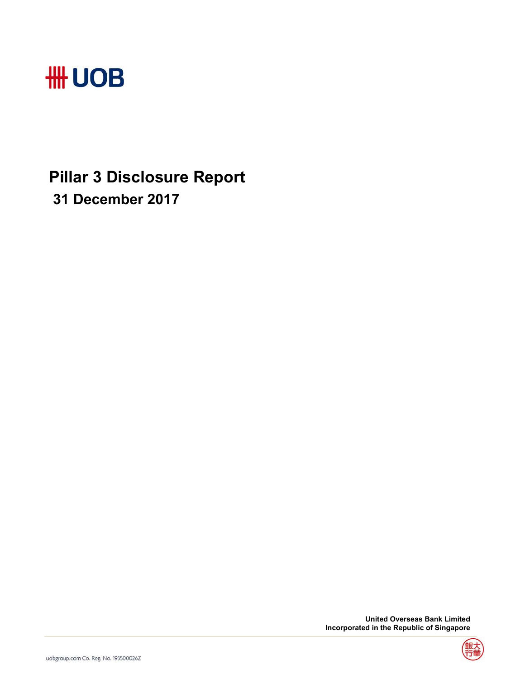

## **Pillar 3 Disclosure Report 31 December 2017**

 **United Overseas Bank Limited Incorporated in the Republic of Singapore** 

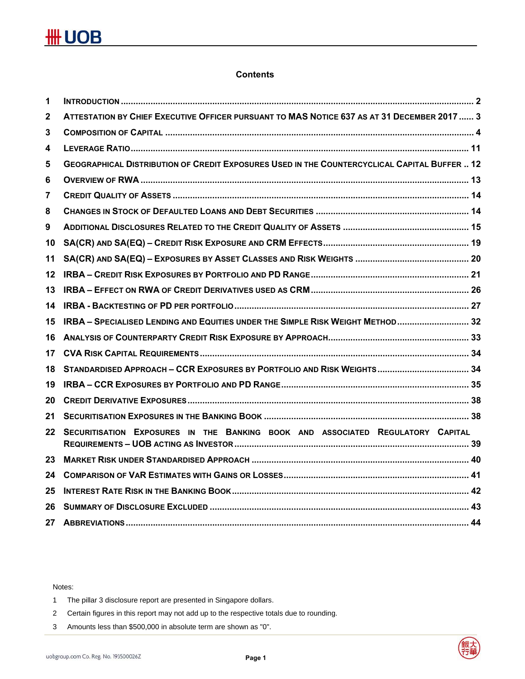### **Contents**

| 1            |                                                                                                     |  |
|--------------|-----------------------------------------------------------------------------------------------------|--|
| $\mathbf{2}$ | ATTESTATION BY CHIEF EXECUTIVE OFFICER PURSUANT TO MAS NOTICE 637 AS AT 31 DECEMBER 2017  3         |  |
| 3            |                                                                                                     |  |
| 4            |                                                                                                     |  |
| 5            | <b>GEOGRAPHICAL DISTRIBUTION OF CREDIT EXPOSURES USED IN THE COUNTERCYCLICAL CAPITAL BUFFER  12</b> |  |
| 6            |                                                                                                     |  |
| 7            |                                                                                                     |  |
| 8            |                                                                                                     |  |
| 9            |                                                                                                     |  |
| 10           |                                                                                                     |  |
| 11           |                                                                                                     |  |
| $12 \,$      |                                                                                                     |  |
| 13           |                                                                                                     |  |
| 14           |                                                                                                     |  |
| 15           | IRBA - SPECIALISED LENDING AND EQUITIES UNDER THE SIMPLE RISK WEIGHT METHOD 32                      |  |
| 16           |                                                                                                     |  |
| 17           |                                                                                                     |  |
| 18           |                                                                                                     |  |
| 19           |                                                                                                     |  |
| 20           |                                                                                                     |  |
| 21           |                                                                                                     |  |
| 22           | SECURITISATION EXPOSURES IN THE BANKING BOOK AND ASSOCIATED REGULATORY CAPITAL                      |  |
| 23           |                                                                                                     |  |
| 24           |                                                                                                     |  |
| 25           |                                                                                                     |  |
| 26           |                                                                                                     |  |
| 27           |                                                                                                     |  |

Notes:

- 1 The pillar 3 disclosure report are presented in Singapore dollars.
- 2 Certain figures in this report may not add up to the respective totals due to rounding.
- 3 Amounts less than \$500,000 in absolute term are shown as "0".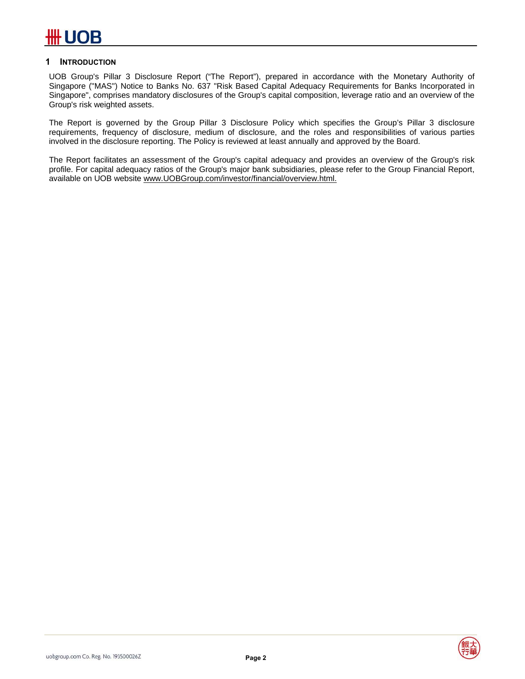### **1 INTRODUCTION**

UOB Group's Pillar 3 Disclosure Report ("The Report"), prepared in accordance with the Monetary Authority of Singapore ("MAS") Notice to Banks No. 637 "Risk Based Capital Adequacy Requirements for Banks Incorporated in Singapore", comprises mandatory disclosures of the Group's capital composition, leverage ratio and an overview of the Group's risk weighted assets.

The Report is governed by the Group Pillar 3 Disclosure Policy which specifies the Group's Pillar 3 disclosure requirements, frequency of disclosure, medium of disclosure, and the roles and responsibilities of various parties involved in the disclosure reporting. The Policy is reviewed at least annually and approved by the Board.

The Report facilitates an assessment of the Group's capital adequacy and provides an overview of the Group's risk profile. For capital adequacy ratios of the Group's major bank subsidiaries, please refer to the Group Financial Report, available on UOB website www.UOBGroup.com/investor/financial/overview.html.

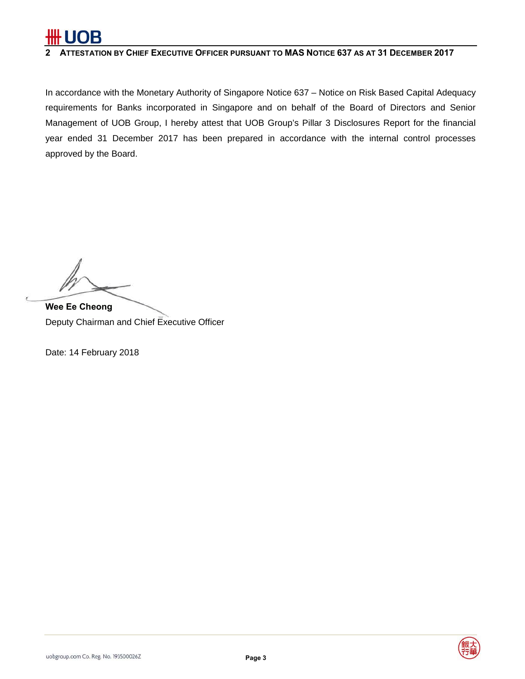

### **2 ATTESTATION BY CHIEF EXECUTIVE OFFICER PURSUANT TO MAS NOTICE 637 AS AT 31 DECEMBER 2017**

In accordance with the Monetary Authority of Singapore Notice 637 – Notice on Risk Based Capital Adequacy requirements for Banks incorporated in Singapore and on behalf of the Board of Directors and Senior Management of UOB Group, I hereby attest that UOB Group's Pillar 3 Disclosures Report for the financial year ended 31 December 2017 has been prepared in accordance with the internal control processes approved by the Board.

**Wee Ee Cheong**  Deputy Chairman and Chief Executive Officer

Date: 14 February 2018



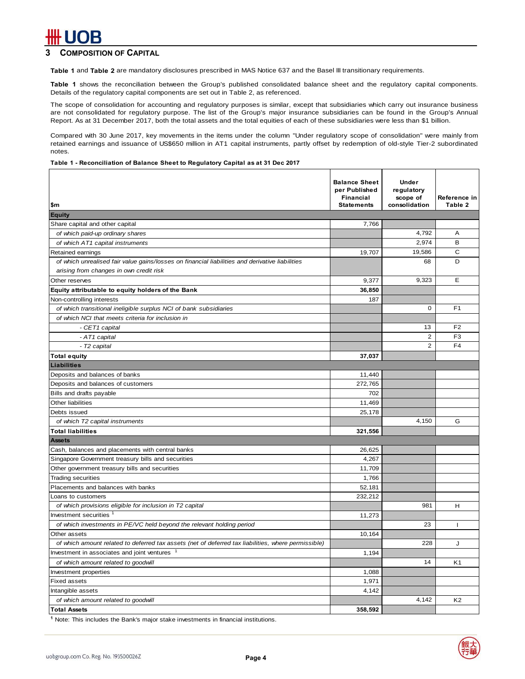### **COMPOSITION OF CAPITAL**

**Table 1** and **Table 2** are mandatory disclosures prescribed in MAS Notice 637 and the Basel III transitionary requirements.

**Table 1** shows the reconciliation between the Group's published consolidated balance sheet and the regulatory capital components. Details of the regulatory capital components are set out in Table 2, as referenced.

The scope of consolidation for accounting and regulatory purposes is similar, except that subsidiaries which carry out insurance business are not consolidated for regulatory purpose. The list of the Group's major insurance subsidiaries can be found in the Group's Annual Report. As at 31 December 2017, both the total assets and the total equities of each of these subsidiaries were less than \$1 billion.

Compared with 30 June 2017, key movements in the items under the column "Under regulatory scope of consolidation" were mainly from retained earnings and issuance of US\$650 million in AT1 capital instruments, partly offset by redemption of old-style Tier-2 subordinated notes.

#### **Table 1 - Reconciliation of Balance Sheet to Regulatory Capital as at 31 Dec 2017**

| \$m                                                                                                 | <b>Balance Sheet</b><br>per Published<br><b>Financial</b><br><b>Statements</b> | <b>Under</b><br>regulatory<br>scope of<br>consolidation | Reference in<br>Table 2 |
|-----------------------------------------------------------------------------------------------------|--------------------------------------------------------------------------------|---------------------------------------------------------|-------------------------|
| <b>Equity</b>                                                                                       |                                                                                |                                                         |                         |
| Share capital and other capital                                                                     | 7,766                                                                          |                                                         |                         |
| of which paid-up ordinary shares                                                                    |                                                                                | 4,792                                                   | A                       |
| of which AT1 capital instruments                                                                    |                                                                                | 2,974                                                   | в                       |
| Retained earnings                                                                                   | 19,707                                                                         | 19,586                                                  | C                       |
| of which unrealised fair value gains/losses on financial liabilities and derivative liabilities     |                                                                                | 68                                                      | D                       |
| arising from changes in own credit risk                                                             |                                                                                |                                                         |                         |
| Other reserves                                                                                      | 9,377                                                                          | 9,323                                                   | E                       |
| Equity attributable to equity holders of the Bank                                                   | 36,850                                                                         |                                                         |                         |
| Non-controlling interests                                                                           | 187                                                                            |                                                         |                         |
| of which transitional ineligible surplus NCI of bank subsidiaries                                   |                                                                                | 0                                                       | F <sub>1</sub>          |
| of which NCI that meets criteria for inclusion in                                                   |                                                                                |                                                         |                         |
| - CET1 capital                                                                                      |                                                                                | 13                                                      | F <sub>2</sub>          |
| - AT1 capital                                                                                       |                                                                                | $\overline{2}$                                          | F <sub>3</sub>          |
| - T2 capital                                                                                        |                                                                                | $\overline{2}$                                          | F <sub>4</sub>          |
| <b>Total equity</b>                                                                                 | 37,037                                                                         |                                                         |                         |
| <b>Liabilities</b>                                                                                  |                                                                                |                                                         |                         |
| Deposits and balances of banks                                                                      | 11,440                                                                         |                                                         |                         |
| Deposits and balances of customers                                                                  | 272,765                                                                        |                                                         |                         |
| Bills and drafts payable                                                                            | 702                                                                            |                                                         |                         |
| Other liabilities                                                                                   | 11,469                                                                         |                                                         |                         |
| Debts issued                                                                                        | 25,178                                                                         |                                                         |                         |
| of which T2 capital instruments                                                                     |                                                                                | 4,150                                                   | G                       |
| <b>Total liabilities</b>                                                                            | 321,556                                                                        |                                                         |                         |
| <b>Assets</b>                                                                                       |                                                                                |                                                         |                         |
| Cash, balances and placements with central banks                                                    | 26,625                                                                         |                                                         |                         |
| Singapore Government treasury bills and securities                                                  | 4,267                                                                          |                                                         |                         |
| Other government treasury bills and securities                                                      | 11,709                                                                         |                                                         |                         |
| <b>Trading securities</b>                                                                           | 1.766                                                                          |                                                         |                         |
| Placements and balances with banks                                                                  | 52,181                                                                         |                                                         |                         |
| Loans to customers                                                                                  | 232,212                                                                        |                                                         |                         |
| of which provisions eligible for inclusion in T2 capital                                            |                                                                                | 981                                                     | н                       |
| Investment securities                                                                               | 11.273                                                                         |                                                         |                         |
| of which investments in PE/VC held beyond the relevant holding period                               |                                                                                | 23                                                      | T                       |
| Other assets                                                                                        | 10,164                                                                         |                                                         |                         |
| of which amount related to deferred tax assets (net of deferred tax liabilities, where permissible) |                                                                                | 228                                                     | J                       |
| Investment in associates and joint ventures                                                         | 1,194                                                                          |                                                         |                         |
| of which amount related to goodwill                                                                 |                                                                                | 14                                                      | K <sub>1</sub>          |
| Investment properties                                                                               | 1,088                                                                          |                                                         |                         |
| <b>Fixed assets</b>                                                                                 | 1,971                                                                          |                                                         |                         |
| Intangible assets                                                                                   | 4,142                                                                          |                                                         |                         |
| of which amount related to goodwill                                                                 |                                                                                | 4,142                                                   | K <sub>2</sub>          |
| <b>Total Assets</b>                                                                                 | 358,592                                                                        |                                                         |                         |

**1** Note: This includes the Bank's major stake investments in financial institutions.

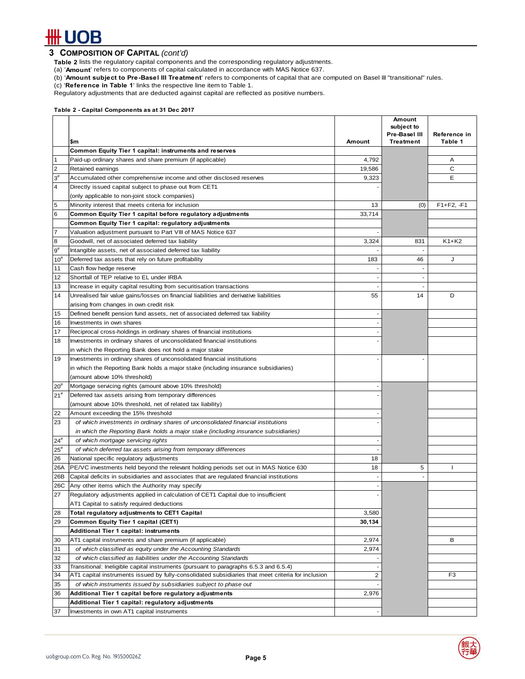# **## UOB**

### **3 COMPOSITION OF CAPITAL** *(cont'd)*

**Table 2** lists the regulatory capital components and the corresponding regulatory adjustments.

(a) '**Amount**' refers to components of capital calculated in accordance with MAS Notice 637.

- (b) '**Amount subject to Pre-Basel III Treatment**' refers to components of capital that are computed on Basel III "transitional" rules.
- (c) '**Reference in Table 1**' links the respective line item to Table 1.

Regulatory adjustments that are deducted against capital are reflected as positive numbers.

#### **Table 2 - Capital Components as at 31 Dec 2017**

|                       |                                                                                                    |                          | Amount<br>subject to<br>Pre-Basel III | Reference in   |
|-----------------------|----------------------------------------------------------------------------------------------------|--------------------------|---------------------------------------|----------------|
|                       | \$m                                                                                                | Amount                   | <b>Treatment</b>                      | Table 1        |
|                       | Common Equity Tier 1 capital: instruments and reserves                                             |                          |                                       |                |
| $\mathbf{1}$          | Paid-up ordinary shares and share premium (if applicable)                                          | 4,792                    |                                       | Α              |
| $\overline{2}$        | Retained earnings                                                                                  | 19.586                   |                                       | С              |
| $3^{\#}$              | Accumulated other comprehensive income and other disclosed reserves                                | 9,323                    |                                       | Е              |
| 4                     | Directly issued capital subject to phase out from CET1                                             |                          |                                       |                |
|                       | (only applicable to non-joint stock companies)                                                     |                          |                                       |                |
| 5                     | Minority interest that meets criteria for inclusion                                                | 13                       | (0)                                   | $F1 + F2, -F1$ |
| 6                     | Common Equity Tier 1 capital before regulatory adjustments                                         | 33,714                   |                                       |                |
|                       | Common Equity Tier 1 capital: regulatory adjustments                                               |                          |                                       |                |
| $\overline{7}$        | Valuation adjustment pursuant to Part VIII of MAS Notice 637                                       |                          |                                       |                |
| 8                     | Goodwill, net of associated deferred tax liability                                                 | 3,324                    | 831                                   | $K1+K2$        |
| $9^{\rm \#}$          | Intangible assets, net of associated deferred tax liability                                        |                          |                                       |                |
| $10^{#}$              | Deferred tax assets that rely on future profitability                                              | 183                      | 46                                    | J              |
| 11                    | Cash flow hedge reserve                                                                            |                          |                                       |                |
| 12                    | Shortfall of TEP relative to EL under IRBA                                                         | $\overline{\phantom{a}}$ | $\overline{\phantom{a}}$              |                |
| 13                    | Increase in equity capital resulting from securitisation transactions                              |                          |                                       |                |
| 14                    | Unrealised fair value gains/losses on financial liabilities and derivative liabilities             | 55                       | 14                                    | D              |
|                       | arising from changes in own credit risk                                                            |                          |                                       |                |
| 15                    | Defined benefit pension fund assets, net of associated deferred tax liability                      |                          |                                       |                |
| 16                    | Investments in own shares                                                                          |                          |                                       |                |
| 17                    | Reciprocal cross-holdings in ordinary shares of financial institutions                             |                          |                                       |                |
| 18                    | Investments in ordinary shares of unconsolidated financial institutions                            |                          |                                       |                |
|                       | in which the Reporting Bank does not hold a major stake                                            |                          |                                       |                |
| 19                    | Investments in ordinary shares of unconsolidated financial institutions                            |                          |                                       |                |
|                       | in which the Reporting Bank holds a major stake (including insurance subsidiaries)                 |                          |                                       |                |
|                       | (amount above 10% threshold)                                                                       |                          |                                       |                |
| $20^{\rm \texttt{H}}$ | Mortgage servicing rights (amount above 10% threshold)                                             |                          |                                       |                |
| $21^{\rm \#}$         | Deferred tax assets arising from temporary differences                                             |                          |                                       |                |
|                       | (amount above 10% threshold, net of related tax liability)                                         |                          |                                       |                |
| 22                    | Amount exceeding the 15% threshold                                                                 |                          |                                       |                |
| 23                    | of which investments in ordinary shares of unconsolidated financial institutions                   |                          |                                       |                |
|                       | in which the Reporting Bank holds a major stake (including insurance subsidiaries)                 |                          |                                       |                |
| $24^{\#}$             | of which mortgage servicing rights                                                                 |                          |                                       |                |
| $25^{\rm \texttt{#}}$ | of which deferred tax assets arising from temporary differences                                    |                          |                                       |                |
| 26                    | National specific regulatory adjustments                                                           | 18                       |                                       |                |
| 26A                   | PE/VC investments held beyond the relevant holding periods set out in MAS Notice 630               | 18                       | 5                                     | J.             |
| 26B                   | Capital deficits in subsidiaries and associates that are regulated financial institutions          |                          |                                       |                |
| 26C                   | Any other items which the Authority may specify                                                    |                          |                                       |                |
| 27                    | Regulatory adjustments applied in calculation of CET1 Capital due to insufficient                  |                          |                                       |                |
|                       | AT1 Capital to satisfy required deductions                                                         |                          |                                       |                |
| 28                    | Total regulatory adjustments to CET1 Capital                                                       | 3,580                    |                                       |                |
| 29                    | Common Equity Tier 1 capital (CET1)                                                                | 30,134                   |                                       |                |
|                       | Additional Tier 1 capital: instruments                                                             |                          |                                       |                |
| 30                    | AT1 capital instruments and share premium (if applicable)                                          | 2,974                    |                                       | в              |
| 31                    | of which classified as equity under the Accounting Standards                                       | 2,974                    |                                       |                |
| 32                    | of which classified as liabilities under the Accounting Standards                                  |                          |                                       |                |
| 33                    | Transitional: Ineligible capital instruments (pursuant to paragraphs 6.5.3 and 6.5.4)              |                          |                                       |                |
| 34                    | AT1 capital instruments issued by fully-consolidated subsidiaries that meet criteria for inclusion | $\overline{c}$           |                                       | F3             |
| 35                    | of which instruments issued by subsidiaries subject to phase out                                   |                          |                                       |                |
| 36                    | Additional Tier 1 capital before regulatory adjustments                                            | 2,976                    |                                       |                |
|                       | Additional Tier 1 capital: regulatory adjustments                                                  |                          |                                       |                |
| 37                    | Investments in own AT1 capital instruments                                                         |                          |                                       |                |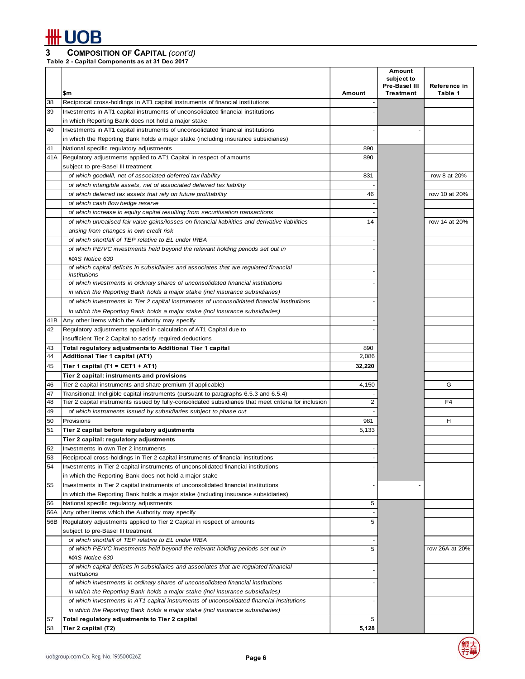### **3 COMPOSITION OF CAPITAL** *(cont'd)*

**Table 2 - Capital Components as at 31 Dec 2017**

|          |                                                                                                                                        |        | Amount<br>subject to |                |
|----------|----------------------------------------------------------------------------------------------------------------------------------------|--------|----------------------|----------------|
|          |                                                                                                                                        |        | Pre-Basel III        | Reference in   |
|          | \$m                                                                                                                                    | Amount | <b>Treatment</b>     | Table 1        |
| 38<br>39 | Reciprocal cross-holdings in AT1 capital instruments of financial institutions                                                         |        |                      |                |
|          | Investments in AT1 capital instruments of unconsolidated financial institutions                                                        |        |                      |                |
| 40       | in which Reporting Bank does not hold a major stake<br>Investments in AT1 capital instruments of unconsolidated financial institutions |        |                      |                |
|          | in which the Reporting Bank holds a major stake (including insurance subsidiaries)                                                     |        |                      |                |
| 41       | National specific regulatory adjustments                                                                                               | 890    |                      |                |
| 41A      | Regulatory adjustments applied to AT1 Capital in respect of amounts                                                                    | 890    |                      |                |
|          | subject to pre-Basel III treatment                                                                                                     |        |                      |                |
|          | of which goodwill, net of associated deferred tax liability                                                                            | 831    |                      | row 8 at 20%   |
|          | of which intangible assets, net of associated deferred tax liability                                                                   |        |                      |                |
|          | of which deferred tax assets that rely on future profitability                                                                         | 46     |                      | row 10 at 20%  |
|          | of which cash flow hedge reserve                                                                                                       |        |                      |                |
|          | of which increase in equity capital resulting from securitisation transactions                                                         |        |                      |                |
|          | of which unrealised fair value gains/losses on financial liabilities and derivative liabilities                                        | 14     |                      | row 14 at 20%  |
|          | arising from changes in own credit risk                                                                                                |        |                      |                |
|          | of which shortfall of TEP relative to EL under IRBA                                                                                    |        |                      |                |
|          | of which PE/VC investments held beyond the relevant holding periods set out in                                                         |        |                      |                |
|          | MAS Notice 630                                                                                                                         |        |                      |                |
|          | of which capital deficits in subsidiaries and associates that are regulated financial                                                  |        |                      |                |
|          | institutions                                                                                                                           |        |                      |                |
|          | of which investments in ordinary shares of unconsolidated financial institutions                                                       |        |                      |                |
|          | in which the Reporting Bank holds a major stake (incl insurance subsidiaries)                                                          |        |                      |                |
|          | of which investments in Tier 2 capital instruments of unconsolidated financial institutions                                            |        |                      |                |
|          | in which the Reporting Bank holds a major stake (incl insurance subsidiaries)                                                          |        |                      |                |
| 41B      | Any other items which the Authority may specify                                                                                        |        |                      |                |
| 42       | Regulatory adjustments applied in calculation of AT1 Capital due to                                                                    |        |                      |                |
|          | insufficient Tier 2 Capital to satisfy required deductions                                                                             |        |                      |                |
| 43       | Total regulatory adjustments to Additional Tier 1 capital                                                                              | 890    |                      |                |
| 44       | Additional Tier 1 capital (AT1)                                                                                                        | 2,086  |                      |                |
| 45       | Tier 1 capital (T1 = CET1 + AT1)                                                                                                       | 32,220 |                      |                |
|          | Tier 2 capital: instruments and provisions                                                                                             |        |                      |                |
| 46       | Tier 2 capital instruments and share premium (if applicable)                                                                           | 4,150  |                      | G              |
| 47       | Transitional: Ineligible capital instruments (pursuant to paragraphs 6.5.3 and 6.5.4)                                                  |        |                      |                |
| 48       | Tier 2 capital instruments issued by fully-consolidated subsidiaries that meet criteria for inclusion                                  | 2      |                      | F <sub>4</sub> |
| 49       | of which instruments issued by subsidiaries subject to phase out                                                                       |        |                      |                |
| 50       | Provisions                                                                                                                             | 981    |                      | н              |
| 51       | Tier 2 capital before regulatory adjustments                                                                                           | 5,133  |                      |                |
|          | Tier 2 capital: regulatory adjustments                                                                                                 |        |                      |                |
| 52       | Investments in own Tier 2 instruments                                                                                                  |        |                      |                |
| 53       | Reciprocal cross-holdings in Tier 2 capital instruments of financial institutions                                                      |        |                      |                |
| 54       | Investments in Tier 2 capital instruments of unconsolidated financial institutions                                                     |        |                      |                |
|          | in which the Reporting Bank does not hold a major stake                                                                                |        |                      |                |
| 55       | Investments in Tier 2 capital instruments of unconsolidated financial institutions                                                     |        | ٠                    |                |
|          | in which the Reporting Bank holds a major stake (including insurance subsidiaries)                                                     |        |                      |                |
| 56       | National specific regulatory adjustments                                                                                               | 5      |                      |                |
| 56A      | Any other items which the Authority may specify                                                                                        |        |                      |                |
| 56B      | Regulatory adjustments applied to Tier 2 Capital in respect of amounts                                                                 | 5      |                      |                |
|          | subject to pre-Basel III treatment                                                                                                     |        |                      |                |
|          | of which shortfall of TEP relative to EL under IRBA                                                                                    |        |                      |                |
|          | of which PE/VC investments held beyond the relevant holding periods set out in                                                         | 5      |                      | row 26A at 20% |
|          | MAS Notice 630                                                                                                                         |        |                      |                |
|          | of which capital deficits in subsidiaries and associates that are regulated financial<br>institutions                                  |        |                      |                |
|          | of which investments in ordinary shares of unconsolidated financial institutions                                                       |        |                      |                |
|          | in which the Reporting Bank holds a major stake (incl insurance subsidiaries)                                                          |        |                      |                |
|          | of which investments in AT1 capital instruments of unconsolidated financial institutions                                               |        |                      |                |
|          | in which the Reporting Bank holds a major stake (incl insurance subsidiaries)                                                          |        |                      |                |
| 57       | Total regulatory adjustments to Tier 2 capital                                                                                         | 5      |                      |                |
| 58       | Tier 2 capital (T2)                                                                                                                    | 5,128  |                      |                |
|          |                                                                                                                                        |        |                      |                |

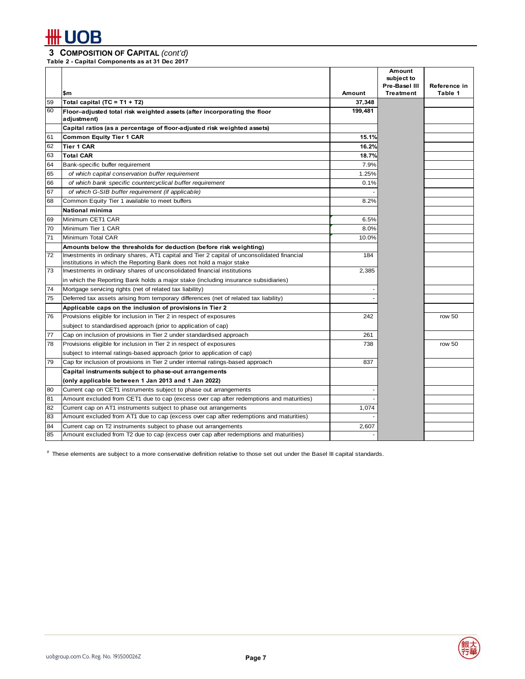### **3 COMPOSITION OF CAPITAL** *(cont'd)*

**Table 2 - Capital Components as at 31 Dec 2017**

|    | \$m                                                                                                                                                                | <b>Amount</b> | <b>Amount</b><br>subiect to<br>Pre-Basel III<br><b>Treatment</b> | Reference in<br>Table 1 |
|----|--------------------------------------------------------------------------------------------------------------------------------------------------------------------|---------------|------------------------------------------------------------------|-------------------------|
| 59 | Total capital (TC = T1 + T2)                                                                                                                                       | 37,348        |                                                                  |                         |
| 60 | Floor-adjusted total risk weighted assets (after incorporating the floor<br>adjustment)                                                                            | 199,481       |                                                                  |                         |
|    | Capital ratios (as a percentage of floor-adjusted risk weighted assets)                                                                                            |               |                                                                  |                         |
| 61 | <b>Common Equity Tier 1 CAR</b>                                                                                                                                    | 15.1%         |                                                                  |                         |
| 62 | <b>Tier 1 CAR</b>                                                                                                                                                  | 16.2%         |                                                                  |                         |
| 63 | <b>Total CAR</b>                                                                                                                                                   | 18.7%         |                                                                  |                         |
| 64 | Bank-specific buffer requirement                                                                                                                                   | 7.9%          |                                                                  |                         |
| 65 | of which capital conservation buffer requirement                                                                                                                   | 1.25%         |                                                                  |                         |
| 66 | of which bank specific countercyclical buffer requirement                                                                                                          | 0.1%          |                                                                  |                         |
| 67 | of which G-SIB buffer requirement (if applicable)                                                                                                                  |               |                                                                  |                         |
| 68 | Common Equity Tier 1 available to meet buffers                                                                                                                     | 8.2%          |                                                                  |                         |
|    | National minima                                                                                                                                                    |               |                                                                  |                         |
| 69 | Minimum CET1 CAR                                                                                                                                                   | 6.5%          |                                                                  |                         |
| 70 | Minimum Tier 1 CAR                                                                                                                                                 | 8.0%          |                                                                  |                         |
| 71 | Minimum Total CAR                                                                                                                                                  | 10.0%         |                                                                  |                         |
|    | Amounts below the thresholds for deduction (before risk weighting)                                                                                                 |               |                                                                  |                         |
| 72 | Investments in ordinary shares, AT1 capital and Tier 2 capital of unconsolidated financial<br>institutions in which the Reporting Bank does not hold a major stake | 184           |                                                                  |                         |
| 73 | Investments in ordinary shares of unconsolidated financial institutions                                                                                            | 2,385         |                                                                  |                         |
|    | in which the Reporting Bank holds a major stake (including insurance subsidiaries)                                                                                 |               |                                                                  |                         |
| 74 | Mortgage servicing rights (net of related tax liability)                                                                                                           |               |                                                                  |                         |
| 75 | Deferred tax assets arising from temporary differences (net of related tax liability)                                                                              |               |                                                                  |                         |
|    | Applicable caps on the inclusion of provisions in Tier 2                                                                                                           |               |                                                                  |                         |
| 76 | Provisions eligible for inclusion in Tier 2 in respect of exposures                                                                                                | 242           |                                                                  | row 50                  |
|    | subject to standardised approach (prior to application of cap)                                                                                                     |               |                                                                  |                         |
| 77 | Cap on inclusion of provisions in Tier 2 under standardised approach                                                                                               | 261           |                                                                  |                         |
| 78 | Provisions eligible for inclusion in Tier 2 in respect of exposures                                                                                                | 738           |                                                                  | row 50                  |
|    | subject to internal ratings-based approach (prior to application of cap)                                                                                           |               |                                                                  |                         |
| 79 | Cap for inclusion of provisions in Tier 2 under internal ratings-based approach                                                                                    | 837           |                                                                  |                         |
|    | Capital instruments subject to phase-out arrangements                                                                                                              |               |                                                                  |                         |
|    | (only applicable between 1 Jan 2013 and 1 Jan 2022)                                                                                                                |               |                                                                  |                         |
| 80 | Current cap on CET1 instruments subject to phase out arrangements                                                                                                  |               |                                                                  |                         |
| 81 | Amount excluded from CET1 due to cap (excess over cap after redemptions and maturities)                                                                            |               |                                                                  |                         |
| 82 | Current cap on AT1 instruments subject to phase out arrangements                                                                                                   | 1,074         |                                                                  |                         |
| 83 | Amount excluded from AT1 due to cap (excess over cap after redemptions and maturities)                                                                             |               |                                                                  |                         |
| 84 | Current cap on T2 instruments subject to phase out arrangements                                                                                                    | 2,607         |                                                                  |                         |
| 85 | Amount excluded from T2 due to cap (excess over cap after redemptions and maturities)                                                                              |               |                                                                  |                         |

# These elements are subject to a more conservative definition relative to those set out under the Basel III capital standards.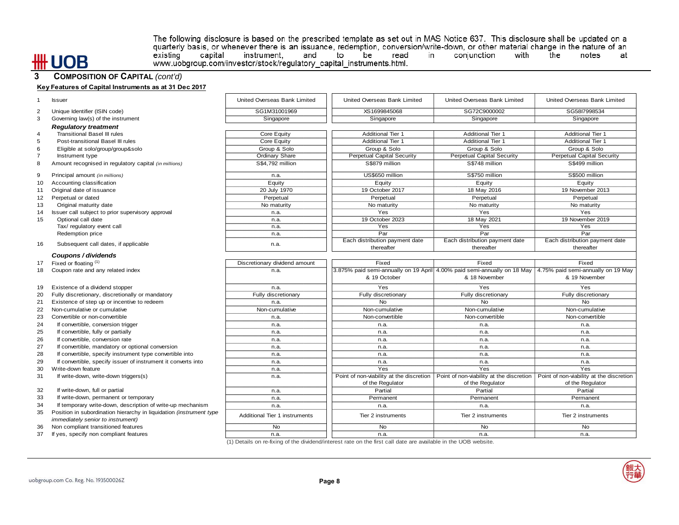### **UOB** ₩

The following disclosure is based on the prescribed template as set out in MAS Notice 637. This disclosure shall be updated on a quarterly basis, or whenever there is an issuance, redemption, conversion/write-down, or othe www.uobgroup.com/investor/stock/regulatory\_capital\_instruments.html.

#### **3 COMPOSITION OF CAPITAL** *(cont'd)*

|                | Key Features of Capital Instruments as at 31 Dec 2017                                                           |                               |                                              |                                                                                                             |                                              |
|----------------|-----------------------------------------------------------------------------------------------------------------|-------------------------------|----------------------------------------------|-------------------------------------------------------------------------------------------------------------|----------------------------------------------|
|                | <b>Issuer</b>                                                                                                   | United Overseas Bank Limited  | United Overseas Bank Limited                 | United Overseas Bank Limited                                                                                | United Overseas Bank Limited                 |
| 2              | Unique Identifier (ISIN code)                                                                                   | SG1M31001969                  | XS1699845068                                 | SG72C9000002                                                                                                | SG58I7998534                                 |
| 3              | Governing law(s) of the instrument                                                                              | Singapore                     | Singapore                                    | Singapore                                                                                                   | Singapore                                    |
|                | <b>Regulatory treatment</b>                                                                                     |                               |                                              |                                                                                                             |                                              |
| 4              | <b>Transitional Basel III rules</b>                                                                             | Core Equity                   | <b>Additional Tier 1</b>                     | <b>Additional Tier 1</b>                                                                                    | <b>Additional Tier 1</b>                     |
| 5              | Post-transitional Basel III rules                                                                               | Core Equity                   | <b>Additional Tier 1</b>                     | <b>Additional Tier 1</b>                                                                                    | <b>Additional Tier 1</b>                     |
| 6              | Eligible at solo/group/group&solo                                                                               | Group & Solo                  | Group & Solo                                 | Group & Solo                                                                                                | Group & Solo                                 |
| $\overline{7}$ | Instrument type                                                                                                 | <b>Ordinary Share</b>         | <b>Perpetual Capital Security</b>            | <b>Perpetual Capital Security</b>                                                                           | <b>Perpetual Capital Security</b>            |
| 8              | Amount recognised in regulatory capital (in millions)                                                           | S\$4,792 million              | S\$879 million                               | S\$748 million                                                                                              | S\$499 million                               |
| 9              | Principal amount (in millions)                                                                                  | n.a.                          | US\$650 million                              | S\$750 million                                                                                              | S\$500 million                               |
| 10             | Accounting classification                                                                                       | Equity                        | Equity                                       | Equity                                                                                                      | Equity                                       |
| 11             | Original date of issuance                                                                                       | 20 July 1970                  | 19 October 2017                              | 18 May 2016                                                                                                 | 19 November 2013                             |
| 12             | Perpetual or dated                                                                                              | Perpetual                     | Perpetual                                    | Perpetual                                                                                                   | Perpetual                                    |
| 13             | Original maturity date                                                                                          | No maturity                   | No maturity                                  | No maturity                                                                                                 | No maturity                                  |
| 14             | Issuer call subject to prior supervisory approval                                                               | n.a.                          | Yes                                          | Yes                                                                                                         | Yes                                          |
| 15             | Optional call date                                                                                              | n.a.                          | 19 October 2023                              | 18 May 2021                                                                                                 | 19 November 2019                             |
|                | Tax/ regulatory event call                                                                                      | n.a.                          | Yes                                          | Yes                                                                                                         | Yes                                          |
|                | Redemption price                                                                                                | n.a.                          | Par                                          | Par                                                                                                         | Par                                          |
| 16             | Subsequent call dates, if applicable                                                                            | n.a.                          | Each distribution payment date<br>thereafter | Each distribution payment date<br>thereafter                                                                | Each distribution payment date<br>thereafter |
|                | Coupons / dividends                                                                                             |                               |                                              |                                                                                                             |                                              |
| 17             | Fixed or floating (1)                                                                                           | Discretionary dividend amount | Fixed                                        | Fixed                                                                                                       | Fixed                                        |
| 18             | Coupon rate and any related index                                                                               | n.a.                          |                                              | 3.875% paid semi-annually on 19 April 4.00% paid semi-annually on 18 May 4.75% paid semi-annually on 19 May |                                              |
|                |                                                                                                                 |                               | & 19 October                                 | & 18 November                                                                                               | & 19 November                                |
| 19             | Existence of a dividend stopper                                                                                 | n.a.                          | Yes                                          | Yes                                                                                                         | Yes                                          |
| 20             | Fully discretionary, discretionally or mandatory                                                                | Fully discretionary           | Fully discretionary                          | Fully discretionary                                                                                         | Fully discretionary                          |
| 21             | Existence of step up or incentive to redeem                                                                     | n.a.                          | <b>No</b>                                    | <b>No</b>                                                                                                   | <b>No</b>                                    |
| 22             | Non-cumulative or cumulative                                                                                    | Non-cumulative                | Non-cumulative                               | Non-cumulative                                                                                              | Non-cumulative                               |
| 23             | Convertible or non-convertible                                                                                  | n.a.                          | Non-convertible                              | Non-convertible                                                                                             | Non-convertible                              |
| 24             | If convertible, conversion trigger                                                                              | n.a.                          | n.a.                                         | n.a.                                                                                                        | n.a.                                         |
| 25             | If convertible, fully or partially                                                                              | n.a.                          | n.a.                                         | n.a.                                                                                                        | n.a.                                         |
| 26             | If convertible, conversion rate                                                                                 | n.a.                          | n.a.                                         | n.a.                                                                                                        | n.a.                                         |
| 27             | If convertible, mandatory or optional conversion                                                                | n.a.                          | n.a.                                         | n.a.                                                                                                        | n.a.                                         |
| 28             | If convertible, specify instrument type convertible into                                                        | n.a.                          | n.a.                                         | n.a.                                                                                                        | n.a.                                         |
| 29             | If convertible, specify issuer of instrument it converts into                                                   | n.a.                          | n.a.                                         | n.a.                                                                                                        | n.a.                                         |
| 30             | Write-down feature                                                                                              | n.a.                          | Yes                                          | Yes                                                                                                         | Yes                                          |
| 31             | If write-down, write-down triggers(s)                                                                           | n.a.                          |                                              | Point of non-viability at the discretion   Point of non-viability at the discretion                         | Point of non-viability at the discretion     |
|                |                                                                                                                 |                               | of the Regulator                             | of the Regulator                                                                                            | of the Regulator                             |
| 32             | If write-down, full or partial                                                                                  | n.a.                          | Partial                                      | Partial                                                                                                     | Partial                                      |
| 33             | If write-down, permanent or temporary                                                                           | n.a.                          | Permanent                                    | Permanent                                                                                                   | Permanent                                    |
| 34             | If temporary write-down, description of write-up mechanism                                                      | n.a.                          | n.a.                                         | n.a.                                                                                                        | n.a.                                         |
| 35             | Position in subordination hierarchy in liquidation (instrument type<br><i>immediately senior to instrument)</i> | Additional Tier 1 instruments | Tier 2 instruments                           | Tier 2 instruments                                                                                          | Tier 2 instruments                           |
| 36             | Non compliant transitioned features                                                                             | No                            | <b>No</b>                                    | N <sub>o</sub>                                                                                              | <b>No</b>                                    |
| 37             | If yes, specify non compliant features                                                                          | n.a.                          | n.a.                                         | n.a.                                                                                                        | n.a.                                         |

(1) Details on re-fixing of the dividend/interest rate on the first call date are available in the UOB website.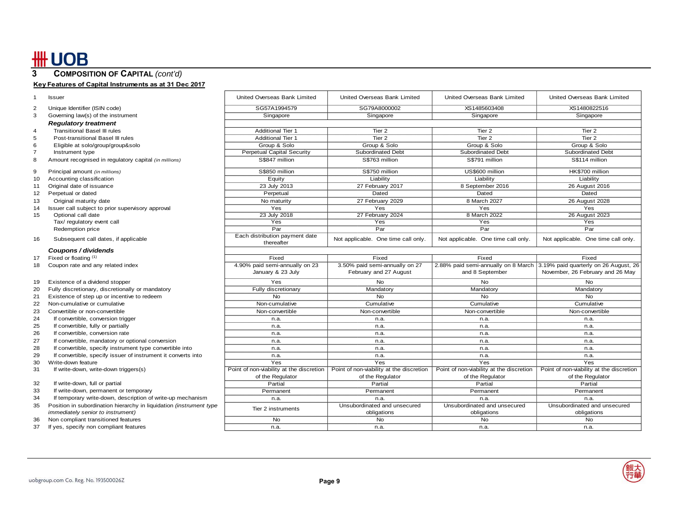### **3 COMPOSITION OF CAPITAL** *(cont'd)*

### **Key Features of Capital Instruments as at 31 Dec 2017**

|    | <b>Issuer</b>                                                       | United Overseas Bank Limited                                 | United Overseas Bank Limited                                 | United Overseas Bank Limited                                 | United Overseas Bank Limited                                              |
|----|---------------------------------------------------------------------|--------------------------------------------------------------|--------------------------------------------------------------|--------------------------------------------------------------|---------------------------------------------------------------------------|
|    | Unique Identifier (ISIN code)                                       | SG57A1994579                                                 | SG79A8000002                                                 | XS1485603408                                                 | XS1480822516                                                              |
| 3  | Governing law(s) of the instrument                                  | Singapore                                                    | Singapore                                                    | Singapore                                                    | Singapore                                                                 |
|    | <b>Regulatory treatment</b>                                         |                                                              |                                                              |                                                              |                                                                           |
| 4  | <b>Transitional Basel III rules</b>                                 | <b>Additional Tier 1</b>                                     | Tier <sub>2</sub>                                            | Tier <sub>2</sub>                                            | Tier <sub>2</sub>                                                         |
| 5  | Post-transitional Basel III rules                                   | <b>Additional Tier 1</b>                                     | Tier 2                                                       | Tier <sub>2</sub>                                            | Tier 2                                                                    |
|    | Eligible at solo/group/group&solo                                   | Group & Solo                                                 | Group & Solo                                                 | Group & Solo                                                 | Group & Solo                                                              |
|    | Instrument type                                                     | <b>Perpetual Capital Security</b>                            | <b>Subordinated Debt</b>                                     | Subordinated Debt                                            | Subordinated Debt                                                         |
| 8  | Amount recognised in regulatory capital (in millions)               | S\$847 million                                               | S\$763 million                                               | S\$791 million                                               | S\$114 million                                                            |
| 9  | Principal amount (in millions)                                      | S\$850 million                                               | S\$750 million                                               | US\$600 million                                              | HK\$700 million                                                           |
| 10 | Accounting classification                                           | Equity                                                       | Liability                                                    | Liability                                                    | Liability                                                                 |
| 11 | Original date of issuance                                           | 23 July 2013                                                 | 27 February 2017                                             | 8 September 2016                                             | 26 August 2016                                                            |
| 12 | Perpetual or dated                                                  | Perpetual                                                    | Dated                                                        | Dated                                                        | Dated                                                                     |
| 13 | Original maturity date                                              | No maturity                                                  | 27 February 2029                                             | 8 March 2027                                                 | 26 August 2028                                                            |
| 14 | Issuer call subject to prior supervisory approval                   | Yes                                                          | Yes                                                          | Yes                                                          | Yes                                                                       |
| 15 | Optional call date                                                  | 23 July 2018                                                 | 27 February 2024                                             | 8 March 2022                                                 | 26 August 2023                                                            |
|    | Tax/ regulatory event call                                          | Yes                                                          | Yes                                                          | Yes                                                          | Yes                                                                       |
|    | Redemption price                                                    | Par                                                          | Par                                                          | $\overline{Par}$                                             | Par                                                                       |
| 16 | Subsequent call dates, if applicable                                | Each distribution payment date<br>thereafter                 | Not applicable. One time call only.                          | Not applicable. One time call only.                          | Not applicable. One time call only.                                       |
|    | Coupons / dividends                                                 |                                                              |                                                              |                                                              |                                                                           |
| 17 | Fixed or floating (1)                                               | Fixed                                                        | Fixed                                                        | Fixed                                                        | Fixed                                                                     |
| 18 | Coupon rate and any related index                                   | 4.90% paid semi-annually on 23                               | 3.50% paid semi-annually on 27                               |                                                              | 2.88% paid semi-annually on 8 March 3.19% paid quarterly on 26 August, 26 |
|    |                                                                     | January & 23 July                                            | February and 27 August                                       | and 8 September                                              | November, 26 February and 26 May                                          |
| 19 | Existence of a dividend stopper                                     | Yes                                                          | No                                                           | No                                                           | <b>No</b>                                                                 |
| 20 | Fully discretionary, discretionally or mandatory                    | Fully discretionary                                          | Mandatory                                                    | Mandatory                                                    | Mandatory                                                                 |
| 21 | Existence of step up or incentive to redeem                         | <b>No</b>                                                    | <b>No</b>                                                    | <b>No</b>                                                    | <b>No</b>                                                                 |
| 22 | Non-cumulative or cumulative                                        | Non-cumulative                                               | Cumulative                                                   | Cumulative                                                   | Cumulative                                                                |
| 23 | Convertible or non-convertible                                      | Non-convertible                                              | Non-convertible                                              | Non-convertible                                              | Non-convertible                                                           |
| 24 | If convertible, conversion trigger                                  | n.a.                                                         | n.a.                                                         | n.a.                                                         | n.a.                                                                      |
| 25 | If convertible, fully or partially                                  | n.a.                                                         | n.a.                                                         | n.a.                                                         | n.a.                                                                      |
| 26 | If convertible, conversion rate                                     | n.a.                                                         | n.a.                                                         | n.a.                                                         | n.a.                                                                      |
| 27 | If convertible, mandatory or optional conversion                    | n.a.                                                         | n.a.                                                         | n.a.                                                         | n.a.                                                                      |
| 28 | If convertible, specify instrument type convertible into            | n.a.                                                         | n.a.                                                         | n.a.                                                         | n.a.                                                                      |
| 29 | If convertible, specify issuer of instrument it converts into       | n.a.                                                         | n.a.                                                         | n.a.                                                         | n.a.                                                                      |
| 30 | Write-down feature                                                  | Yes                                                          | Yes                                                          | Yes                                                          | Yes                                                                       |
| 31 | If write-down, write-down triggers(s)                               | Point of non-viability at the discretion<br>of the Regulator | Point of non-viability at the discretion<br>of the Regulator | Point of non-viability at the discretion<br>of the Regulator | Point of non-viability at the discretion<br>of the Regulator              |
| 32 | If write-down, full or partial                                      | Partial                                                      | Partial                                                      | Partial                                                      | Partial                                                                   |
| 33 | If write-down, permanent or temporary                               | Permanent                                                    | Permanent                                                    | Permanent                                                    | Permanent                                                                 |
| 34 | If temporary write-down, description of write-up mechanism          | n.a.                                                         | n.a.                                                         | n.a.                                                         | n.a.                                                                      |
| 35 | Position in subordination hierarchy in liquidation (instrument type |                                                              | Unsubordinated and unsecured                                 | Unsubordinated and unsecured                                 | Unsubordinated and unsecured                                              |
|    | <i>immediately senior to instrument)</i>                            | Tier 2 instruments                                           | obligations                                                  | obligations                                                  | obligations                                                               |
| 36 | Non compliant transitioned features                                 | <b>No</b>                                                    | No                                                           | <b>No</b>                                                    | No                                                                        |
| 37 | If yes, specify non compliant features                              | n.a.                                                         | n.a.                                                         | n.a.                                                         | n.a.                                                                      |
|    |                                                                     |                                                              |                                                              |                                                              |                                                                           |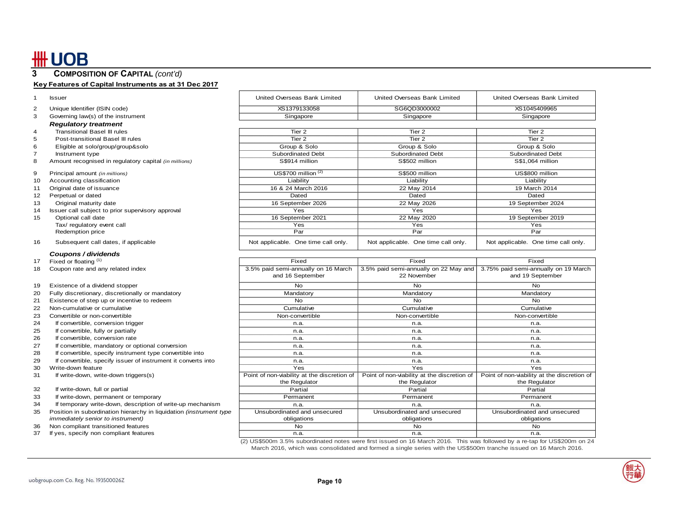## **\HUOB**

### **3 COMPOSITION OF CAPITAL** *(cont'd)*

#### **Key Features of Capital Instruments as at 31 Dec 2017**

| 2 | Unique Identifier (ISIN code)      |
|---|------------------------------------|
| з | Governing law(s) of the instrument |

#### *Regulatory treatment*

- 4 Transitional Basel III rules
- 5 Post-transitional Basel III rules
- 6 Eligible at solo/group/group& solo
- 
- 8 Amount recognised in regulatory capital *(in millions)*
- 9 Principal amount (in millions)
- 10 Accounting classification
- 11 Original date of issuance
- 
- 13 Original maturity date
- 14 Issuer call subject to prior supervisory approval
- 15 Optional call date Tax/ regulatory event call

#### 16 Subsequent call dates, if applicable

#### *Coupons / dividends*

- 17Fixed or floating (1)
- 18 Coupon rate and any related index

#### 19 Existence of a dividend stopper

- 20 Fully discretionary, discretionally or mandatory
- 21 Existence of step up or incentive to redeem
- 22 Non-cumulative or cumulative
- 23 Convertible or non-convertible
- 24 If convertible, conversion trigger
- 25 If convertible, fully or partially
- 26 If convertible, conversion rate
- 27 If convertible, mandatory or optional conversion
- 28 If convertible, specify instrument type convertible into
- 29 If convertible, specify issuer of instrument it converts into
- 30 Write-down feature
- 31 If write-down, write-down triggers(s)
- 32 If write-down, full or partial
- 33 If write-down, permanent or temporary
- 34 If temporary write-down, description of write-up mechanism
- 35 Position in subordination hierarchy in liquidation *(instrument type immediately senior to instrument)*
- 36 Non compliant transitioned features
- 37 If yes, specify non compliant features

| Issuer                             | United Overseas Bank Limited | United Overseas Bank Limited | United Overseas Bank Limited |
|------------------------------------|------------------------------|------------------------------|------------------------------|
| Unique Identifier (ISIN code)      | XS1379133058                 | SG6OD3000002                 | XS1045409965                 |
| Governing law(s) of the instrument | Singapore                    | Singapore                    | Singapore                    |
| <b>Regulatory treatment</b>        |                              |                              |                              |
|                                    |                              |                              |                              |

|    | Transitional Basel III rules                          | Tier 2                              | Tier 2                              | Tier 2                              |
|----|-------------------------------------------------------|-------------------------------------|-------------------------------------|-------------------------------------|
|    | Post-transitional Basel III rules                     | Tier 2                              | Tier 2                              | Tier 2                              |
|    | Eligible at solo/group/group&solo                     | Group & Solo                        | Group & Solo                        | Group & Solo                        |
|    | Instrument type                                       | Subordinated Debt                   | Subordinated Debt                   | Subordinated Debt                   |
|    | Amount recognised in regulatory capital (in millions) | S\$914 million                      | S\$502 million                      | S\$1,064 million                    |
|    | Principal amount (in millions)                        | US\$700 million $(2)$               | S\$500 million                      | US\$800 million                     |
| 10 | Accounting classification                             | Liability                           | Liability                           | Liability                           |
|    | Original date of issuance                             | 16 & 24 March 2016                  | 22 May 2014                         | 19 March 2014                       |
| 12 | Perpetual or dated                                    | Dated                               | Dated                               | Dated                               |
| 13 | Original maturity date                                | 16 September 2026                   | 22 May 2026                         | 19 September 2024                   |
| 14 | Issuer call subject to prior supervisory approval     | Yes                                 | <b>Yes</b>                          | Yes                                 |
| 15 | Optional call date                                    | 16 September 2021                   | 22 May 2020                         | 19 September 2019                   |
|    | Tax/ regulatory event call                            | Yes                                 | Yes                                 | Yes                                 |
|    | Redemption price                                      | Par                                 | Par                                 | Par                                 |
| 16 | Subsequent call dates, if applicable                  | Not applicable. One time call only. | Not applicable. One time call only. | Not applicable. One time call only. |

| Fixed                                       | Fixed                                       | Fixed                                       |
|---------------------------------------------|---------------------------------------------|---------------------------------------------|
| 3.5% paid semi-annually on 16 March         | 3.5% paid semi-annually on 22 May and       | 3.75% paid semi-annually on 19 March        |
| and 16 September                            | 22 November                                 | and 19 September                            |
| <b>No</b>                                   | No                                          | No                                          |
| Mandatory                                   | Mandatory                                   | Mandatory                                   |
| N <sub>o</sub>                              | No.                                         | No                                          |
| Cumulative                                  | Cumulative                                  | Cumulative                                  |
| Non-convertible                             | Non-convertible                             | Non-convertible                             |
| n.a.                                        | n.a.                                        | n.a.                                        |
| n.a.                                        | n.a.                                        | n.a.                                        |
| n.a.                                        | n.a.                                        | n.a.                                        |
| n.a.                                        | n.a.                                        | n.a.                                        |
| n.a.                                        | n.a.                                        | n.a.                                        |
| n.a.                                        | n.a.                                        | n.a.                                        |
| Yes                                         | Yes                                         | Yes                                         |
| Point of non-viability at the discretion of | Point of non-viability at the discretion of | Point of non-viability at the discretion of |
| the Regulator                               | the Regulator                               | the Regulator                               |
| Partial                                     | Partial                                     | Partial                                     |
| Permanent                                   | Permanent                                   | Permanent                                   |
| n.a.                                        | n.a.                                        | n.a.                                        |
| Unsubordinated and unsecured                | Unsubordinated and unsecured                | Unsubordinated and unsecured                |
| obligations                                 | obligations                                 | obligations                                 |
| N <sub>o</sub>                              | <b>No</b>                                   | <b>No</b>                                   |
| n.a.                                        | n.a.                                        | n.a.                                        |
|                                             |                                             |                                             |

(2) US\$500m 3.5% subordinated notes were first issued on 16 March 2016. This was followed by a re-tap for US\$200m on 24 March 2016, which was consolidated and formed a single series with the US\$500m tranche issued on 16 March 2016.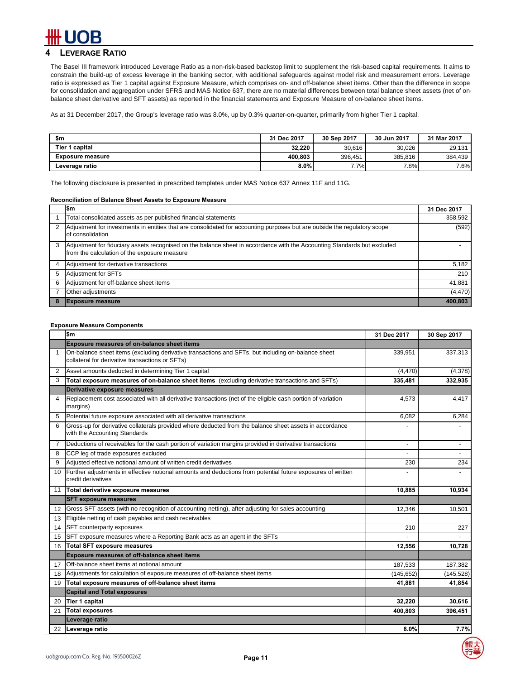### **4 LEVERAGE RATIO**

The Basel III framework introduced Leverage Ratio as a non-risk-based backstop limit to supplement the risk-based capital requirements. It aims to constrain the build-up of excess leverage in the banking sector, with additional safeguards against model risk and measurement errors. Leverage ratio is expressed as Tier 1 capital against Exposure Measure, which comprises on- and off-balance sheet items. Other than the difference in scope for consolidation and aggregation under SFRS and MAS Notice 637, there are no material differences between total balance sheet assets (net of onbalance sheet derivative and SFT assets) as reported in the financial statements and Exposure Measure of on-balance sheet items.

As at 31 December 2017, the Group's leverage ratio was 8.0%, up by 0.3% quarter-on-quarter, primarily from higher Tier 1 capital.

| \$m                     | 31 Dec 2017 | 30 Sep 2017 | 30 Jun 2017 | 31 Mar 2017 |
|-------------------------|-------------|-------------|-------------|-------------|
| <b>Tier 1 capital</b>   | 32.220      | 30.616      | 30.026      | 29,131      |
| <b>Exposure measure</b> | 400.803     | 396,451     | 385,816     | 384.439     |
| Leverage ratio          | 8.0%        | 7.7%        | 7.8%        | 7.6%        |

The following disclosure is presented in prescribed templates under MAS Notice 637 Annex 11F and 11G.

#### **Reconciliation of Balance Sheet Assets to Exposure Measure**

|   | l\$m                                                                                                                                                                     | 31 Dec 2017 |
|---|--------------------------------------------------------------------------------------------------------------------------------------------------------------------------|-------------|
|   | Total consolidated assets as per published financial statements                                                                                                          | 358,592     |
|   | Adjustment for investments in entities that are consolidated for accounting purposes but are outside the regulatory scope<br>of consolidation                            | (592)       |
| 3 | Adjustment for fiduciary assets recognised on the balance sheet in accordance with the Accounting Standards but excluded<br>from the calculation of the exposure measure |             |
|   | Adjustment for derivative transactions                                                                                                                                   | 5,182       |
| 5 | Adjustment for SFTs                                                                                                                                                      | 210         |
| 6 | Adjustment for off-balance sheet items                                                                                                                                   | 41,881      |
|   | Other adjustments                                                                                                                                                        | (4, 470)    |
|   | <b>IExposure measure</b>                                                                                                                                                 | 400,803     |

#### **Exposure Measure Components**

|                | \$m                                                                                                                                                   | 31 Dec 2017    | 30 Sep 2017              |
|----------------|-------------------------------------------------------------------------------------------------------------------------------------------------------|----------------|--------------------------|
|                | <b>Exposure measures of on-balance sheet items</b>                                                                                                    |                |                          |
| $\mathbf{1}$   | On-balance sheet items (excluding derivative transactions and SFTs, but including on-balance sheet<br>collateral for derivative transactions or SFTs) | 339,951        | 337,313                  |
| $\overline{2}$ | Asset amounts deducted in determining Tier 1 capital                                                                                                  | (4, 470)       | (4,378)                  |
| 3              | Total exposure measures of on-balance sheet items (excluding derivative transactions and SFTs)                                                        | 335,481        | 332,935                  |
|                | Derivative exposure measures                                                                                                                          |                |                          |
| 4              | Replacement cost associated with all derivative transactions (net of the eligible cash portion of variation<br>margins)                               | 4,573          | 4,417                    |
| 5              | Potential future exposure associated with all derivative transactions                                                                                 | 6,082          | 6,284                    |
| 6              | Gross-up for derivative collaterals provided where deducted from the balance sheet assets in accordance<br>with the Accounting Standards              |                |                          |
| 7              | Deductions of receivables for the cash portion of variation margins provided in derivative transactions                                               | $\blacksquare$ | $\overline{\phantom{a}}$ |
| 8              | CCP leg of trade exposures excluded                                                                                                                   |                | $\sim$                   |
| 9              | Adjusted effective notional amount of written credit derivatives                                                                                      | 230            | 234                      |
| 10             | Further adjustments in effective notional amounts and deductions from potential future exposures of written<br>credit derivatives                     |                |                          |
| 11             | Total derivative exposure measures                                                                                                                    | 10,885         | 10,934                   |
|                | <b>SFT exposure measures</b>                                                                                                                          |                |                          |
| 12             | Gross SFT assets (with no recognition of accounting netting), after adjusting for sales accounting                                                    | 12,346         | 10,501                   |
| 13             | Eligible netting of cash payables and cash receivables                                                                                                |                |                          |
| 14             | SFT counterparty exposures                                                                                                                            | 210            | 227                      |
| 15             | SFT exposure measures where a Reporting Bank acts as an agent in the SFTs                                                                             |                |                          |
| 16             | <b>Total SFT exposure measures</b>                                                                                                                    | 12,556         | 10,728                   |
|                | Exposure measures of off-balance sheet items                                                                                                          |                |                          |
| 17             | Off-balance sheet items at notional amount                                                                                                            | 187,533        | 187,382                  |
| 18             | Adjustments for calculation of exposure measures of off-balance sheet items                                                                           | (145, 652)     | (145, 528)               |
| 19             | Total exposure measures of off-balance sheet items                                                                                                    | 41.881         | 41,854                   |
|                | <b>Capital and Total exposures</b>                                                                                                                    |                |                          |
| 20             | <b>Tier 1 capital</b>                                                                                                                                 | 32,220         | 30,616                   |
| 21             | <b>Total exposures</b>                                                                                                                                | 400,803        | 396,451                  |
|                | Leverage ratio                                                                                                                                        |                |                          |
| 22             | Leverage ratio                                                                                                                                        | 8.0%           | 7.7%                     |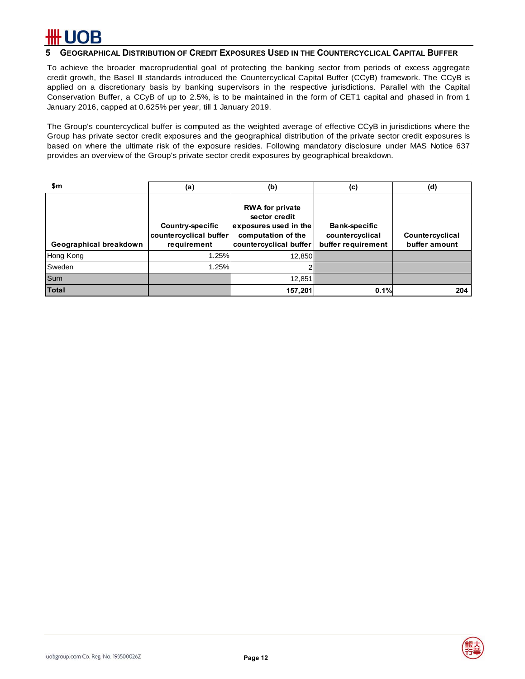### **5 GEOGRAPHICAL DISTRIBUTION OF CREDIT EXPOSURES USED IN THE COUNTERCYCLICAL CAPITAL BUFFER**

To achieve the broader macroprudential goal of protecting the banking sector from periods of excess aggregate credit growth, the Basel III standards introduced the Countercyclical Capital Buffer (CCyB) framework. The CCyB is applied on a discretionary basis by banking supervisors in the respective jurisdictions. Parallel with the Capital Conservation Buffer, a CCyB of up to 2.5%, is to be maintained in the form of CET1 capital and phased in from 1 January 2016, capped at 0.625% per year, till 1 January 2019.

The Group's countercyclical buffer is computed as the weighted average of effective CCyB in jurisdictions where the Group has private sector credit exposures and the geographical distribution of the private sector credit exposures is based on where the ultimate risk of the exposure resides. Following mandatory disclosure under MAS Notice 637 provides an overview of the Group's private sector credit exposures by geographical breakdown.

| \$m                    | (a)                                                              | (b)                                                                                                              | (c)                                                           | (d)                              |
|------------------------|------------------------------------------------------------------|------------------------------------------------------------------------------------------------------------------|---------------------------------------------------------------|----------------------------------|
| Geographical breakdown | <b>Country-specific</b><br>countercyclical buffer<br>requirement | <b>RWA for private</b><br>sector credit<br>exposures used in the<br>computation of the<br>countercyclical buffer | <b>Bank-specific</b><br>countercyclical<br>buffer requirement | Countercyclical<br>buffer amount |
| Hong Kong              | 1.25%                                                            | 12.850                                                                                                           |                                                               |                                  |
| Sweden                 | 1.25%                                                            |                                                                                                                  |                                                               |                                  |
| Sum                    |                                                                  | 12,851                                                                                                           |                                                               |                                  |
| <b>Total</b>           |                                                                  | 157,201                                                                                                          | 0.1%                                                          | 204                              |



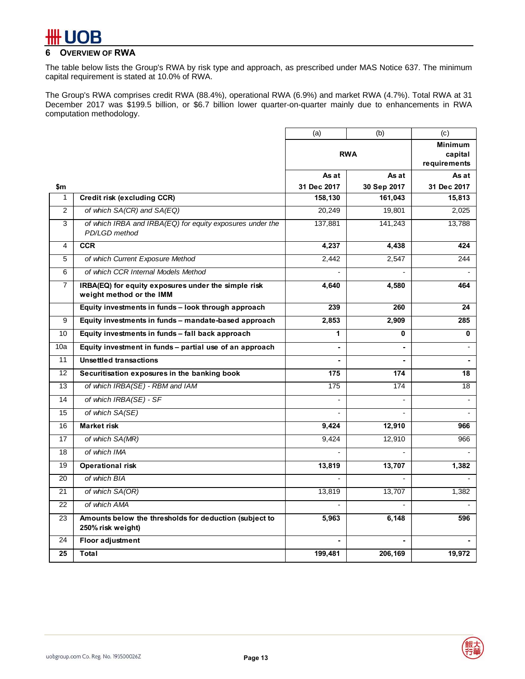## B

### **6 OVERVIEW OF RWA**

The table below lists the Group's RWA by risk type and approach, as prescribed under MAS Notice 637. The minimum capital requirement is stated at 10.0% of RWA.

The Group's RWA comprises credit RWA (88.4%), operational RWA (6.9%) and market RWA (4.7%). Total RWA at 31 December 2017 was \$199.5 billion, or \$6.7 billion lower quarter-on-quarter mainly due to enhancements in RWA computation methodology.

|                 |                                                                                 | (a)            | (b)            | (c)                     |
|-----------------|---------------------------------------------------------------------------------|----------------|----------------|-------------------------|
|                 |                                                                                 |                |                | <b>Minimum</b>          |
|                 |                                                                                 |                | <b>RWA</b>     | capital<br>requirements |
|                 |                                                                                 | As at          | As at          | As at                   |
| \$m             |                                                                                 | 31 Dec 2017    | 30 Sep 2017    | 31 Dec 2017             |
| 1               | Credit risk (excluding CCR)                                                     | 158,130        | 161,043        | 15,813                  |
| 2               | of which SA(CR) and SA(EQ)                                                      | 20,249         | 19,801         | 2,025                   |
| 3               | of which IRBA and IRBA(EQ) for equity exposures under the<br>PD/LGD method      | 137,881        | 141,243        | 13,788                  |
| 4               | <b>CCR</b>                                                                      | 4,237          | 4,438          | 424                     |
| 5               | of which Current Exposure Method                                                | 2.442          | 2,547          | 244                     |
| 6               | of which CCR Internal Models Method                                             |                |                |                         |
| $\overline{7}$  | IRBA(EQ) for equity exposures under the simple risk<br>weight method or the IMM | 4,640          | 4,580          | 464                     |
|                 | Equity investments in funds - look through approach                             | 239            | 260            | 24                      |
| 9               | Equity investments in funds - mandate-based approach                            | 2,853          | 2,909          | 285                     |
| 10 <sup>1</sup> | Equity investments in funds – fall back approach                                | 1              | 0              | 0                       |
| 10a             | Equity investment in funds - partial use of an approach                         | $\blacksquare$ | $\mathbf{r}$   |                         |
| 11              | <b>Unsettled transactions</b>                                                   |                | $\sim$         | $\sim$                  |
| 12              | Securitisation exposures in the banking book                                    | 175            | 174            | 18                      |
| 13              | of which IRBA(SE) - RBM and IAM                                                 | 175            | 174            | 18                      |
| 14              | of which IRBA(SE) - SF                                                          |                |                |                         |
| 15              | of which SA(SE)                                                                 |                |                |                         |
| 16              | <b>Market risk</b>                                                              | 9,424          | 12,910         | 966                     |
| 17              | of which SA(MR)                                                                 | 9.424          | 12,910         | 966                     |
| 18              | of which IMA                                                                    |                |                |                         |
| 19              | <b>Operational risk</b>                                                         | 13,819         | 13,707         | 1,382                   |
| 20              | of which BIA                                                                    |                | $\overline{a}$ |                         |
| 21              | of which SA(OR)                                                                 | 13,819         | 13,707         | 1,382                   |
| 22              | of which AMA                                                                    |                |                |                         |
| 23              | Amounts below the thresholds for deduction (subject to<br>250% risk weight)     | 5,963          | 6,148          | 596                     |
| 24              | <b>Floor adjustment</b>                                                         |                | $\sim$         |                         |
| 25              | Total                                                                           | 199,481        | 206,169        | 19,972                  |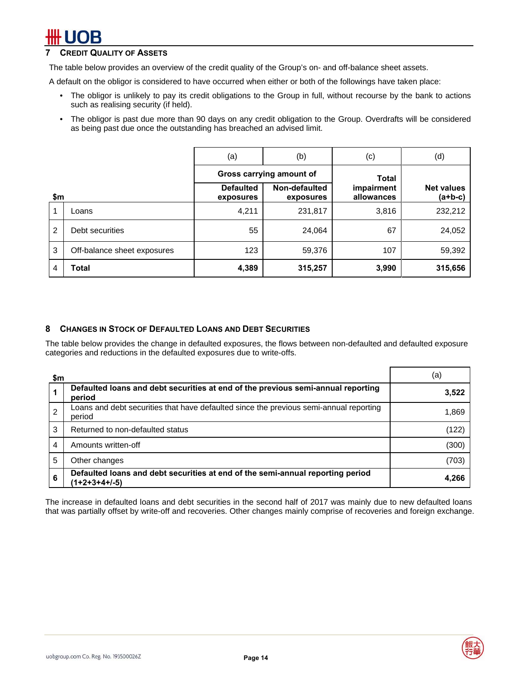### **CREDIT QUALITY OF ASSETS**

The table below provides an overview of the credit quality of the Group's on- and off-balance sheet assets.

A default on the obligor is considered to have occurred when either or both of the followings have taken place:

- The obligor is unlikely to pay its credit obligations to the Group in full, without recourse by the bank to actions such as realising security (if held).
- The obligor is past due more than 90 days on any credit obligation to the Group. Overdrafts will be considered as being past due once the outstanding has breached an advised limit.

|                |                             | (a)                           | (b)                        | (c)                      | (d)                            |
|----------------|-----------------------------|-------------------------------|----------------------------|--------------------------|--------------------------------|
| \$m            |                             |                               | Gross carrying amount of   | <b>Total</b>             |                                |
|                |                             | <b>Defaulted</b><br>exposures | Non-defaulted<br>exposures | impairment<br>allowances | <b>Net values</b><br>$(a+b-c)$ |
| 1              | Loans                       | 4,211                         | 231,817                    | 3,816                    | 232,212                        |
| $\overline{2}$ | Debt securities             | 55                            | 24,064                     | 67                       | 24,052                         |
| 3              | Off-balance sheet exposures | 123                           | 59,376                     | 107                      | 59,392                         |
| 4              | Total                       | 4,389                         | 315,257                    | 3,990                    | 315,656                        |

### **8 CHANGES IN STOCK OF DEFAULTED LOANS AND DEBT SECURITIES**

The table below provides the change in defaulted exposures, the flows between non-defaulted and defaulted exposure categories and reductions in the defaulted exposures due to write-offs.

| \$m            |                                                                                                  | (a)   |
|----------------|--------------------------------------------------------------------------------------------------|-------|
|                | Defaulted loans and debt securities at end of the previous semi-annual reporting<br>period       | 3,522 |
| $\overline{2}$ | Loans and debt securities that have defaulted since the previous semi-annual reporting<br>period | 1,869 |
| 3              | Returned to non-defaulted status                                                                 | (122) |
| 4              | Amounts written-off                                                                              | (300) |
| 5              | Other changes                                                                                    | (703) |
| 6              | Defaulted loans and debt securities at end of the semi-annual reporting period<br>(1+2+3+4+/-5)  | 4,266 |

The increase in defaulted loans and debt securities in the second half of 2017 was mainly due to new defaulted loans that was partially offset by write-off and recoveries. Other changes mainly comprise of recoveries and foreign exchange.



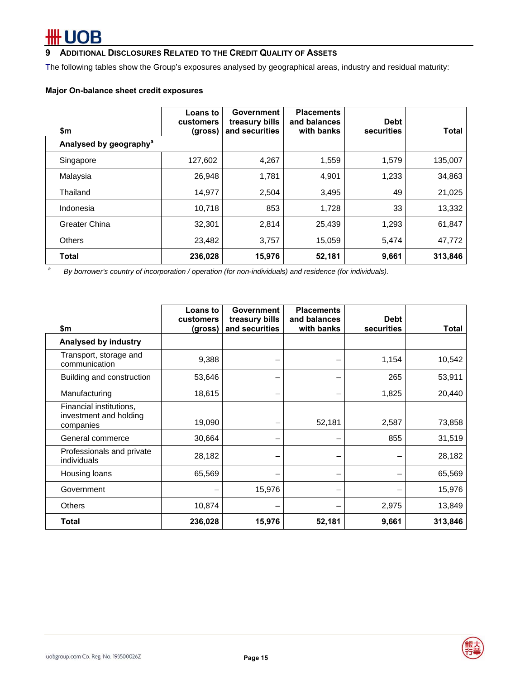# # UOB

### **9 ADDITIONAL DISCLOSURES RELATED TO THE CREDIT QUALITY OF ASSETS**

The following tables show the Group's exposures analysed by geographical areas, industry and residual maturity:

### **Major On-balance sheet credit exposures**

| \$m                                                                                                          | Loans to<br>customers<br>(gross) | Government<br>treasury bills<br>and securities | <b>Placements</b><br>and balances<br>with banks | <b>Debt</b><br>securities | <b>Total</b> |
|--------------------------------------------------------------------------------------------------------------|----------------------------------|------------------------------------------------|-------------------------------------------------|---------------------------|--------------|
| Analysed by geography <sup>a</sup>                                                                           |                                  |                                                |                                                 |                           |              |
| Singapore                                                                                                    | 127,602                          | 4,267                                          | 1,559                                           | 1,579                     | 135,007      |
| Malaysia                                                                                                     | 26,948                           | 1,781                                          | 4,901                                           | 1,233                     | 34,863       |
| Thailand                                                                                                     | 14,977                           | 2,504                                          | 3,495                                           | 49                        | 21,025       |
| Indonesia                                                                                                    | 10,718                           | 853                                            | 1,728                                           | 33                        | 13,332       |
| Greater China                                                                                                | 32,301                           | 2,814                                          | 25,439                                          | 1,293                     | 61,847       |
| <b>Others</b>                                                                                                | 23,482                           | 3,757                                          | 15,059                                          | 5,474                     | 47,772       |
| Total                                                                                                        | 236,028                          | 15,976                                         | 52,181                                          | 9,661                     | 313,846      |
| a<br>By borrowar's country of incorporation (operation (for non-individuals) and residence (for individuals) |                                  |                                                |                                                 |                           |              |

 *By borrower's country of incorporation / operation (for non-individuals) and residence (for individuals).* 

|                                                                | <b>Loans to</b><br>customers | Government<br>treasury bills | <b>Placements</b><br>and balances | <b>Debt</b> |              |
|----------------------------------------------------------------|------------------------------|------------------------------|-----------------------------------|-------------|--------------|
| \$m                                                            | (gross)                      | and securities               | with banks                        | securities  | <b>Total</b> |
| Analysed by industry                                           |                              |                              |                                   |             |              |
| Transport, storage and<br>communication                        | 9,388                        | -                            |                                   | 1,154       | 10,542       |
| Building and construction                                      | 53,646                       | -                            |                                   | 265         | 53,911       |
| Manufacturing                                                  | 18,615                       |                              |                                   | 1,825       | 20,440       |
| Financial institutions,<br>investment and holding<br>companies | 19,090                       |                              | 52,181                            | 2,587       | 73,858       |
| General commerce                                               | 30,664                       |                              |                                   | 855         | 31,519       |
| Professionals and private<br>individuals                       | 28,182                       |                              |                                   |             | 28,182       |
| Housing loans                                                  | 65,569                       |                              |                                   |             | 65,569       |
| Government                                                     |                              | 15,976                       |                                   |             | 15,976       |
| <b>Others</b>                                                  | 10,874                       |                              |                                   | 2,975       | 13,849       |
| <b>Total</b>                                                   | 236,028                      | 15,976                       | 52,181                            | 9,661       | 313,846      |

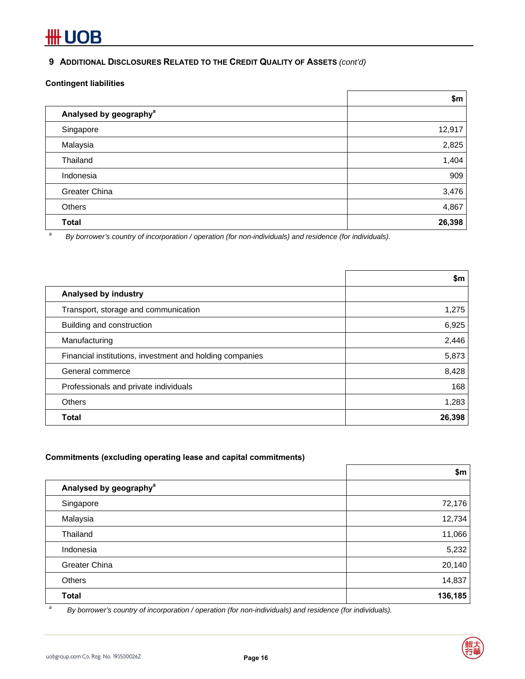### **9 ADDITIONAL DISCLOSURES RELATED TO THE CREDIT QUALITY OF ASSETS** *(cont'd)*

### **Contingent liabilities**

|   |                                                                                                            | \$m    |
|---|------------------------------------------------------------------------------------------------------------|--------|
|   | Analysed by geography <sup>a</sup>                                                                         |        |
|   | Singapore                                                                                                  | 12,917 |
|   | Malaysia                                                                                                   | 2,825  |
|   | Thailand                                                                                                   | 1,404  |
|   | Indonesia                                                                                                  | 909    |
|   | Greater China                                                                                              | 3,476  |
|   | Others                                                                                                     | 4,867  |
|   | <b>Total</b>                                                                                               | 26,398 |
| a | Dubowever also countries of incorporation (operation (for non-individuale) and residence (for individuale) |        |

F

 *By borrower's country of incorporation / operation (for non-individuals) and residence (for individuals).* 

|                                                          | \$m    |
|----------------------------------------------------------|--------|
| Analysed by industry                                     |        |
| Transport, storage and communication                     | 1,275  |
| Building and construction                                | 6,925  |
| Manufacturing                                            | 2,446  |
| Financial institutions, investment and holding companies | 5,873  |
| General commerce                                         | 8,428  |
| Professionals and private individuals                    | 168    |
| Others                                                   | 1,283  |
| Total                                                    | 26,398 |

### **Commitments (excluding operating lease and capital commitments)**

|                                    | \$m     |
|------------------------------------|---------|
| Analysed by geography <sup>a</sup> |         |
| Singapore                          | 72,176  |
| Malaysia                           | 12,734  |
| Thailand                           | 11,066  |
| Indonesia                          | 5,232   |
| Greater China                      | 20,140  |
| Others                             | 14,837  |
| <b>Total</b>                       | 136,185 |

*a By borrower's country of incorporation / operation (for non-individuals) and residence (for individuals).*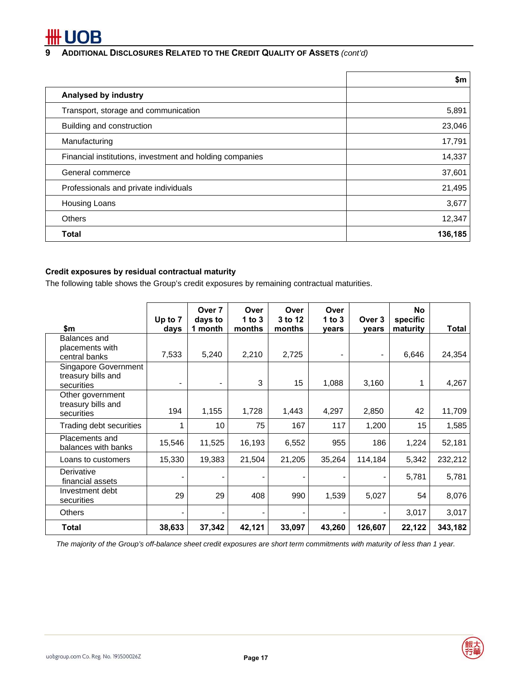# *FUOB*

### **9 ADDITIONAL DISCLOSURES RELATED TO THE CREDIT QUALITY OF ASSETS** *(cont'd)*

|                                                          | \$m     |
|----------------------------------------------------------|---------|
| Analysed by industry                                     |         |
| Transport, storage and communication                     | 5,891   |
| Building and construction                                | 23,046  |
| Manufacturing                                            | 17,791  |
| Financial institutions, investment and holding companies | 14,337  |
| General commerce                                         | 37,601  |
| Professionals and private individuals                    | 21,495  |
| <b>Housing Loans</b>                                     | 3,677   |
| <b>Others</b>                                            | 12,347  |
| <b>Total</b>                                             | 136,185 |

### **Credit exposures by residual contractual maturity**

The following table shows the Group's credit exposures by remaining contractual maturities.

|                                       | Up to 7 | Over 7<br>days to | Over<br>1 to $3$ | Over<br>3 to 12 | Over<br>1 to $3$ | Over 3  | <b>No</b><br>specific |         |
|---------------------------------------|---------|-------------------|------------------|-----------------|------------------|---------|-----------------------|---------|
| \$m                                   | days    | 1 month           | months           | months          | years            | years   | maturity              | Total   |
| Balances and                          |         |                   |                  |                 |                  |         |                       |         |
| placements with<br>central banks      | 7,533   | 5,240             | 2,210            | 2,725           | $\blacksquare$   |         | 6,646                 | 24,354  |
| Singapore Government                  |         |                   |                  |                 |                  |         |                       |         |
| treasury bills and<br>securities      |         |                   | 3                | 15              | 1,088            | 3,160   | 1                     | 4,267   |
| Other government                      |         |                   |                  |                 |                  |         |                       |         |
| treasury bills and<br>securities      | 194     | 1,155             | 1,728            | 1,443           | 4,297            | 2,850   | 42                    | 11,709  |
| Trading debt securities               |         | 10                | 75               | 167             | 117              | 1,200   | 15                    | 1,585   |
| Placements and<br>balances with banks | 15,546  | 11,525            | 16,193           | 6,552           | 955              | 186     | 1,224                 | 52,181  |
| Loans to customers                    | 15,330  | 19,383            | 21,504           | 21,205          | 35,264           | 114,184 | 5,342                 | 232,212 |
| Derivative<br>financial assets        |         | ۰                 |                  |                 |                  |         | 5,781                 | 5,781   |
| Investment debt<br>securities         | 29      | 29                | 408              | 990             | 1,539            | 5,027   | 54                    | 8,076   |
| <b>Others</b>                         |         |                   |                  |                 |                  |         | 3,017                 | 3,017   |
| <b>Total</b>                          | 38,633  | 37,342            | 42,121           | 33,097          | 43,260           | 126,607 | 22,122                | 343,182 |

*The majority of the Group's off-balance sheet credit exposures are short term commitments with maturity of less than 1 year.* 

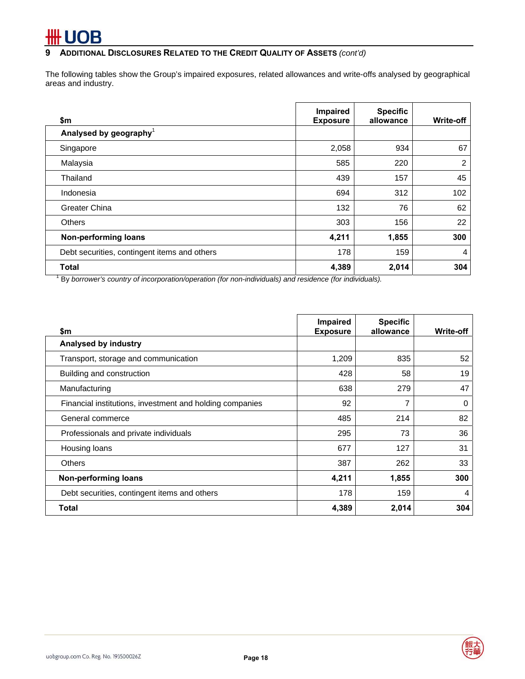**9 ADDITIONAL DISCLOSURES RELATED TO THE CREDIT QUALITY OF ASSETS** *(cont'd)*

The following tables show the Group's impaired exposures, related allowances and write-offs analysed by geographical areas and industry.

| \$m                                          | Impaired<br><b>Exposure</b> | <b>Specific</b><br>allowance | Write-off      |
|----------------------------------------------|-----------------------------|------------------------------|----------------|
| Analysed by geography <sup>1</sup>           |                             |                              |                |
| Singapore                                    | 2,058                       | 934                          | 67             |
| Malaysia                                     | 585                         | 220                          | $\overline{2}$ |
| Thailand                                     | 439                         | 157                          | 45             |
| Indonesia                                    | 694                         | 312                          | 102            |
| Greater China                                | 132                         | 76                           | 62             |
| <b>Others</b>                                | 303                         | 156                          | 22             |
| <b>Non-performing loans</b>                  | 4,211                       | 1,855                        | 300            |
| Debt securities, contingent items and others | 178                         | 159                          | 4              |
| <b>Total</b>                                 | 4,389                       | 2,014                        | 304            |

<sup>1</sup> By borrower's country of incorporation/operation (for non-individuals) and residence (for individuals).

| \$m                                                      | <b>Impaired</b><br><b>Exposure</b> | <b>Specific</b><br>allowance | <b>Write-off</b> |
|----------------------------------------------------------|------------------------------------|------------------------------|------------------|
| Analysed by industry                                     |                                    |                              |                  |
| Transport, storage and communication                     | 1,209                              | 835                          | 52               |
| Building and construction                                | 428                                | 58                           | 19               |
| Manufacturing                                            | 638                                | 279                          | 47               |
| Financial institutions, investment and holding companies | 92                                 | 7                            | 0                |
| General commerce                                         | 485                                | 214                          | 82               |
| Professionals and private individuals                    | 295                                | 73                           | 36               |
| Housing loans                                            | 677                                | 127                          | 31               |
| <b>Others</b>                                            | 387                                | 262                          | 33               |
| Non-performing loans                                     | 4,211                              | 1,855                        | 300              |
| Debt securities, contingent items and others             | 178                                | 159                          | 4                |
| Total                                                    | 4,389                              | 2,014                        | 304              |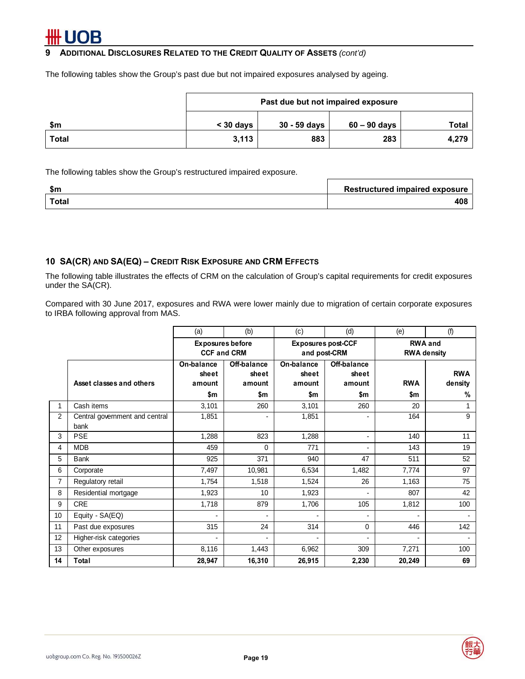### **9 ADDITIONAL DISCLOSURES RELATED TO THE CREDIT QUALITY OF ASSETS** *(cont'd)*

The following tables show the Group's past due but not impaired exposures analysed by ageing.

|       | Past due but not impaired exposure |                |              |              |  |  |  |  |  |
|-------|------------------------------------|----------------|--------------|--------------|--|--|--|--|--|
| \$m   | $<$ 30 days                        | $30 - 59$ days | 60 – 90 days | <b>Total</b> |  |  |  |  |  |
| Total | 3,113                              | 883            | 283          | 4,279        |  |  |  |  |  |

The following tables show the Group's restructured impaired exposure.

| \$m   | <b>Restructured impaired exposure</b> |
|-------|---------------------------------------|
| Total | 408                                   |

### **10 SA(CR) AND SA(EQ) – CREDIT RISK EXPOSURE AND CRM EFFECTS**

The following table illustrates the effects of CRM on the calculation of Group's capital requirements for credit exposures under the SA(CR).

Compared with 30 June 2017, exposures and RWA were lower mainly due to migration of certain corporate exposures to IRBA following approval from MAS.

|    |                                        | (a)                                           | (b)                                   | (c)                                       | (d)                                   | (e)                                  | (f)                        |  |
|----|----------------------------------------|-----------------------------------------------|---------------------------------------|-------------------------------------------|---------------------------------------|--------------------------------------|----------------------------|--|
|    |                                        | <b>Exposures before</b><br><b>CCF and CRM</b> |                                       | <b>Exposures post-CCF</b><br>and post-CRM |                                       | <b>RWA and</b><br><b>RWA density</b> |                            |  |
|    | Asset classes and others               | On-balance<br>sheet<br>amount<br>\$m          | Off-balance<br>sheet<br>amount<br>\$m | On-balance<br>sheet<br>amount<br>\$m      | Off-balance<br>sheet<br>amount<br>\$m | <b>RWA</b><br>\$m                    | <b>RWA</b><br>density<br>% |  |
|    | Cash items                             | 3,101                                         | 260                                   | 3,101                                     | 260                                   | 20                                   |                            |  |
| 2  | Central government and central<br>bank | 1,851                                         | ۰                                     | 1,851                                     | ۰                                     | 164                                  | 9                          |  |
| 3  | <b>PSE</b>                             | 1,288                                         | 823                                   | 1,288                                     | $\blacksquare$                        | 140                                  | 11                         |  |
| 4  | <b>MDB</b>                             | 459                                           | $\Omega$                              | 771                                       |                                       | 143                                  | 19                         |  |
| 5  | <b>Bank</b>                            | 925                                           | 371                                   | 940                                       | 47                                    | 511                                  | 52                         |  |
| 6  | Corporate                              | 7,497                                         | 10,981                                | 6,534                                     | 1,482                                 | 7,774                                | 97                         |  |
| 7  | Regulatory retail                      | 1,754                                         | 1,518                                 | 1,524                                     | 26                                    | 1,163                                | 75                         |  |
| 8  | Residential mortgage                   | 1,923                                         | 10                                    | 1,923                                     |                                       | 807                                  | 42                         |  |
| 9  | <b>CRE</b>                             | 1,718                                         | 879                                   | 1,706                                     | 105                                   | 1,812                                | 100                        |  |
| 10 | Equity - SA(EQ)                        |                                               | $\overline{a}$                        |                                           |                                       |                                      | $\overline{\phantom{0}}$   |  |
| 11 | Past due exposures                     | 315                                           | 24                                    | 314                                       | 0                                     | 446                                  | 142                        |  |
| 12 | Higher-risk categories                 |                                               | -                                     |                                           |                                       |                                      |                            |  |
| 13 | Other exposures                        | 8,116                                         | 1,443                                 | 6,962                                     | 309                                   | 7,271                                | 100                        |  |
| 14 | <b>Total</b>                           | 28,947                                        | 16,310                                | 26,915                                    | 2,230                                 | 20,249                               | 69                         |  |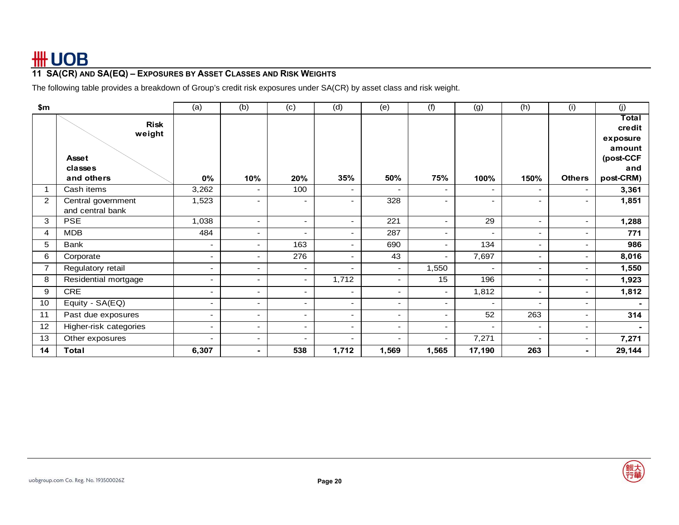## **11 SA(CR) AND SA(EQ) – EXPOSURES BY ASSET CLASSES AND RISK WEIGHTS**

The following table provides a breakdown of Group's credit risk exposures under SA(CR) by asset class and risk weight.

| \$m            |                                        | (a)                      | (b)                      | (c)                      | (d)                      | (e)                      | (f)                      | (g)                      | (h)                      | (i)                      | (j)                |
|----------------|----------------------------------------|--------------------------|--------------------------|--------------------------|--------------------------|--------------------------|--------------------------|--------------------------|--------------------------|--------------------------|--------------------|
|                | <b>Risk</b><br>weight                  |                          |                          |                          |                          |                          |                          |                          |                          |                          | Total<br>credit    |
|                |                                        |                          |                          |                          |                          |                          |                          |                          |                          |                          | exposure<br>amount |
|                | <b>Asset</b>                           |                          |                          |                          |                          |                          |                          |                          |                          |                          | (post-CCF          |
|                | classes                                |                          |                          |                          |                          |                          |                          |                          |                          |                          | and                |
|                | and others                             | 0%                       | 10%                      | 20%                      | 35%                      | 50%                      | 75%                      | 100%                     | 150%                     | <b>Others</b>            | post-CRM)          |
|                | Cash items                             | 3,262                    | $\overline{\phantom{a}}$ | 100                      | ۰                        |                          | ۰.                       | $\overline{\phantom{a}}$ | $\overline{\phantom{a}}$ | $\sim$                   | 3,361              |
| $\overline{2}$ | Central government<br>and central bank | 1,523                    | $\overline{\phantom{a}}$ | ٠                        | -                        | 328                      | $\overline{\phantom{a}}$ | $\overline{\phantom{a}}$ | $\overline{\phantom{0}}$ | $\overline{\phantom{a}}$ | 1,851              |
| 3              | <b>PSE</b>                             | 1,038                    | $\overline{\phantom{a}}$ | $\sim$                   | ٠.                       | 221                      | $\sim$                   | 29                       | $\overline{\phantom{a}}$ | $\sim$                   | 1,288              |
| 4              | <b>MDB</b>                             | 484                      | $\overline{\phantom{a}}$ | ٠.                       | -                        | 287                      | $\overline{\phantom{a}}$ | $\overline{\phantom{a}}$ | $\overline{\phantom{a}}$ | $\sim$                   | 771                |
| 5              | Bank                                   | $\blacksquare$           | $\overline{\phantom{0}}$ | 163                      |                          | 690                      | $\overline{\phantom{a}}$ | 134                      |                          | $\sim$                   | 986                |
| 6              | Corporate                              | ٠                        | $\overline{\phantom{a}}$ | 276                      | -                        | 43                       | $\overline{\phantom{a}}$ | 7,697                    | $\overline{\phantom{a}}$ | $\sim$                   | 8,016              |
| $\overline{7}$ | Regulatory retail                      | $\blacksquare$           | $\overline{\phantom{a}}$ | $\sim$                   | ۰                        | $\overline{\phantom{a}}$ | 1,550                    | $\blacksquare$           | $\overline{\phantom{a}}$ | $\overline{\phantom{a}}$ | 1,550              |
| 8              | Residential mortgage                   | $\sim$                   | $\overline{\phantom{a}}$ | $\overline{\phantom{a}}$ | 1,712                    | $\overline{\phantom{a}}$ | 15                       | 196                      | $\sim$                   | $\sim$                   | 1,923              |
| 9              | <b>CRE</b>                             | $\sim$                   | $\overline{\phantom{a}}$ | $\sim$                   | ٠                        | $\sim$                   | $\overline{\phantom{a}}$ | 1,812                    | $\overline{\phantom{a}}$ | $\sim$                   | 1,812              |
| 10             | Equity - SA(EQ)                        | $\overline{\phantom{0}}$ | $\overline{\phantom{a}}$ | $\sim$                   | ٠                        | $\overline{\phantom{a}}$ | $\sim$                   | $\overline{\phantom{a}}$ |                          | $\sim$                   |                    |
| 11             | Past due exposures                     | ۰.                       | $\overline{\phantom{a}}$ | ٠.                       | ٠                        | $\overline{\phantom{a}}$ | $\overline{\phantom{a}}$ | 52                       | 263                      | $\sim$                   | 314                |
| 12             | Higher-risk categories                 | $\overline{\phantom{0}}$ | $\overline{\phantom{0}}$ | $\overline{\phantom{0}}$ | -                        |                          | $\overline{\phantom{a}}$ | $\blacksquare$           |                          | $\sim$                   | ۰.                 |
| 13             | Other exposures                        | $\sim$                   | $\overline{\phantom{a}}$ | ٠                        | $\overline{\phantom{0}}$ | $\overline{\phantom{0}}$ | $\overline{\phantom{a}}$ | 7,271                    | $\overline{\phantom{a}}$ | $\sim$                   | 7,271              |
| 14             | Total                                  | 6,307                    |                          | 538                      | 1,712                    | 1,569                    | 1,565                    | 17,190                   | 263                      | $\blacksquare$           | 29,144             |

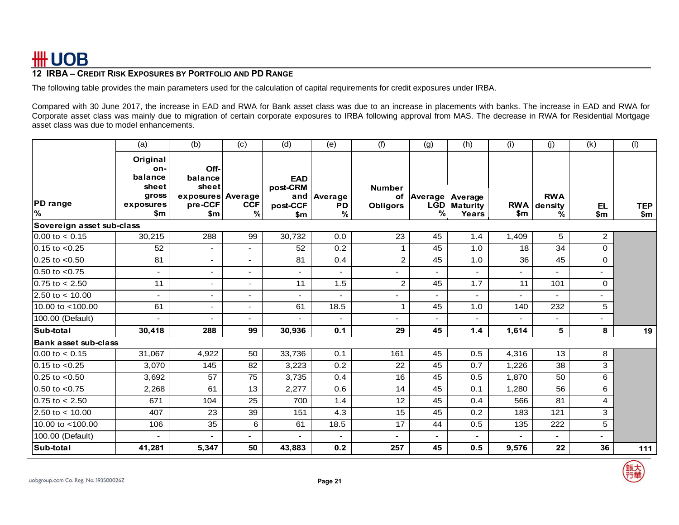### **12 IRBA – CREDIT RISK EXPOSURES BY PORTFOLIO AND PD RANGE**

The following table provides the main parameters used for the calculation of capital requirements for credit exposures under IRBA.

Compared with 30 June 2017, the increase in EAD and RWA for Bank asset class was due to an increase in placements with banks. The increase in EAD and RWA for Corporate asset class was mainly due to migration of certain corporate exposures to IRBA following approval from MAS. The decrease in RWA for Residential Mortgage asset class was due to model enhancements.

|                             | (a)                                                                        | (b)                                                             | (c)                      | (d)                                              | (e)                   | (f)                              | (g)                | (h)                                              | (i)            | (j)                        | (k)              | (1)               |
|-----------------------------|----------------------------------------------------------------------------|-----------------------------------------------------------------|--------------------------|--------------------------------------------------|-----------------------|----------------------------------|--------------------|--------------------------------------------------|----------------|----------------------------|------------------|-------------------|
| <b>PD</b> range<br>%        | Original<br>on-<br>balance<br>sheet<br>gross<br>exposures<br>$\mathsf{sm}$ | Off-<br>balance<br>sheet<br>exposures Average<br>pre-CCF<br>\$m | <b>CCF</b><br>%          | <b>EAD</b><br>post-CRM<br>and<br>post-CCF<br>\$m | Average<br>PD<br>$\%$ | <b>Number</b><br><b>Obligors</b> | <b>LGD</b><br>$\%$ | of Average   Average<br><b>Maturity</b><br>Years | RWA<br>\$m     | <b>RWA</b><br>density<br>% | <b>EL</b><br>\$m | <b>TEP</b><br>\$m |
| Sovereign asset sub-class   |                                                                            |                                                                 |                          |                                                  |                       |                                  |                    |                                                  |                |                            |                  |                   |
| $0.00$ to $< 0.15$          | 30,215                                                                     | 288                                                             | 99                       | 30,732                                           | 0.0                   | 23                               | 45                 | 1.4                                              | 1,409          | 5                          | $\overline{a}$   |                   |
| $0.15$ to $< 0.25$          | 52                                                                         |                                                                 | $\overline{\phantom{0}}$ | 52                                               | 0.2                   | $\mathbf{1}$                     | 45                 | 1.0                                              | 18             | 34                         | 0                |                   |
| $0.25$ to $< 0.50$          | 81                                                                         | $\sim$                                                          | $\overline{a}$           | 81                                               | 0.4                   | $\mathbf{2}$                     | 45                 | 1.0                                              | 36             | 45                         | 0                |                   |
| $0.50$ to $< 0.75$          | $\overline{\phantom{a}}$                                                   | $\overline{\phantom{0}}$                                        | $\blacksquare$           | $\overline{\phantom{a}}$                         | $\overline{a}$        |                                  | $\blacksquare$     | $\overline{\phantom{0}}$                         | $\blacksquare$ |                            | $\overline{a}$   |                   |
| $0.75$ to $< 2.50$          | 11                                                                         |                                                                 | $\blacksquare$           | 11                                               | 1.5                   | $\overline{c}$                   | 45                 | 1.7                                              | 11             | 101                        | 0                |                   |
| 2.50 to $<$ 10.00           | $\overline{\phantom{a}}$                                                   |                                                                 | $\overline{\phantom{a}}$ | $\overline{\phantom{a}}$                         |                       |                                  |                    |                                                  |                |                            | ٠                |                   |
| 10.00 to <100.00            | 61                                                                         | $\overline{\phantom{a}}$                                        | $\overline{\phantom{a}}$ | 61                                               | 18.5                  | $\mathbf{1}$                     | 45                 | 1.0                                              | 140            | 232                        | 5                |                   |
| 100.00 (Default)            | $\overline{\phantom{a}}$                                                   | $\blacksquare$                                                  | $\blacksquare$           | $\overline{\phantom{0}}$                         |                       | $\blacksquare$                   | $\blacksquare$     | $\blacksquare$                                   | $\blacksquare$ |                            | $\sim$           |                   |
| Sub-total                   | 30,418                                                                     | 288                                                             | 99                       | 30,936                                           | 0.1                   | 29                               | 45                 | 1.4                                              | 1,614          | 5                          | 8                | 19                |
| <b>Bank asset sub-class</b> |                                                                            |                                                                 |                          |                                                  |                       |                                  |                    |                                                  |                |                            |                  |                   |
| $0.00$ to $< 0.15$          | 31,067                                                                     | 4,922                                                           | 50                       | 33,736                                           | 0.1                   | 161                              | 45                 | 0.5                                              | 4,316          | 13                         | 8                |                   |
| $0.15$ to $< 0.25$          | 3,070                                                                      | 145                                                             | 82                       | 3,223                                            | 0.2                   | 22                               | 45                 | 0.7                                              | 1,226          | $\overline{38}$            | 3                |                   |
| $0.25$ to $< 0.50$          | 3,692                                                                      | 57                                                              | 75                       | 3,735                                            | 0.4                   | 16                               | 45                 | 0.5                                              | 1,870          | 50                         | 6                |                   |
| $0.50$ to $< 0.75$          | 2,268                                                                      | 61                                                              | 13                       | 2,277                                            | 0.6                   | 14                               | 45                 | 0.1                                              | 1,280          | 56                         | 6                |                   |
| $0.75$ to $< 2.50$          | 671                                                                        | 104                                                             | 25                       | 700                                              | 1.4                   | 12                               | 45                 | 0.4                                              | 566            | 81                         | 4                |                   |
| 2.50 to $< 10.00$           | 407                                                                        | 23                                                              | 39                       | 151                                              | 4.3                   | 15                               | 45                 | 0.2                                              | 183            | 121                        | 3                |                   |
| 10.00 to <100.00            | 106                                                                        | 35                                                              | 6                        | 61                                               | 18.5                  | 17                               | 44                 | 0.5                                              | 135            | 222                        | 5                |                   |
| 100.00 (Default)            | $\blacksquare$                                                             |                                                                 | $\sim$                   | $\sim$                                           | ٠                     | $\overline{a}$                   | $\blacksquare$     | $\overline{\phantom{0}}$                         | $\overline{a}$ | $\overline{\phantom{0}}$   | $\sim$           |                   |
| Sub-total                   | 41,281                                                                     | 5,347                                                           | 50                       | 43,883                                           | 0.2                   | 257                              | 45                 | 0.5                                              | 9,576          | 22                         | 36               | $111$             |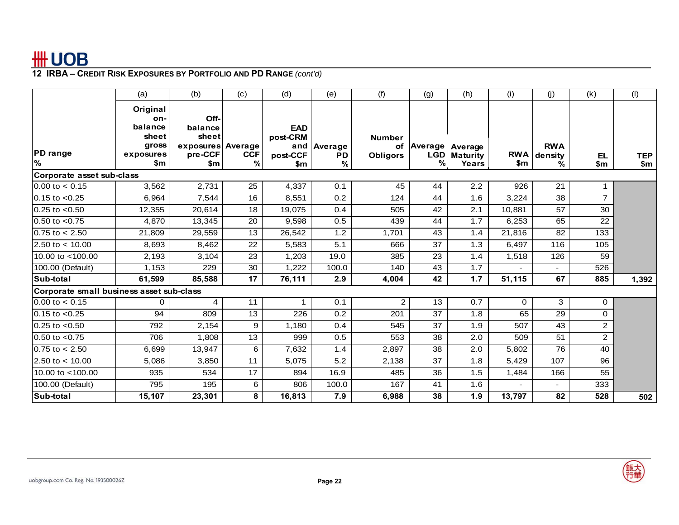|                                          | (a)                                                              | (b)                                                             | (c)             | (d)                                              | (e)                            | (f)                              | (g) | (h)                                                  | (i)    | (j)                            | (k)            | (1)               |
|------------------------------------------|------------------------------------------------------------------|-----------------------------------------------------------------|-----------------|--------------------------------------------------|--------------------------------|----------------------------------|-----|------------------------------------------------------|--------|--------------------------------|----------------|-------------------|
| <b>PD</b> range<br>$\%$                  | Original<br>on-<br>balance<br>sheet<br>gross<br>exposures<br>\$m | Off-<br>balance<br>sheet<br>exposures Average<br>pre-CCF<br>\$m | <b>CCF</b><br>% | <b>EAD</b><br>post-CRM<br>and<br>post-CCF<br>\$m | Average<br>PD<br>$\frac{9}{6}$ | <b>Number</b><br><b>Obligors</b> | %   | of Average   Average<br><b>LGD</b> Maturity<br>Years | \$m    | <b>RWA</b><br>RWA density<br>℅ | EL<br>\$m      | <b>TEP</b><br>\$m |
| Corporate asset sub-class                |                                                                  |                                                                 |                 |                                                  |                                |                                  |     |                                                      |        |                                |                |                   |
| $0.00$ to $< 0.15$                       | 3,562                                                            | 2,731                                                           | 25              | 4,337                                            | 0.1                            | 45                               | 44  | 2.2                                                  | 926    | 21                             |                |                   |
| $0.15$ to $< 0.25$                       | 6,964                                                            | 7,544                                                           | 16              | 8,551                                            | 0.2                            | 124                              | 44  | 1.6                                                  | 3,224  | 38                             | $\overline{7}$ |                   |
| $0.25$ to $< 0.50$                       | 12,355                                                           | 20,614                                                          | 18              | 19,075                                           | 0.4                            | 505                              | 42  | $\overline{2.1}$                                     | 10.881 | 57                             | 30             |                   |
| $0.50$ to $< 0.75$                       | 4,870                                                            | 13,345                                                          | 20              | 9,598                                            | 0.5                            | 439                              | 44  | 1.7                                                  | 6,253  | 65                             | 22             |                   |
| $0.75$ to $< 2.50$                       | 21,809                                                           | 29,559                                                          | 13              | 26,542                                           | 1.2                            | 1,701                            | 43  | 1.4                                                  | 21.816 | 82                             | 133            |                   |
| $2.50 \text{ to} < 10.00$                | 8,693                                                            | 8,462                                                           | 22              | 5,583                                            | 5.1                            | 666                              | 37  | 1.3                                                  | 6,497  | 116                            | 105            |                   |
| 10.00 to <100.00                         | 2,193                                                            | 3,104                                                           | 23              | 1,203                                            | 19.0                           | 385                              | 23  | 1.4                                                  | 1,518  | 126                            | 59             |                   |
| 100.00 (Default)                         | 1,153                                                            | 229                                                             | $\overline{30}$ | 1,222                                            | 100.0                          | 140                              | 43  | 1.7                                                  |        |                                | 526            |                   |
| Sub-total                                | 61,599                                                           | 85,588                                                          | 17              | 76,111                                           | 2.9                            | 4,004                            | 42  | 1.7                                                  | 51,115 | 67                             | 885            | 1,392             |
| Corporate small business asset sub-class |                                                                  |                                                                 |                 |                                                  |                                |                                  |     |                                                      |        |                                |                |                   |
| $0.00$ to $< 0.15$                       | $\Omega$                                                         | 4                                                               | 11              | 1                                                | 0.1                            | $\overline{2}$                   | 13  | 0.7                                                  | 0      | 3                              | $\overline{0}$ |                   |
| $0.15$ to $< 0.25$                       | 94                                                               | 809                                                             | 13              | 226                                              | 0.2                            | 201                              | 37  | 1.8                                                  | 65     | 29                             | $\mathbf{0}$   |                   |
| $0.25$ to $< 0.50$                       | 792                                                              | 2,154                                                           | 9               | 1.180                                            | 0.4                            | 545                              | 37  | 1.9                                                  | 507    | 43                             | $\overline{2}$ |                   |
| $0.50$ to $< 0.75$                       | 706                                                              | 1,808                                                           | 13              | 999                                              | 0.5                            | 553                              | 38  | 2.0                                                  | 509    | 51                             | $\overline{2}$ |                   |
| $0.75$ to $< 2.50$                       | 6,699                                                            | 13,947                                                          | 6               | 7,632                                            | 1.4                            | 2,897                            | 38  | 2.0                                                  | 5,802  | 76                             | 40             |                   |
| $2.50 \text{ to} < 10.00$                | 5,086                                                            | 3,850                                                           | 11              | 5,075                                            | 5.2                            | 2,138                            | 37  | 1.8                                                  | 5,429  | 107                            | 96             |                   |
| 10.00 to <100.00                         | 935                                                              | 534                                                             | 17              | 894                                              | 16.9                           | 485                              | 36  | 1.5                                                  | 1,484  | 166                            | 55             |                   |
| 100.00 (Default)                         | 795                                                              | 195                                                             | 6               | 806                                              | 100.0                          | 167                              | 41  | 1.6                                                  |        | $\sim$                         | 333            |                   |
| Sub-total                                | 15,107                                                           | 23,301                                                          | 8               | 16,813                                           | 7.9                            | 6,988                            | 38  | 1.9                                                  | 13,797 | 82                             | 528            | 502               |

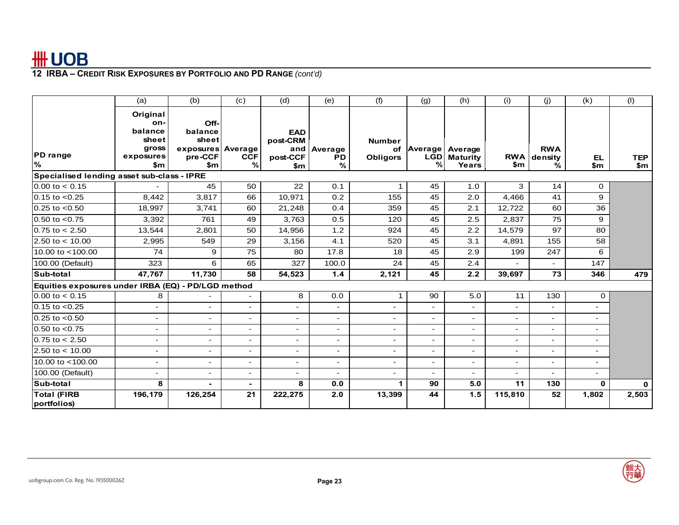|                                                                                                                        | (a)                                                              | (b)                                                               | (c)                      | (d)                                       | (e)                                  | (f)                              | (g)                        | (h)                          | (i)                      | (j)                            | (k)                      | (1)               |  |
|------------------------------------------------------------------------------------------------------------------------|------------------------------------------------------------------|-------------------------------------------------------------------|--------------------------|-------------------------------------------|--------------------------------------|----------------------------------|----------------------------|------------------------------|--------------------------|--------------------------------|--------------------------|-------------------|--|
| <b>PD</b> range<br>%                                                                                                   | Original<br>on-<br>balance<br>sheet<br>gross<br>exposures<br>\$m | Off-<br>balance<br>sheet<br>exposures Average<br>pre-CCF<br>\$m\$ | <b>CCF</b><br>℅          | <b>EAD</b><br>post-CRM<br>post-CCF<br>\$m | and   Average<br>PD<br>$\frac{9}{6}$ | <b>Number</b><br><b>Obligors</b> | of Average   Average<br>%∣ | <b>LGD</b> Maturity<br>Years | \$m                      | <b>RWA</b><br>RWA density<br>℅ | EL<br>\$m                | <b>TEP</b><br>\$m |  |
| Specialised lending asset sub-class - IPRE<br>$0.00$ to $< 0.15$<br>45<br>50<br>22<br>3<br>0.1<br>45<br>1.0<br>14<br>0 |                                                                  |                                                                   |                          |                                           |                                      |                                  |                            |                              |                          |                                |                          |                   |  |
| $0.15$ to $< 0.25$                                                                                                     | 8,442                                                            | 3,817                                                             | 66                       | 10,971                                    | 0.2                                  | 155                              | 45                         | 2.0                          | 4,466                    | 41                             | 9                        |                   |  |
| $0.25$ to $< 0.50$                                                                                                     | 18,997                                                           | 3,741                                                             | 60                       | 21,248                                    | 0.4                                  | 359                              | 45                         | 2.1                          | 12,722                   | 60                             | 36                       |                   |  |
| $0.50$ to $< 0.75$                                                                                                     | 3,392                                                            | 761                                                               | 49                       | 3,763                                     | 0.5                                  | 120                              | 45                         | 2.5                          | 2.837                    | 75                             | 9                        |                   |  |
| $0.75$ to $< 2.50$                                                                                                     | 13,544                                                           | 2,801                                                             | 50                       | 14,956                                    | 1.2                                  | 924                              | 45                         | 2.2                          | 14,579                   | 97                             | 80                       |                   |  |
| 2.50 to $< 10.00$                                                                                                      | 2,995                                                            | 549                                                               | 29                       | 3,156                                     | 4.1                                  | 520                              | 45                         | 3.1                          | 4,891                    | 155                            | 58                       |                   |  |
| 10.00 to $<$ 100.00                                                                                                    | 74                                                               | 9                                                                 | $\overline{75}$          | 80                                        | 17.8                                 | 18                               | 45                         | 2.9                          | 199                      | 247                            | 6                        |                   |  |
| 100.00 (Default)                                                                                                       | 323                                                              | 6                                                                 | 65                       | 327                                       | 100.0                                | 24                               | 45                         | 2.4                          |                          |                                | 147                      |                   |  |
| Sub-total                                                                                                              | 47.767                                                           | 11,730                                                            | 58                       | 54.523                                    | 1.4                                  | 2,121                            | 45                         | 2.2                          | 39.697                   | 73                             | 346                      | 479               |  |
| Equities exposures under IRBA (EQ) - PD/LGD method                                                                     |                                                                  |                                                                   |                          |                                           |                                      |                                  |                            |                              |                          |                                |                          |                   |  |
| $0.00$ to $< 0.15$                                                                                                     | 8                                                                |                                                                   | $\blacksquare$           | 8                                         | 0.0                                  | $\mathbf 1$                      | 90                         | 5.0                          | 11                       | 130                            | $\mathbf 0$              |                   |  |
| $0.15$ to $< 0.25$                                                                                                     | $\overline{\phantom{0}}$                                         | $\overline{\phantom{a}}$                                          | $\blacksquare$           | $\overline{\phantom{0}}$                  | $\overline{\phantom{a}}$             | $\blacksquare$                   | $\blacksquare$             | $\blacksquare$               | $\blacksquare$           | $\overline{\phantom{0}}$       | $\blacksquare$           |                   |  |
| $0.25$ to $< 0.50$                                                                                                     | $\blacksquare$                                                   |                                                                   | $\overline{\phantom{0}}$ | $\overline{\phantom{a}}$                  |                                      |                                  | $\overline{a}$             |                              | $\blacksquare$           |                                | $\overline{\phantom{0}}$ |                   |  |
| $0.50$ to $< 0.75$                                                                                                     | $\blacksquare$                                                   | $\blacksquare$                                                    | $\blacksquare$           | $\blacksquare$                            | $\overline{\phantom{a}}$             | $\overline{\phantom{a}}$         | $\blacksquare$             | $\blacksquare$               | $\blacksquare$           | $\overline{\phantom{a}}$       | $\blacksquare$           |                   |  |
| $0.75$ to $< 2.50$                                                                                                     | $\overline{a}$                                                   |                                                                   | $\overline{\phantom{a}}$ | $\blacksquare$                            | $\blacksquare$                       |                                  | $\overline{\phantom{a}}$   | $\overline{\phantom{a}}$     | $\blacksquare$           |                                | $\overline{\phantom{a}}$ |                   |  |
| 2.50 to $< 10.00$                                                                                                      | $\overline{\phantom{0}}$                                         | $\blacksquare$                                                    | $\blacksquare$           | $\overline{\phantom{a}}$                  | $\overline{\phantom{a}}$             | $\overline{\phantom{a}}$         | $\blacksquare$             | $\blacksquare$               | $\overline{\phantom{0}}$ | $\blacksquare$                 | $\overline{\phantom{0}}$ |                   |  |
| 10.00 to <100.00                                                                                                       | $\overline{\phantom{0}}$                                         |                                                                   | $\blacksquare$           | $\overline{\phantom{0}}$                  | $\overline{\phantom{0}}$             |                                  | $\blacksquare$             | $\overline{a}$               | $\blacksquare$           |                                | $\overline{\phantom{0}}$ |                   |  |
| 100.00 (Default)                                                                                                       | $\overline{\phantom{0}}$                                         |                                                                   | $\overline{\phantom{0}}$ | $\overline{\phantom{a}}$                  | $\overline{\phantom{a}}$             |                                  | $\overline{\phantom{0}}$   | $\overline{\phantom{a}}$     | $\overline{\phantom{0}}$ |                                | $\overline{\phantom{0}}$ |                   |  |
| Sub-total                                                                                                              | 8                                                                |                                                                   | $\blacksquare$           | 8                                         | 0.0                                  | 1                                | 90                         | 5.0                          | 11                       | 130                            | $\Omega$                 | $\mathbf 0$       |  |
| <b>Total (FIRB</b><br>portfolios)                                                                                      | 196,179                                                          | 126,254                                                           | 21                       | 222,275                                   | 2.0                                  | 13,399                           | 44                         | 1.5                          | 115,810                  | 52                             | 1,802                    | 2,503             |  |

**Page 23**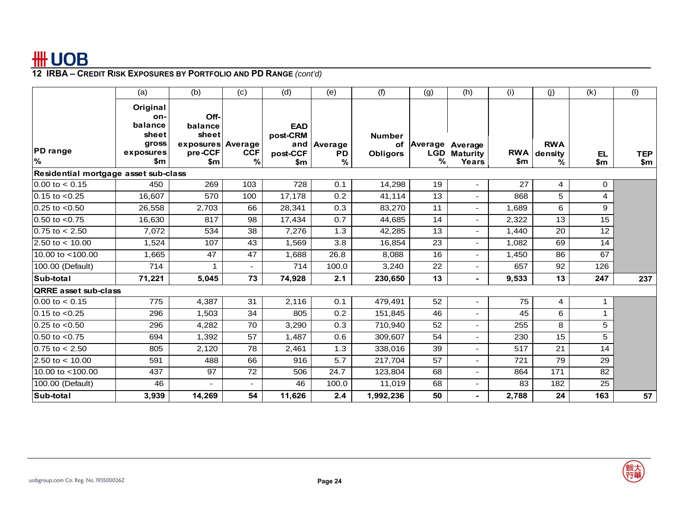|                                      | (a)                                                              | (b)                                                             | (c)                         | (d)                                              | (e)                | (f)                                    | (g)          | (h)                                     | (i)                         | (j)                        | (k)          | (1)               |
|--------------------------------------|------------------------------------------------------------------|-----------------------------------------------------------------|-----------------------------|--------------------------------------------------|--------------------|----------------------------------------|--------------|-----------------------------------------|-----------------------------|----------------------------|--------------|-------------------|
| <b>PD</b> range<br>%                 | Original<br>on-<br>balance<br>sheet<br>gross<br>exposures<br>\$m | Off-<br>balance<br>sheet<br>exposures Average<br>pre-CCF<br>\$m | <b>CCF</b><br>$\frac{9}{6}$ | <b>EAD</b><br>post-CRM<br>and<br>post-CCF<br>\$m | Average<br>PD<br>% | <b>Number</b><br>οf<br><b>Obligors</b> | Average<br>℅ | Average<br><b>LGD</b> Maturity<br>Years | <b>RWA</b><br>$\mathsf{sm}$ | <b>RWA</b><br>density<br>% | EL<br>\$m    | <b>TEP</b><br>\$m |
| Residential mortgage asset sub-class |                                                                  |                                                                 |                             |                                                  |                    |                                        |              |                                         |                             |                            |              |                   |
| $0.00$ to $< 0.15$                   | 450                                                              | 269                                                             | 103                         | 728                                              | 0.1                | 14,298                                 | 19           | ÷,                                      | 27                          | 4                          | 0            |                   |
| $0.15$ to $< 0.25$                   | 16,607                                                           | 570                                                             | 100                         | 17,178                                           | 0.2                | 41,114                                 | 13           | ÷,                                      | 868                         | 5                          | 4            |                   |
| $0.25$ to $< 0.50$                   | 26,558                                                           | 2,703                                                           | 66                          | 28,341                                           | 0.3                | 83,270                                 | 11           | ÷,                                      | 1,689                       | 6                          | 9            |                   |
| $0.50$ to $< 0.75$                   | 16,630                                                           | 817                                                             | 98                          | 17,434                                           | 0.7                | 44,685                                 | 14           | ٠                                       | 2,322                       | 13                         | 15           |                   |
| $0.75$ to $< 2.50$                   | 7,072                                                            | 534                                                             | 38                          | 7,276                                            | 1.3                | 42,285                                 | 13           | L.                                      | 1.440                       | 20                         | 12           |                   |
| $2.50 \text{ to} < 10.00$            | 1,524                                                            | 107                                                             | 43                          | 1,569                                            | 3.8                | 16,854                                 | 23           | ÷,                                      | 1,082                       | 69                         | 14           |                   |
| 10.00 to <100.00                     | 1,665                                                            | 47                                                              | 47                          | 1,688                                            | 26.8               | 8,088                                  | 16           |                                         | 1,450                       | 86                         | 67           |                   |
| 100.00 (Default)                     | 714                                                              |                                                                 | ٠                           | 714                                              | 100.0              | 3,240                                  | 22           | ۰                                       | 657                         | 92                         | 126          |                   |
| Sub-total                            | 71,221                                                           | 5,045                                                           | 73                          | 74,928                                           | 2.1                | 230,650                                | 13           | ٠                                       | 9,533                       | 13                         | 247          | 237               |
| <b>QRRE</b> asset sub-class          |                                                                  |                                                                 |                             |                                                  |                    |                                        |              |                                         |                             |                            |              |                   |
| $0.00$ to $< 0.15$                   | 775                                                              | 4,387                                                           | 31                          | 2,116                                            | 0.1                | 479,491                                | 52           |                                         | 75                          | 4                          | $\mathbf 1$  |                   |
| $0.15$ to $< 0.25$                   | 296                                                              | 1,503                                                           | 34                          | 805                                              | 0.2                | 151,845                                | 46           |                                         | 45                          | 6                          | $\mathbf{1}$ |                   |
| $0.25$ to $< 0.50$                   | 296                                                              | 4,282                                                           | 70                          | 3,290                                            | 0.3                | 710,940                                | 52           | ۰                                       | 255                         | 8                          | 5            |                   |
| $0.50$ to $< 0.75$                   | 694                                                              | 1,392                                                           | 57                          | 1,487                                            | 0.6                | 309,607                                | 54           | ÷,                                      | 230                         | 15                         | 5            |                   |
| $0.75$ to $< 2.50$                   | 805                                                              | 2,120                                                           | 78                          | 2,461                                            | 1.3                | 338,016                                | 39           | ÷                                       | 517                         | 21                         | 14           |                   |
| 2.50 to $< 10.00$                    | 591                                                              | 488                                                             | 66                          | 916                                              | 5.7                | 217,704                                | 57           | L,                                      | 721                         | 79                         | 29           |                   |
| 10.00 to <100.00                     | 437                                                              | 97                                                              | 72                          | 506                                              | 24.7               | 123,804                                | 68           | L,                                      | 864                         | 171                        | 82           |                   |
| 100.00 (Default)                     | 46                                                               |                                                                 | $\overline{\phantom{a}}$    | 46                                               | 100.0              | 11,019                                 | 68           | $\overline{\phantom{a}}$                | 83                          | 182                        | 25           |                   |
| Sub-total                            | 3,939                                                            | 14,269                                                          | 54                          | 11,626                                           | 2.4                | 1,992,236                              | 50           | ۰                                       | 2,788                       | 24                         | 163          | 57                |

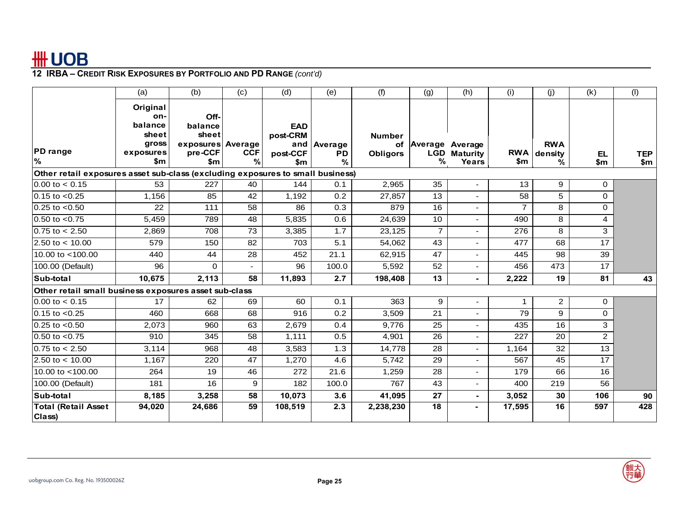|                                                                                | (a)                                                              | (b)                                                             | (c)                         | (d)                                       | (e)                                         | (f)                                    | (g)            | (h)                                               | (i)                         | (i)                        | (k)              | (1)               |
|--------------------------------------------------------------------------------|------------------------------------------------------------------|-----------------------------------------------------------------|-----------------------------|-------------------------------------------|---------------------------------------------|----------------------------------------|----------------|---------------------------------------------------|-----------------------------|----------------------------|------------------|-------------------|
| <b>PD</b> range<br>%                                                           | Original<br>on-<br>balance<br>sheet<br>gross<br>exposures<br>\$m | Off-<br>balance<br>sheet<br>exposures Average<br>pre-CCF<br>\$m | <b>CCF</b><br>$\frac{9}{6}$ | <b>EAD</b><br>post-CRM<br>post-CCF<br>\$m | and   Average<br><b>PD</b><br>$\frac{9}{6}$ | <b>Number</b><br>οf<br><b>Obligors</b> | ℅              | Average   Average<br><b>LGD</b> Maturity<br>Years | <b>RWA</b><br>$\mathsf{sm}$ | <b>RWA</b><br>density<br>% | <b>EL</b><br>\$m | <b>TEP</b><br>\$m |
| Other retail exposures asset sub-class (excluding exposures to small business) |                                                                  |                                                                 |                             |                                           |                                             |                                        |                |                                                   |                             |                            |                  |                   |
| $0.00$ to $< 0.15$                                                             | 53                                                               | 227                                                             | 40                          | 144                                       | 0.1                                         | 2,965                                  | 35             | ÷,                                                | 13                          | 9                          | 0                |                   |
| $0.15$ to $< 0.25$                                                             | 1.156                                                            | 85                                                              | 42                          | 1,192                                     | 0.2                                         | 27,857                                 | 13             |                                                   | 58                          | 5                          | $\Omega$         |                   |
| $0.25$ to $< 0.50$                                                             | 22                                                               | 111                                                             | 58                          | 86                                        | 0.3                                         | 879                                    | 16             | $\overline{\phantom{0}}$                          | $\overline{7}$              | 8                          | $\Omega$         |                   |
| $0.50$ to $< 0.75$                                                             | 5,459                                                            | 789                                                             | 48                          | 5,835                                     | 0.6                                         | 24,639                                 | 10             |                                                   | 490                         | 8                          | 4                |                   |
| $0.75$ to $< 2.50$                                                             | 2,869                                                            | 708                                                             | 73                          | 3,385                                     | 1.7                                         | 23,125                                 | $\overline{7}$ | L,                                                | 276                         | 8                          | 3                |                   |
| 2.50 to $<$ 10.00                                                              | 579                                                              | 150                                                             | 82                          | 703                                       | 5.1                                         | 54,062                                 | 43             | L,                                                | 477                         | 68                         | 17               |                   |
| $10.00$ to $< 100.00$                                                          | 440                                                              | 44                                                              | 28                          | 452                                       | 21.1                                        | 62,915                                 | 47             |                                                   | 445                         | 98                         | 39               |                   |
| 100.00 (Default)                                                               | 96                                                               | 0                                                               | $\overline{\phantom{a}}$    | 96                                        | 100.0                                       | 5,592                                  | 52             | Ξ.                                                | 456                         | 473                        | 17               |                   |
| Sub-total                                                                      | 10,675                                                           | 2,113                                                           | 58                          | 11,893                                    | 2.7                                         | 198,408                                | 13             | ä,                                                | 2,222                       | 19                         | 81               | 43                |
| Other retail small business exposures asset sub-class                          |                                                                  |                                                                 |                             |                                           |                                             |                                        |                |                                                   |                             |                            |                  |                   |
| $0.00$ to $< 0.15$                                                             | 17                                                               | 62                                                              | 69                          | 60                                        | 0.1                                         | 363                                    | 9              | ÷,                                                | $\mathbf 1$                 | $\overline{2}$             | 0                |                   |
| $0.15$ to $< 0.25$                                                             | 460                                                              | 668                                                             | 68                          | 916                                       | 0.2                                         | 3,509                                  | 21             |                                                   | 79                          | 9                          | $\Omega$         |                   |
| $0.25$ to $< 0.50$                                                             | 2,073                                                            | 960                                                             | 63                          | 2,679                                     | 0.4                                         | 9,776                                  | 25             | -                                                 | 435                         | 16                         | 3                |                   |
| $0.50$ to $< 0.75$                                                             | 910                                                              | 345                                                             | 58                          | 1,111                                     | 0.5                                         | 4,901                                  | 26             | ÷                                                 | 227                         | 20                         | $\overline{2}$   |                   |
| $0.75$ to $< 2.50$                                                             | 3,114                                                            | 968                                                             | 48                          | 3,583                                     | 1.3                                         | 14,778                                 | 28             | L,                                                | 1,164                       | 32                         | 13               |                   |
| $2.50$ to < 10.00                                                              | 1,167                                                            | 220                                                             | 47                          | 1,270                                     | 4.6                                         | 5,742                                  | 29             |                                                   | 567                         | 45                         | 17               |                   |
| 10.00 to <100.00                                                               | 264                                                              | 19                                                              | 46                          | 272                                       | 21.6                                        | 1,259                                  | 28             | ä,                                                | 179                         | 66                         | 16               |                   |
| 100.00 (Default)                                                               | 181                                                              | 16                                                              | 9                           | 182                                       | 100.0                                       | 767                                    | 43             | ÷,                                                | 400                         | 219                        | 56               |                   |
| Sub-total                                                                      | 8,185                                                            | 3,258                                                           | 58                          | 10,073                                    | 3.6                                         | 41,095                                 | 27             | $\blacksquare$                                    | 3,052                       | 30                         | 106              | 90                |
| <b>Total (Retail Asset</b><br>Class)                                           | 94,020                                                           | 24,686                                                          | 59                          | 108,519                                   | 2.3                                         | 2,238,230                              | 18             | ۰                                                 | 17,595                      | 16                         | 597              | 428               |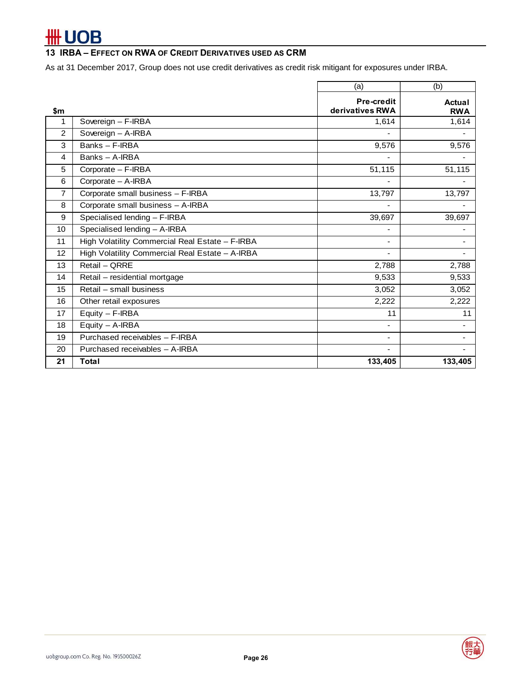### **13 IRBA – EFFECT ON RWA OF CREDIT DERIVATIVES USED AS CRM**

As at 31 December 2017, Group does not use credit derivatives as credit risk mitigant for exposures under IRBA.

|                |                                                 | (a)                           | (b)                         |
|----------------|-------------------------------------------------|-------------------------------|-----------------------------|
| \$m            |                                                 | Pre-credit<br>derivatives RWA | <b>Actual</b><br><b>RWA</b> |
| 1              | Sovereign - F-IRBA                              | 1,614                         | 1,614                       |
| $\mathfrak{p}$ | Sovereign - A-IRBA                              |                               |                             |
| 3              | Banks - F-IRBA                                  | 9,576                         | 9,576                       |
| 4              | Banks - A-IRBA                                  |                               |                             |
| 5              | Corporate - F-IRBA                              | 51,115                        | 51,115                      |
| 6              | Corporate - A-IRBA                              |                               |                             |
| $\overline{7}$ | Corporate small business - F-IRBA               | 13,797                        | 13,797                      |
| 8              | Corporate small business - A-IRBA               |                               |                             |
| 9              | Specialised lending - F-IRBA                    | 39,697                        | 39,697                      |
| 10             | Specialised lending - A-IRBA                    |                               |                             |
| 11             | High Volatility Commercial Real Estate - F-IRBA |                               |                             |
| 12             | High Volatility Commercial Real Estate - A-IRBA |                               |                             |
| 13             | Retail - ORRE                                   | 2,788                         | 2,788                       |
| 14             | Retail - residential mortgage                   | 9,533                         | 9,533                       |
| 15             | Retail - small business                         | 3,052                         | 3,052                       |
| 16             | Other retail exposures                          | 2,222                         | 2,222                       |
| 17             | $Equity - F-IRBA$                               | 11                            | 11                          |
| 18             | $Equity - A-IRBA$                               |                               |                             |
| 19             | Purchased receivables - F-IRBA                  | $\blacksquare$                |                             |
| 20             | Purchased receivables - A-IRBA                  |                               |                             |
| 21             | <b>Total</b>                                    | 133,405                       | 133,405                     |

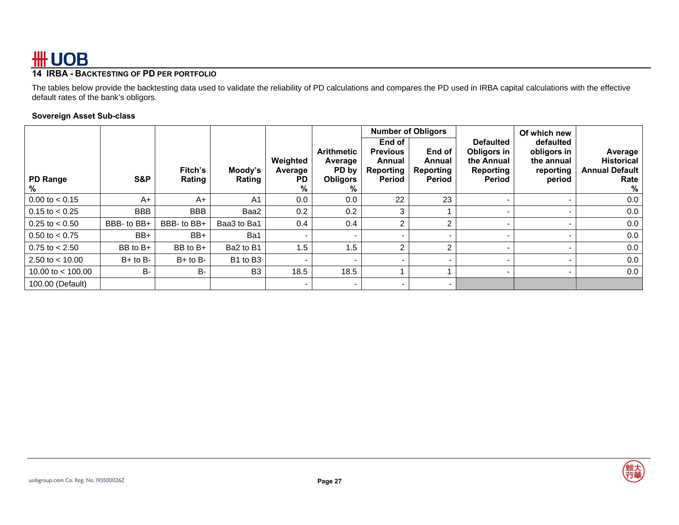### **14 IRBA - BACKTESTING OF PD PER PORTFOLIO**

The tables below provide the backtesting data used to validate the reliability of PD calculations and compares the PD used in IRBA capital calculations with the effective default rates of the bank's obligors.

### **Sovereign Asset Sub-class**

| <b>PD Range</b><br>% | S&P          | Fitch's<br>Rating | Moody's<br>Rating | Weighted<br>Average<br><b>PD</b><br>% | <b>Arithmetic</b><br>Average<br>PD by<br><b>Obligors</b><br>% | <b>Number of Obligors</b><br>End of<br><b>Previous</b><br>Annual<br>Reporting<br><b>Period</b> | End of<br>Annual<br>Reporting<br><b>Period</b> | <b>Defaulted</b><br>Obligors in<br>the Annual<br>Reporting<br>Period | Of which new<br>defaulted<br>obligors in<br>the annual<br>reporting<br>period | Average<br><b>Historical</b><br><b>Annual Default</b><br>Rate<br>% |
|----------------------|--------------|-------------------|-------------------|---------------------------------------|---------------------------------------------------------------|------------------------------------------------------------------------------------------------|------------------------------------------------|----------------------------------------------------------------------|-------------------------------------------------------------------------------|--------------------------------------------------------------------|
| $0.00$ to $< 0.15$   | $A+$         | $A+$              | A <sub>1</sub>    | 0.0                                   | 0.0                                                           | 22                                                                                             | 23                                             |                                                                      | $\overline{\phantom{a}}$                                                      | 0.0                                                                |
| $0.15$ to $< 0.25$   | <b>BBB</b>   | <b>BBB</b>        | Baa2              | 0.2                                   | 0.2                                                           | 3                                                                                              |                                                |                                                                      |                                                                               | 0.0                                                                |
| $0.25$ to $< 0.50$   | BBB- to BB+  | BBB- to BB+       | Baa3 to Ba1       | 0.4                                   | 0.4                                                           | 2                                                                                              | $\overline{2}$                                 |                                                                      |                                                                               | 0.0                                                                |
| $0.50$ to $< 0.75$   | BB+          | BB+               | Ba1               |                                       |                                                               |                                                                                                |                                                |                                                                      |                                                                               | 0.0                                                                |
| $0.75$ to $< 2.50$   | BB to B+     | BB to B+          | Ba2 to B1         | 1.5                                   | 1.5                                                           | 2                                                                                              | $\overline{2}$                                 |                                                                      | $\,$                                                                          | 0.0                                                                |
| 2.50 to $<$ 10.00    | $B+$ to $B-$ | $B+$ to $B-$      | B1 to B3          |                                       |                                                               |                                                                                                |                                                |                                                                      |                                                                               | 0.0                                                                |
| 10.00 to $<$ 100.00  | B-           | <b>B-</b>         | B <sub>3</sub>    | 18.5                                  | 18.5                                                          |                                                                                                |                                                |                                                                      | $\overline{\phantom{a}}$                                                      | 0.0                                                                |
| 100.00 (Default)     |              |                   |                   |                                       | $\overline{\phantom{0}}$                                      |                                                                                                | $\,$                                           |                                                                      |                                                                               |                                                                    |

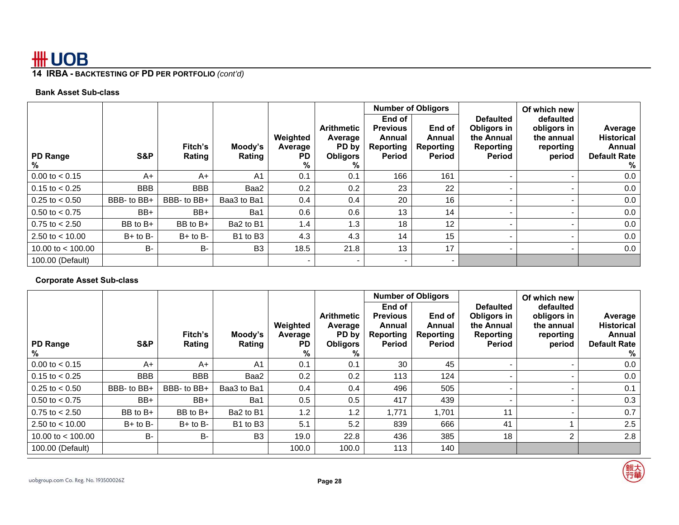### **14 IRBA - BACKTESTING OF PD PER PORTFOLIO** *(cont'd)*

### **Bank Asset Sub-class**

| PD Range<br>℅             | S&P          | Fitch's<br>Rating | Moody's<br>Rating                | Weighted<br>Average<br>PD.<br>% | <b>Arithmetic</b><br>Average<br>PD by<br><b>Obligors</b><br>% | End of<br><b>Previous</b><br>Annual<br>Reporting<br>Period | <b>Number of Obligors</b><br>End of<br>Annual<br>Reporting<br><b>Period</b> | <b>Defaulted</b><br>Obligors in<br>the Annual<br>Reporting<br>Period | Of which new<br>defaulted<br>obligors in<br>the annual<br>reporting<br>period | Average<br><b>Historical</b><br>Annual<br><b>Default Rate</b><br>% |
|---------------------------|--------------|-------------------|----------------------------------|---------------------------------|---------------------------------------------------------------|------------------------------------------------------------|-----------------------------------------------------------------------------|----------------------------------------------------------------------|-------------------------------------------------------------------------------|--------------------------------------------------------------------|
| $0.00 \text{ to } < 0.15$ | $A+$         | $A+$              | A <sub>1</sub>                   | 0.1                             | 0.1                                                           | 166                                                        | 161                                                                         |                                                                      |                                                                               | $0.0\,$                                                            |
| $0.15$ to $< 0.25$        | <b>BBB</b>   | <b>BBB</b>        | Baa2                             | 0.2                             | 0.2                                                           | 23                                                         | 22                                                                          |                                                                      |                                                                               | 0.0                                                                |
| $0.25$ to $< 0.50$        | BBB- to BB+  | BBB- to BB+       | Baa3 to Ba1                      | 0.4                             | 0.4                                                           | 20                                                         | 16                                                                          |                                                                      |                                                                               | 0.0                                                                |
| $0.50$ to $< 0.75$        | BB+          | BB+               | Ba1                              | 0.6                             | 0.6                                                           | 13                                                         | 14                                                                          |                                                                      |                                                                               | 0.0                                                                |
| $0.75$ to $< 2.50$        | $BB$ to $B+$ | $BB$ to $B+$      | Ba2 to B1                        | 1.4                             | 1.3                                                           | 18                                                         | 12                                                                          |                                                                      |                                                                               | 0.0                                                                |
| 2.50 to $<$ 10.00         | $B+$ to $B-$ | $B+$ to $B-$      | B <sub>1</sub> to B <sub>3</sub> | 4.3                             | 4.3                                                           | 14                                                         | 15                                                                          |                                                                      |                                                                               | 0.0                                                                |
| 10.00 to $<$ 100.00       | B-           | B-                | B <sub>3</sub>                   | 18.5                            | 21.8                                                          | 13                                                         | 17                                                                          |                                                                      |                                                                               | 0.0                                                                |
| 100.00 (Default)          |              |                   |                                  |                                 | $\overline{\phantom{0}}$                                      |                                                            | $\overline{\phantom{0}}$                                                    |                                                                      |                                                                               |                                                                    |

### **Corporate Asset Sub-class**

|                      |              |                   |                   |                                |                                                               | <b>Number of Obligors</b>                                  |                                         |                                                                             | Of which new                                                  |                                                                    |
|----------------------|--------------|-------------------|-------------------|--------------------------------|---------------------------------------------------------------|------------------------------------------------------------|-----------------------------------------|-----------------------------------------------------------------------------|---------------------------------------------------------------|--------------------------------------------------------------------|
| <b>PD Range</b><br>% | S&P          | Fitch's<br>Rating | Moody's<br>Rating | Weighted<br>Average<br>PD<br>% | <b>Arithmetic</b><br>Average<br>PD by<br><b>Obligors</b><br>℅ | End of<br><b>Previous</b><br>Annual<br>Reporting<br>Period | End of<br>Annual<br>Reporting<br>Period | <b>Defaulted</b><br>Obligors in<br>the Annual<br>Reporting<br><b>Period</b> | defaulted<br>obligors in<br>the annual<br>reporting<br>period | Average<br><b>Historical</b><br>Annual<br><b>Default Rate</b><br>% |
| $0.00$ to $< 0.15$   | $A+$         | $A+$              | A <sub>1</sub>    | 0.1                            | 0.1                                                           | 30                                                         | 45                                      |                                                                             |                                                               | 0.0                                                                |
| $0.15$ to $< 0.25$   | <b>BBB</b>   | <b>BBB</b>        | Baa2              | 0.2                            | 0.2                                                           | 113                                                        | 124                                     |                                                                             |                                                               | 0.0                                                                |
| $0.25$ to $< 0.50$   | BBB- to BB+  | BBB- to BB+       | Baa3 to Ba1       | $0.4^{\circ}$                  | 0.4                                                           | 496                                                        | 505                                     |                                                                             |                                                               | 0.1                                                                |
| $0.50$ to $< 0.75$   | BB+          | BB+               | Ba1               | 0.5                            | 0.5                                                           | 417                                                        | 439                                     |                                                                             |                                                               | 0.3                                                                |
| $0.75$ to $< 2.50$   | BB to B+     | BB to B+          | Ba2 to B1         | 1.2 <sub>1</sub>               | 1.2                                                           | 1,771                                                      | 1,701                                   | 11                                                                          |                                                               | 0.7                                                                |
| 2.50 to $<$ 10.00    | $B+$ to $B-$ | $B+$ to $B-$      | B1 to B3          | 5.1                            | 5.2                                                           | 839                                                        | 666                                     | 41                                                                          |                                                               | 2.5                                                                |
| 10.00 to $<$ 100.00  | B-           | <b>B-</b>         | B <sub>3</sub>    | 19.0                           | 22.8                                                          | 436                                                        | 385                                     | 18                                                                          | 2                                                             | 2.8                                                                |
| 100.00 (Default)     |              |                   |                   | 100.0                          | 100.0                                                         | 113                                                        | 140                                     |                                                                             |                                                               |                                                                    |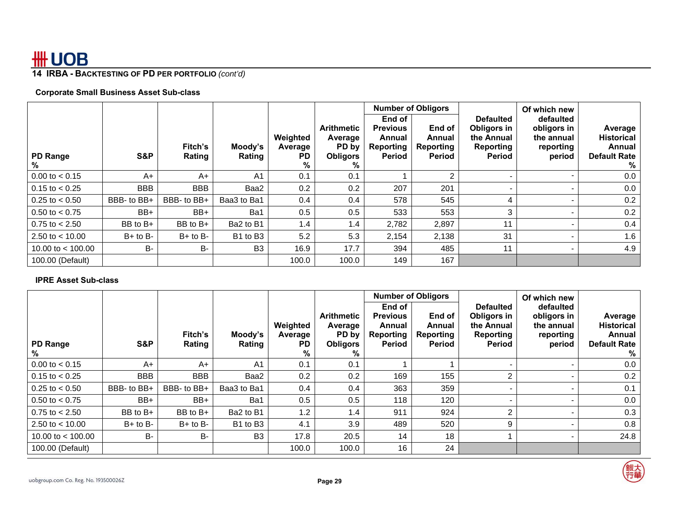### **14 IRBA - BACKTESTING OF PD PER PORTFOLIO** *(cont'd)*

### **Corporate Small Business Asset Sub-class**

|                           |              |                   |                   |                                |                                                               | End of $ $                                       | <b>Number of Obligors</b>                      | <b>Defaulted</b>                                               | Of which new<br>defaulted                        |                                                                    |
|---------------------------|--------------|-------------------|-------------------|--------------------------------|---------------------------------------------------------------|--------------------------------------------------|------------------------------------------------|----------------------------------------------------------------|--------------------------------------------------|--------------------------------------------------------------------|
| PD Range<br>%             | S&P          | Fitch's<br>Rating | Moody's<br>Rating | Weighted<br>Average<br>PD<br>% | <b>Arithmetic</b><br>Average<br>PD by<br><b>Obligors</b><br>% | <b>Previous</b><br>Annual<br>Reporting<br>Period | End of<br>Annual<br>Reporting<br><b>Period</b> | Obligors in<br>the Annual<br><b>Reporting</b><br><b>Period</b> | obligors in<br>the annual<br>reporting<br>period | Average<br><b>Historical</b><br>Annual<br><b>Default Rate</b><br>% |
| $0.00$ to $< 0.15$        | $A+$         | $A+$              | A <sub>1</sub>    | 0.1                            | 0.1                                                           |                                                  | 2                                              |                                                                |                                                  | 0.0                                                                |
| $0.15$ to $< 0.25$        | <b>BBB</b>   | <b>BBB</b>        | Baa2              | 0.2                            | 0.2                                                           | 207                                              | 201                                            |                                                                |                                                  | 0.0                                                                |
| $0.25$ to $< 0.50$        | BBB- to BB+  | BBB- to BB+       | Baa3 to Ba1       | 0.4                            | 0.4                                                           | 578                                              | 545                                            |                                                                |                                                  | 0.2                                                                |
| $0.50 \text{ to } < 0.75$ | BB+          | BB+               | Ba1               | 0.5                            | 0.5                                                           | 533                                              | 553                                            | 3                                                              |                                                  | 0.2                                                                |
| $0.75$ to $< 2.50$        | $BB$ to $B+$ | BB to B+          | Ba2 to B1         | 1.4                            | 1.4                                                           | 2,782                                            | 2,897                                          | 11                                                             |                                                  | 0.4                                                                |
| 2.50 to $<$ 10.00         | $B+$ to $B-$ | $B+$ to $B-$      | B1 to B3          | 5.2                            | 5.3                                                           | 2,154                                            | 2,138                                          | 31                                                             |                                                  | 1.6                                                                |
| 10.00 to $<$ 100.00       | B-           | <b>B-</b>         | B <sub>3</sub>    | 16.9                           | 17.7                                                          | 394                                              | 485                                            | 11                                                             |                                                  | 4.9                                                                |
| 100.00 (Default)          |              |                   |                   | 100.0                          | 100.0                                                         | 149                                              | 167                                            |                                                                |                                                  |                                                                    |

### **IPRE Asset Sub-class**

|                      |              |                   |                                  |                                       |                                                               | <b>Number of Obligors</b>                                  |                                         |                                                                                    | Of which new                                                  |                                                                    |
|----------------------|--------------|-------------------|----------------------------------|---------------------------------------|---------------------------------------------------------------|------------------------------------------------------------|-----------------------------------------|------------------------------------------------------------------------------------|---------------------------------------------------------------|--------------------------------------------------------------------|
| <b>PD Range</b><br>% | S&P          | Fitch's<br>Rating | Moody's<br>Rating                | Weighted<br>Average<br><b>PD</b><br>% | <b>Arithmetic</b><br>Average<br>PD by<br><b>Obligors</b><br>℅ | End of<br><b>Previous</b><br>Annual<br>Reporting<br>Period | End of<br>Annual<br>Reporting<br>Period | <b>Defaulted</b><br>Obligors in<br>the Annual<br><b>Reporting</b><br><b>Period</b> | defaulted<br>obligors in<br>the annual<br>reporting<br>period | Average<br><b>Historical</b><br>Annual<br><b>Default Rate</b><br>℅ |
| $0.00$ to $< 0.15$   | $A+$         | A+                | A <sub>1</sub>                   | 0.1                                   | 0.1                                                           |                                                            |                                         |                                                                                    |                                                               | 0.0                                                                |
| $0.15$ to $< 0.25$   | <b>BBB</b>   | <b>BBB</b>        | Baa2                             | 0.2                                   | 0.2                                                           | 169                                                        | 155                                     | $\mathcal{P}$                                                                      |                                                               | 0.2                                                                |
| $0.25$ to $< 0.50$   | BBB- to BB+  | BBB- to BB+       | Baa3 to Ba1                      | $0.4^{\circ}$                         | 0.4                                                           | 363                                                        | 359                                     |                                                                                    |                                                               | 0.1                                                                |
| 0.50 to $< 0.75$     | BB+          | BB+               | Ba1                              | 0.5                                   | 0.5                                                           | 118                                                        | 120                                     |                                                                                    |                                                               | 0.0                                                                |
| $0.75$ to $< 2.50$   | $BB$ to $B+$ | BB to B+          | Ba2 to B1                        | 1.2                                   | 1.4                                                           | 911                                                        | 924                                     | ົ                                                                                  |                                                               | 0.3                                                                |
| 2.50 to $<$ 10.00    | $B+$ to $B-$ | $B+$ to $B-$      | B <sub>1</sub> to B <sub>3</sub> | 4.1                                   | 3.9                                                           | 489                                                        | 520                                     | 9                                                                                  |                                                               | 0.8                                                                |
| 10.00 to $<$ 100.00  | B-           | B-                | B <sub>3</sub>                   | 17.8                                  | 20.5                                                          | 14                                                         | 18                                      |                                                                                    |                                                               | 24.8                                                               |
| 100.00 (Default)     |              |                   |                                  | 100.0                                 | 100.0                                                         | 16                                                         | 24                                      |                                                                                    |                                                               |                                                                    |

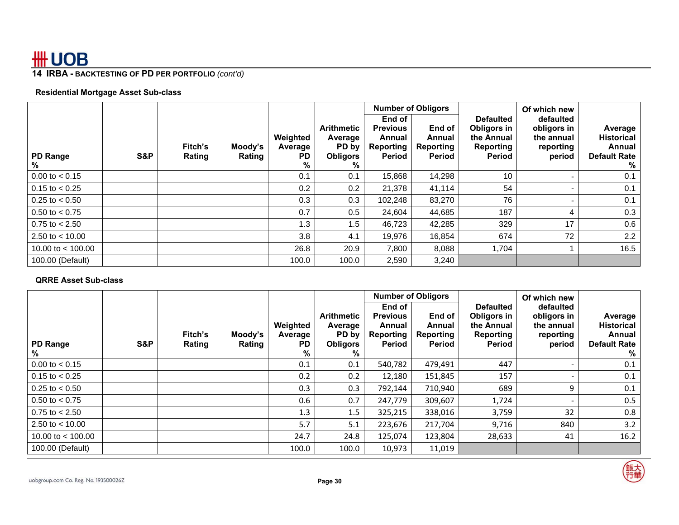### **14 IRBA - BACKTESTING OF PD PER PORTFOLIO** *(cont'd)*

### **Residential Mortgage Asset Sub-class**

|                           |     |                   |                   |                                 |                                                               |                                                                     | <b>Number of Obligors</b>               |                                                                             | Of which new                                                  |                                                                    |
|---------------------------|-----|-------------------|-------------------|---------------------------------|---------------------------------------------------------------|---------------------------------------------------------------------|-----------------------------------------|-----------------------------------------------------------------------------|---------------------------------------------------------------|--------------------------------------------------------------------|
| PD Range<br>%             | S&P | Fitch's<br>Rating | Moody's<br>Rating | Weighted<br>Average<br>PD.<br>% | <b>Arithmetic</b><br>Average<br>PD by<br><b>Obligors</b><br>% | End of I<br><b>Previous</b><br>Annual<br>Reporting<br><b>Period</b> | End of<br>Annual<br>Reporting<br>Period | <b>Defaulted</b><br>Obligors in<br>the Annual<br><b>Reporting</b><br>Period | defaulted<br>obligors in<br>the annual<br>reporting<br>period | Average<br><b>Historical</b><br>Annual<br><b>Default Rate</b><br>% |
| $0.00 \text{ to } < 0.15$ |     |                   |                   | 0.1                             | 0.1                                                           | 15,868                                                              | 14,298                                  | 10                                                                          |                                                               | 0.1                                                                |
| $0.15$ to $< 0.25$        |     |                   |                   | 0.2                             | 0.2                                                           | 21,378                                                              | 41,114                                  | 54                                                                          | $\qquad \qquad \blacksquare$                                  | 0.1                                                                |
| $0.25$ to $< 0.50$        |     |                   |                   | 0.3                             | 0.3                                                           | 102,248                                                             | 83,270                                  | 76                                                                          | $\qquad \qquad \blacksquare$                                  | 0.1                                                                |
| $0.50$ to $< 0.75$        |     |                   |                   | 0.7                             | 0.5                                                           | 24,604                                                              | 44,685                                  | 187                                                                         | 4                                                             | 0.3                                                                |
| $0.75$ to $< 2.50$        |     |                   |                   | 1.3                             | 1.5                                                           | 46,723                                                              | 42,285                                  | 329                                                                         | 17                                                            | 0.6                                                                |
| 2.50 to $<$ 10.00         |     |                   |                   | 3.8                             | 4.1                                                           | 19,976                                                              | 16,854                                  | 674                                                                         | 72                                                            | 2.2                                                                |
| 10.00 to $<$ 100.00       |     |                   |                   | 26.8                            | 20.9                                                          | 7,800                                                               | 8,088                                   | 1,704                                                                       |                                                               | 16.5                                                               |
| 100.00 (Default)          |     |                   |                   | 100.0                           | 100.0                                                         | 2,590                                                               | 3,240                                   |                                                                             |                                                               |                                                                    |

### **QRRE Asset Sub-class**

|                           |     |                   |                   |                                       |                                                               | <b>Number of Obligors</b>                                  |                                         |                                                                      | Of which new                                                  |                                                                    |
|---------------------------|-----|-------------------|-------------------|---------------------------------------|---------------------------------------------------------------|------------------------------------------------------------|-----------------------------------------|----------------------------------------------------------------------|---------------------------------------------------------------|--------------------------------------------------------------------|
| <b>PD Range</b><br>%      | S&P | Fitch's<br>Rating | Moody's<br>Rating | Weighted<br>Average<br><b>PD</b><br>% | <b>Arithmetic</b><br>Average<br>PD by<br><b>Obligors</b><br>℅ | End of<br><b>Previous</b><br>Annual<br>Reporting<br>Period | End of<br>Annual<br>Reporting<br>Period | <b>Defaulted</b><br>Obligors in<br>the Annual<br>Reporting<br>Period | defaulted<br>obligors in<br>the annual<br>reporting<br>period | Average<br><b>Historical</b><br>Annual<br><b>Default Rate</b><br>% |
| $0.00$ to $< 0.15$        |     |                   |                   | 0.1                                   | 0.1                                                           | 540,782                                                    | 479,491                                 | 447                                                                  | $\sim$                                                        | 0.1                                                                |
| $0.15$ to $< 0.25$        |     |                   |                   | 0.2                                   | 0.2                                                           | 12,180                                                     | 151,845                                 | 157                                                                  | $\overline{\phantom{0}}$                                      | 0.1                                                                |
| $0.25$ to $< 0.50$        |     |                   |                   | 0.3                                   | 0.3                                                           | 792,144                                                    | 710,940                                 | 689                                                                  | 9                                                             | 0.1                                                                |
| $0.50 \text{ to } < 0.75$ |     |                   |                   | 0.6                                   | 0.7                                                           | 247,779                                                    | 309,607                                 | 1,724                                                                | $\sim$                                                        | 0.5                                                                |
| $0.75$ to $< 2.50$        |     |                   |                   | 1.3                                   | 1.5                                                           | 325,215                                                    | 338,016                                 | 3,759                                                                | 32                                                            | 0.8                                                                |
| 2.50 to $<$ 10.00         |     |                   |                   | 5.7                                   | 5.1                                                           | 223,676                                                    | 217,704                                 | 9,716                                                                | 840                                                           | 3.2                                                                |
| 10.00 to $<$ 100.00       |     |                   |                   | 24.7                                  | 24.8                                                          | 125,074                                                    | 123,804                                 | 28,633                                                               | 41                                                            | 16.2                                                               |
| 100.00 (Default)          |     |                   |                   | 100.0                                 | 100.0                                                         | 10,973                                                     | 11,019                                  |                                                                      |                                                               |                                                                    |



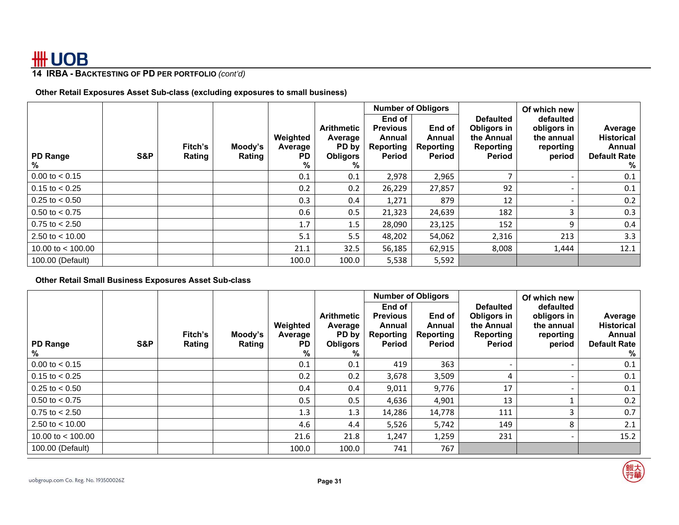### **14 IRBA - BACKTESTING OF PD PER PORTFOLIO** *(cont'd)*

**Other Retail Exposures Asset Sub-class (excluding exposures to small business)** 

|                     |     |                   |                   |                                |                                                               |                                                                   | <b>Number of Obligors</b>                      |                                                                             | Of which new                                                  |                                                                    |
|---------------------|-----|-------------------|-------------------|--------------------------------|---------------------------------------------------------------|-------------------------------------------------------------------|------------------------------------------------|-----------------------------------------------------------------------------|---------------------------------------------------------------|--------------------------------------------------------------------|
| PD Range<br>%       | S&P | Fitch's<br>Rating | Moody's<br>Rating | Weighted<br>Average<br>PD<br>% | <b>Arithmetic</b><br>Average<br>PD by<br><b>Obligors</b><br>℅ | End of<br><b>Previous</b><br>Annual<br>Reporting<br><b>Period</b> | End of<br>Annual<br>Reporting<br><b>Period</b> | <b>Defaulted</b><br>Obligors in<br>the Annual<br><b>Reporting</b><br>Period | defaulted<br>obligors in<br>the annual<br>reporting<br>period | Average<br><b>Historical</b><br>Annual<br><b>Default Rate</b><br>% |
| $0.00$ to $< 0.15$  |     |                   |                   | 0.1                            | 0.1                                                           | 2,978                                                             | 2,965                                          |                                                                             |                                                               | 0.1                                                                |
| $0.15$ to $< 0.25$  |     |                   |                   | 0.2                            | 0.2                                                           | 26,229                                                            | 27,857                                         | 92                                                                          | $\overline{\phantom{0}}$                                      | 0.1                                                                |
| $0.25$ to $< 0.50$  |     |                   |                   | 0.3                            | 0.4                                                           | 1,271                                                             | 879                                            | 12                                                                          |                                                               | 0.2                                                                |
| $0.50$ to $< 0.75$  |     |                   |                   | 0.6                            | 0.5                                                           | 21,323                                                            | 24,639                                         | 182                                                                         | 3                                                             | 0.3                                                                |
| $0.75$ to $< 2.50$  |     |                   |                   | 1.7                            | 1.5                                                           | 28,090                                                            | 23,125                                         | 152                                                                         | 9                                                             | 0.4                                                                |
| 2.50 to $<$ 10.00   |     |                   |                   | 5.1                            | 5.5                                                           | 48,202                                                            | 54,062                                         | 2,316                                                                       | 213                                                           | 3.3                                                                |
| 10.00 to $<$ 100.00 |     |                   |                   | 21.1                           | 32.5                                                          | 56,185                                                            | 62,915                                         | 8,008                                                                       | 1,444                                                         | 12.1                                                               |
| 100.00 (Default)    |     |                   |                   | 100.0                          | 100.0                                                         | 5,538                                                             | 5,592                                          |                                                                             |                                                               |                                                                    |

### **Other Retail Small Business Exposures Asset Sub-class**

|                           |     |                   |                   |                                |                                                               |                                                            | <b>Number of Obligors</b>                      |                                                                             | Of which new                                                  |                                                                    |
|---------------------------|-----|-------------------|-------------------|--------------------------------|---------------------------------------------------------------|------------------------------------------------------------|------------------------------------------------|-----------------------------------------------------------------------------|---------------------------------------------------------------|--------------------------------------------------------------------|
| <b>PD Range</b><br>%      | S&P | Fitch's<br>Rating | Moody's<br>Rating | Weighted<br>Average<br>PD<br>% | <b>Arithmetic</b><br>Average<br>PD by<br><b>Obligors</b><br>% | End of<br><b>Previous</b><br>Annual<br>Reporting<br>Period | End of<br>Annual<br><b>Reporting</b><br>Period | <b>Defaulted</b><br>Obligors in<br>the Annual<br><b>Reporting</b><br>Period | defaulted<br>obligors in<br>the annual<br>reporting<br>period | Average<br><b>Historical</b><br>Annual<br><b>Default Rate</b><br>% |
| $0.00$ to $< 0.15$        |     |                   |                   | 0.1                            | 0.1                                                           | 419                                                        | 363                                            |                                                                             |                                                               | 0.1                                                                |
| $0.15$ to $< 0.25$        |     |                   |                   | 0.2                            | 0.2                                                           | 3,678                                                      | 3,509                                          | 4                                                                           |                                                               | 0.1                                                                |
| $0.25$ to $< 0.50$        |     |                   |                   | $0.4^{\circ}$                  | $0.4^{\circ}$                                                 | 9,011                                                      | 9,776                                          | 17                                                                          |                                                               | 0.1                                                                |
| $0.50 \text{ to } < 0.75$ |     |                   |                   | 0.5                            | 0.5                                                           | 4,636                                                      | 4,901                                          | 13                                                                          |                                                               | 0.2                                                                |
| $0.75$ to $< 2.50$        |     |                   |                   | 1.3                            | 1.3                                                           | 14,286                                                     | 14,778                                         | 111                                                                         | 3                                                             | 0.7                                                                |
| 2.50 to $<$ 10.00         |     |                   |                   | 4.6                            | 4.4                                                           | 5,526                                                      | 5,742                                          | 149                                                                         | 8                                                             | 2.1                                                                |
| 10.00 to $<$ 100.00       |     |                   |                   | 21.6                           | 21.8                                                          | 1,247                                                      | 1,259                                          | 231                                                                         |                                                               | 15.2                                                               |
| 100.00 (Default)          |     |                   |                   | 100.0                          | 100.0                                                         | 741                                                        | 767                                            |                                                                             |                                                               |                                                                    |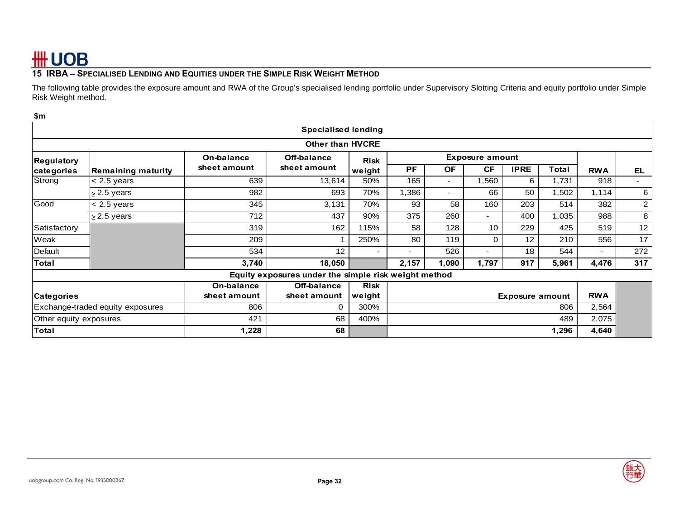### **15 IRBA – SPECIALISED LENDING AND EQUITIES UNDER THE SIMPLE RISK WEIGHT METHOD**

The following table provides the exposure amount and RWA of the Group's specialised lending portfolio under Supervisory Slotting Criteria and equity portfolio under Simple Risk Weight method.

#### **\$m**

|                                                                                                     |                                  |              | <b>Specialised lending</b>                           |             |           |           |                          |             |       |            |                |
|-----------------------------------------------------------------------------------------------------|----------------------------------|--------------|------------------------------------------------------|-------------|-----------|-----------|--------------------------|-------------|-------|------------|----------------|
|                                                                                                     |                                  |              | <b>Other than HVCRE</b>                              |             |           |           |                          |             |       |            |                |
| <b>Regulatory</b>                                                                                   |                                  | On-balance   | Off-balance                                          | <b>Risk</b> |           |           | <b>Exposure amount</b>   |             |       |            |                |
| categories                                                                                          | <b>Remaining maturity</b>        | sheet amount | sheet amount                                         | weight      | <b>PF</b> | <b>OF</b> | <b>CF</b>                | <b>IPRE</b> | Total | <b>RWA</b> | <b>EL</b>      |
| Strong                                                                                              | $< 2.5$ years                    | 639          | 13,614                                               | 50%         | 165       | $\sim$    | 1,560                    | 6           | 1,731 | 918        | ۰.             |
|                                                                                                     | $\geq$ 2.5 years                 | 982          | 693                                                  | 70%         | 1,386     | $\sim$    | 66                       | 50          | 1,502 | 1,114      | 6              |
| Good                                                                                                | $< 2.5$ years                    | 345          | 3,131                                                | 70%         | 93        | 58        | 160                      | 203         | 514   | 382        | $\overline{2}$ |
|                                                                                                     | $\geq$ 2.5 years                 | 712          | 437                                                  | 90%         | 375       | 260       | $\overline{\phantom{0}}$ | 400         | 1,035 | 988        | 8              |
| Satisfactory                                                                                        |                                  | 319          | 162                                                  | 115%        | 58        | 128       | 10                       | 229         | 425   | 519        | 12             |
| Weak                                                                                                |                                  | 209          |                                                      | 250%        | 80        | 119       | 0                        | 12          | 210   | 556        | 17             |
| Default                                                                                             |                                  | 534          | 12                                                   |             |           | 526       |                          | 18          | 544   |            | 272            |
| <b>Total</b>                                                                                        |                                  | 3,740        | 18,050                                               |             | 2,157     | 1,090     | 1,797                    | 917         | 5,961 | 4,476      | 317            |
|                                                                                                     |                                  |              | Equity exposures under the simple risk weight method |             |           |           |                          |             |       |            |                |
|                                                                                                     |                                  | On-balance   | Off-balance                                          | <b>Risk</b> |           |           |                          |             |       |            |                |
| <b>RWA</b><br>sheet amount<br>weight<br>sheet amount<br><b>Categories</b><br><b>Exposure amount</b> |                                  |              |                                                      |             |           |           |                          |             |       |            |                |
|                                                                                                     | Exchange-traded equity exposures | 806          | $\Omega$                                             | 300%        | 806       |           |                          |             |       | 2,564      |                |
| Other equity exposures                                                                              |                                  | 421          | 68                                                   | 400%        | 489       |           | 2,075                    |             |       |            |                |
| <b>Total</b><br>1,228<br>68                                                                         |                                  |              |                                                      |             |           | 1,296     | 4,640                    |             |       |            |                |

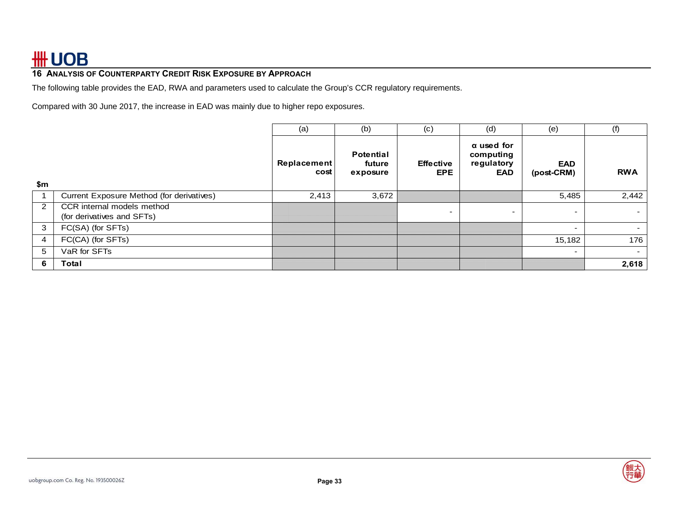### **16 ANALYSIS OF COUNTERPARTY CREDIT RISK EXPOSURE BY APPROACH**

The following table provides the EAD, RWA and parameters used to calculate the Group's CCR regulatory requirements.

Compared with 30 June 2017, the increase in EAD was mainly due to higher repo exposures.

|     |                                                          | (a)                        | (b)                                    | (c)                     | (d)                                                 | (e)                      | (f)            |
|-----|----------------------------------------------------------|----------------------------|----------------------------------------|-------------------------|-----------------------------------------------------|--------------------------|----------------|
|     |                                                          | <b>Replacement</b><br>cost | <b>Potential</b><br>future<br>exposure | <b>Effective</b><br>EPE | $\alpha$ used for<br>computing<br>regulatory<br>EAD | <b>EAD</b><br>(post-CRM) | <b>RWA</b>     |
| \$m |                                                          |                            |                                        |                         |                                                     |                          |                |
|     | Current Exposure Method (for derivatives)                | 2,413                      | 3,672                                  |                         |                                                     | 5,485                    | 2,442          |
| 2   | CCR internal models method<br>(for derivatives and SFTs) |                            |                                        |                         |                                                     | -                        | $\sim$ 10 $\,$ |
| 3   | FC(SA) (for SFTs)                                        |                            |                                        |                         |                                                     | $\overline{\phantom{0}}$ |                |
| 4   | FC(CA) (for SFTs)                                        |                            |                                        |                         |                                                     | 15,182                   | 176            |
| 5   | VaR for SFTs                                             |                            |                                        |                         |                                                     | $\overline{\phantom{0}}$ | $\sim$         |
| 6   | Total                                                    |                            |                                        |                         |                                                     |                          | 2,618          |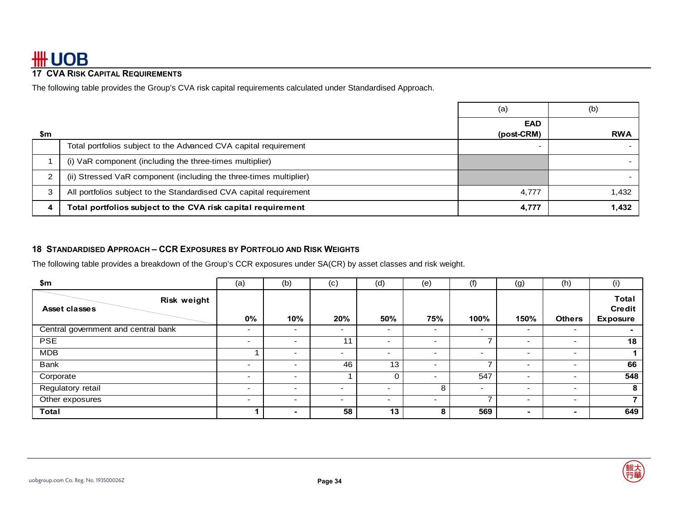### **17 CVA RISK CAPITAL REQUIREMENTS**

The following table provides the Group's CVA risk capital requirements calculated under Standardised Approach.

|     |                                                                    | (a)                      | (b)        |
|-----|--------------------------------------------------------------------|--------------------------|------------|
| \$m |                                                                    | <b>EAD</b><br>(post-CRM) | <b>RWA</b> |
|     | Total portfolios subject to the Advanced CVA capital requirement   |                          |            |
|     | (i) VaR component (including the three-times multiplier)           |                          |            |
| ົ   | (ii) Stressed VaR component (including the three-times multiplier) |                          |            |
| 3   | All portfolios subject to the Standardised CVA capital requirement | 4,777                    | 1,432      |
| 4   | Total portfolios subject to the CVA risk capital requirement       | 4,777                    | 1,432      |

### **18 STANDARDISED APPROACH – CCR EXPOSURES BY PORTFOLIO AND RISK WEIGHTS**

The following table provides a breakdown of the Group's CCR exposures under SA(CR) by asset classes and risk weight.

| \$m                                 | (a)                      | (b)                      | (c)                      | (d)                      | (e)                      | (f)                      | (g)                      | (h)                      | (i)                                              |
|-------------------------------------|--------------------------|--------------------------|--------------------------|--------------------------|--------------------------|--------------------------|--------------------------|--------------------------|--------------------------------------------------|
| Risk weight<br>Asset classes        | 0%                       | 10%                      | 20%                      | 50%                      | 75%                      | 100%                     | 150%                     | <b>Others</b>            | <b>Total</b><br><b>Credit</b><br><b>Exposure</b> |
| Central government and central bank | $\overline{\phantom{a}}$ | $\overline{\phantom{a}}$ | ۰.                       | $\overline{\phantom{0}}$ | $\overline{\phantom{0}}$ | ۰.                       | $\overline{\phantom{a}}$ | $\overline{\phantom{0}}$ | $\overline{\phantom{0}}$                         |
| <b>PSE</b>                          | $\overline{\phantom{a}}$ | $\overline{\phantom{a}}$ | 11                       | -                        |                          |                          | $\overline{\phantom{0}}$ | $\overline{\phantom{a}}$ | 18                                               |
| <b>MDB</b>                          |                          | $\overline{\phantom{0}}$ | $\blacksquare$           | $\overline{\phantom{0}}$ |                          | $\overline{\phantom{0}}$ | $\overline{\phantom{0}}$ | $\overline{\phantom{0}}$ |                                                  |
| Bank                                | $\overline{\phantom{a}}$ | $\sim$                   | 46                       | 13                       | $\overline{\phantom{0}}$ |                          | $\overline{\phantom{a}}$ | $\overline{\phantom{a}}$ | 66                                               |
| Corporate                           | $\overline{\phantom{0}}$ | $\overline{\phantom{a}}$ |                          |                          |                          | 547                      | $\overline{\phantom{0}}$ | $\overline{\phantom{a}}$ | 548                                              |
| Regulatory retail                   | $\overline{\phantom{0}}$ | $\overline{\phantom{a}}$ | ۰.                       | $\overline{\phantom{0}}$ | 8                        | $\overline{\phantom{0}}$ | -                        | $\overline{\phantom{a}}$ | 8                                                |
| Other exposures                     | $\overline{\phantom{0}}$ | $\overline{\phantom{0}}$ | $\overline{\phantom{0}}$ | $\overline{\phantom{0}}$ |                          |                          | $\overline{\phantom{a}}$ | $\overline{\phantom{0}}$ | 7                                                |
| <b>Total</b>                        |                          | $\overline{\phantom{0}}$ | 58                       | 13                       | 8                        | 569                      | -                        | $\overline{\phantom{0}}$ | 649                                              |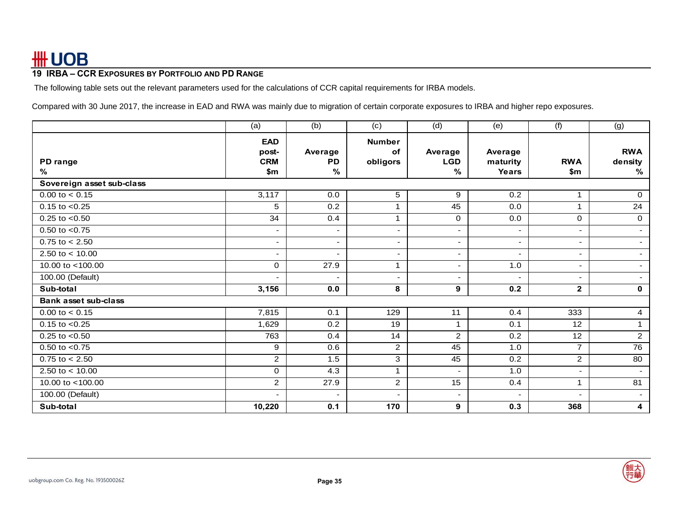### **19 IRBA – CCR EXPOSURES BY PORTFOLIO AND PD RANGE**

The following table sets out the relevant parameters used for the calculations of CCR capital requirements for IRBA models.

Compared with 30 June 2017, the increase in EAD and RWA was mainly due to migration of certain corporate exposures to IRBA and higher repo exposures.

|                             | (a)                               | (b)                  | (c)                                    | (d)                      | (e)                      | (f)                      | (g)                   |
|-----------------------------|-----------------------------------|----------------------|----------------------------------------|--------------------------|--------------------------|--------------------------|-----------------------|
| PD range                    | <b>EAD</b><br>post-<br><b>CRM</b> | Average<br><b>PD</b> | <b>Number</b><br><b>of</b><br>obligors | Average<br><b>LGD</b>    | Average<br>maturity      | <b>RWA</b>               | <b>RWA</b><br>density |
| $\%$                        | \$m                               | %                    |                                        | %                        | Years                    | \$m                      | %                     |
| Sovereign asset sub-class   |                                   |                      |                                        |                          |                          |                          |                       |
| $0.00$ to $< 0.15$          | 3,117                             | 0.0                  | 5                                      | 9                        | 0.2                      | $\mathbf{1}$             | $\mathbf{0}$          |
| $0.15$ to $< 0.25$          | 5                                 | 0.2                  | 1                                      | 45                       | 0.0                      | $\mathbf{1}$             | $\overline{24}$       |
| $0.25$ to $< 0.50$          | 34                                | 0.4                  | $\mathbf{1}$                           | $\mathbf 0$              | 0.0                      | $\mathbf 0$              | $\mathbf 0$           |
| $0.50$ to $< 0.75$          |                                   | ٠                    | $\sim$                                 | ٠                        | ٠                        | ٠                        | $\sim$                |
| $0.75$ to $< 2.50$          |                                   | ٠                    | ٠                                      | $\overline{\phantom{0}}$ | ٠                        | $\overline{\phantom{0}}$ |                       |
| 2.50 to $< 10.00$           |                                   | ٠                    | $\overline{\phantom{a}}$               | $\overline{\phantom{0}}$ | $\overline{\phantom{0}}$ | $\overline{\phantom{0}}$ |                       |
| 10.00 to <100.00            | $\Omega$                          | 27.9                 | 1                                      | $\overline{\phantom{0}}$ | 1.0                      | ٠                        |                       |
| 100.00 (Default)            |                                   | ٠                    | $\overline{\phantom{a}}$               |                          | $\overline{\phantom{a}}$ | ٠                        |                       |
| Sub-total                   | 3,156                             | 0.0                  | 8                                      | 9                        | 0.2                      | $\mathbf{2}$             | $\mathbf 0$           |
| <b>Bank asset sub-class</b> |                                   |                      |                                        |                          |                          |                          |                       |
| $0.00$ to $< 0.15$          | 7,815                             | 0.1                  | 129                                    | 11                       | 0.4                      | 333                      | $\overline{4}$        |
| $0.15$ to $< 0.25$          | 1,629                             | 0.2                  | 19                                     | $\mathbf 1$              | 0.1                      | 12                       | $\mathbf{1}$          |
| $0.25$ to $< 0.50$          | 763                               | 0.4                  | 14                                     | $\overline{2}$           | 0.2                      | 12                       | $\overline{2}$        |
| $0.50$ to $< 0.75$          | 9                                 | 0.6                  | $\overline{2}$                         | 45                       | 1.0                      | $\overline{7}$           | $\overline{76}$       |
| $0.75$ to $< 2.50$          | $\overline{2}$                    | 1.5                  | 3                                      | 45                       | 0.2                      | $\overline{2}$           | 80                    |
| 2.50 to $< 10.00$           | $\mathbf 0$                       | 4.3                  | 1                                      | $\sim$                   | 1.0                      | $\blacksquare$           | $\sim$                |
| 10.00 to <100.00            | $\overline{2}$                    | 27.9                 | $\overline{c}$                         | 15                       | 0.4                      | $\mathbf{1}$             | 81                    |
| 100.00 (Default)            |                                   | ٠                    | $\blacksquare$                         |                          | $\blacksquare$           | $\blacksquare$           | $\sim$                |
| Sub-total                   | 10,220                            | 0.1                  | 170                                    | 9                        | 0.3                      | 368                      | 4                     |

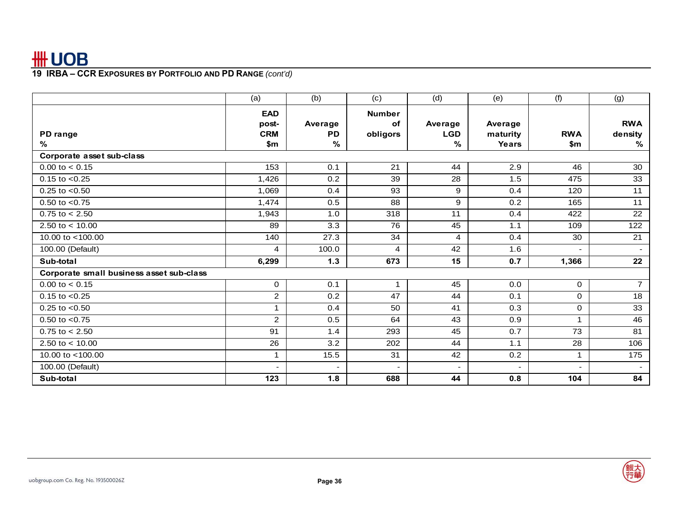|                                          | (a)                                      | (b)                          | (c)                             | (d)                        | (e)                          | (f)                      | (g)                           |
|------------------------------------------|------------------------------------------|------------------------------|---------------------------------|----------------------------|------------------------------|--------------------------|-------------------------------|
| PD range<br>$\%$                         | <b>EAD</b><br>post-<br><b>CRM</b><br>\$m | Average<br><b>PD</b><br>$\%$ | <b>Number</b><br>of<br>obligors | Average<br><b>LGD</b><br>% | Average<br>maturity<br>Years | <b>RWA</b><br>\$m        | <b>RWA</b><br>density<br>$\%$ |
| Corporate asset sub-class                |                                          |                              |                                 |                            |                              |                          |                               |
| $0.00$ to $< 0.15$                       | 153                                      | 0.1                          | 21                              | 44                         | 2.9                          | 46                       | 30                            |
| $0.15$ to $< 0.25$                       | 1,426                                    | 0.2                          | 39                              | 28                         | 1.5                          | 475                      | 33                            |
| $0.25$ to $< 0.50$                       | 1,069                                    | 0.4                          | 93                              | 9                          | 0.4                          | 120                      | 11                            |
| $0.50$ to $< 0.75$                       | 1,474                                    | 0.5                          | 88                              | 9                          | 0.2                          | 165                      | 11                            |
| $0.75$ to $< 2.50$                       | 1,943                                    | 1.0                          | 318                             | 11                         | 0.4                          | 422                      | $\overline{22}$               |
| 2.50 to $< 10.00$                        | 89                                       | 3.3                          | 76                              | 45                         | 1.1                          | 109                      | 122                           |
| 10.00 to <100.00                         | 140                                      | 27.3                         | 34                              | $\overline{4}$             | 0.4                          | 30                       | 21                            |
| 100.00 (Default)                         | 4                                        | 100.0                        | 4                               | 42                         | 1.6                          | $\overline{\phantom{a}}$ | $\sim$                        |
| Sub-total                                | 6,299                                    | $1.3$                        | 673                             | 15                         | 0.7                          | 1,366                    | 22                            |
| Corporate small business asset sub-class |                                          |                              |                                 |                            |                              |                          |                               |
| $0.00$ to $< 0.15$                       | $\mathbf 0$                              | 0.1                          | 1                               | 45                         | 0.0                          | $\mathbf 0$              | $\overline{7}$                |
| $0.15$ to $< 0.25$                       | $\overline{2}$                           | 0.2                          | 47                              | 44                         | 0.1                          | $\mathbf 0$              | 18                            |
| $0.25$ to $< 0.50$                       |                                          | 0.4                          | 50                              | 41                         | 0.3                          | 0                        | 33                            |
| $0.50$ to $< 0.75$                       | $\overline{2}$                           | 0.5                          | 64                              | 43                         | 0.9                          | $\mathbf{1}$             | 46                            |
| $0.75$ to $< 2.50$                       | 91                                       | 1.4                          | 293                             | 45                         | 0.7                          | 73                       | 81                            |
| 2.50 to $< 10.00$                        | 26                                       | 3.2                          | 202                             | 44                         | 1.1                          | 28                       | 106                           |
| 10.00 to <100.00                         | 1                                        | 15.5                         | 31                              | 42                         | 0.2                          | 1                        | 175                           |
| 100.00 (Default)                         |                                          | ۰                            | $\overline{\phantom{0}}$        |                            | $\overline{\phantom{0}}$     | $\overline{\phantom{a}}$ |                               |
| Sub-total                                | 123                                      | 1.8                          | 688                             | 44                         | 0.8                          | 104                      | 84                            |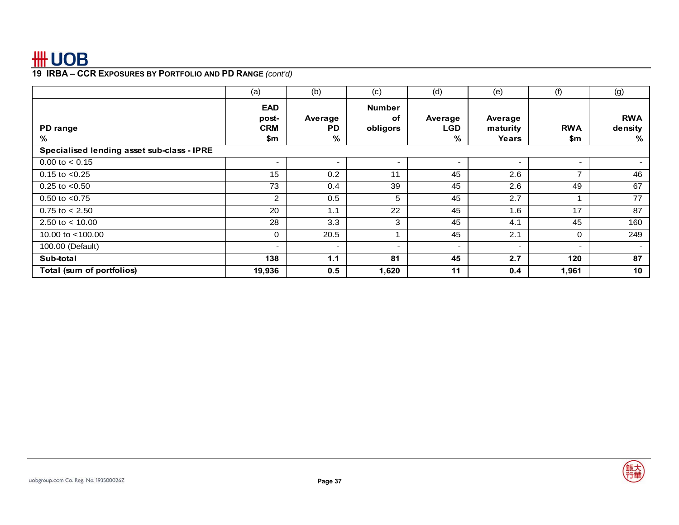|                                            | (a)                                      | (b)                      | (c)                             | (d)                        | (e)                          | (f)                      | (g)                        |
|--------------------------------------------|------------------------------------------|--------------------------|---------------------------------|----------------------------|------------------------------|--------------------------|----------------------------|
| PD range<br>℅                              | <b>EAD</b><br>post-<br><b>CRM</b><br>\$m | Average<br>PD<br>%       | <b>Number</b><br>оf<br>obligors | Average<br><b>LGD</b><br>% | Average<br>maturity<br>Years | <b>RWA</b><br>\$m        | <b>RWA</b><br>density<br>% |
| Specialised lending asset sub-class - IPRE |                                          |                          |                                 |                            |                              |                          |                            |
| $0.00$ to $< 0.15$                         | $\sim$                                   | $\overline{\phantom{a}}$ | $\overline{\phantom{a}}$        | - 1                        |                              | $\overline{\phantom{0}}$ | $\sim$                     |
| $0.15$ to $< 0.25$                         | 15                                       | 0.2                      | 11                              | 45                         | 2.6                          | $\overline{ }$           | 46                         |
| $0.25$ to $< 0.50$                         | 73                                       | 0.4                      | 39                              | 45                         | 2.6                          | 49                       | 67                         |
| $0.50$ to $< 0.75$                         | 2                                        | 0.5                      | 5                               | 45                         | 2.7                          | $\overline{\mathbf{A}}$  | 77                         |
| $0.75$ to $< 2.50$                         | 20                                       | 1.1                      | 22                              | 45                         | 1.6                          | 17                       | 87                         |
| 2.50 to $< 10.00$                          | 28                                       | 3.3                      | 3                               | 45                         | 4.1                          | 45                       | 160                        |
| 10.00 to $<$ 100.00                        | $\Omega$                                 | 20.5                     |                                 | 45                         | 2.1                          | $\mathbf 0$              | 249                        |
| 100.00 (Default)                           |                                          | $\sim$                   | $\blacksquare$                  | $\overline{\phantom{0}}$   | $\overline{\phantom{a}}$     | $\overline{\phantom{a}}$ | $\sim$                     |
| Sub-total                                  | 138                                      | 1.1                      | 81                              | 45                         | 2.7                          | 120                      | 87                         |
| Total (sum of portfolios)                  | 19,936                                   | 0.5                      | 1,620                           | 11                         | 0.4                          | 1,961                    | 10 <sup>°</sup>            |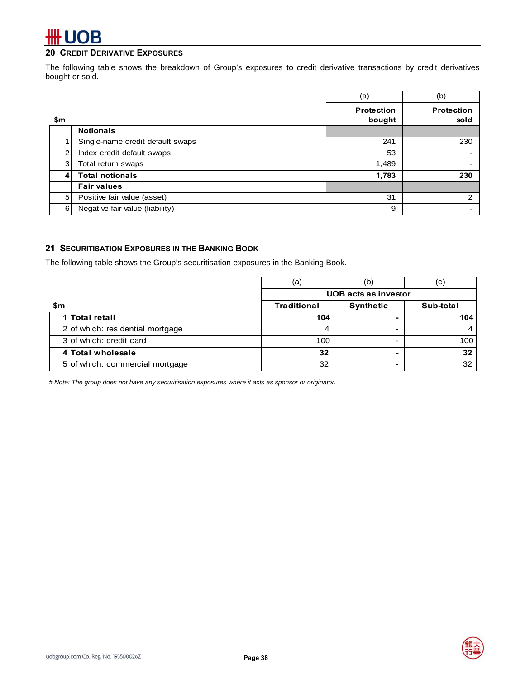## # UOB

### **20 CREDIT DERIVATIVE EXPOSURES**

The following table shows the breakdown of Group's exposures to credit derivative transactions by credit derivatives bought or sold.

|                |                                  | (a)                         | (b)                       |
|----------------|----------------------------------|-----------------------------|---------------------------|
| \$m            |                                  | <b>Protection</b><br>bought | <b>Protection</b><br>sold |
|                | <b>Notionals</b>                 |                             |                           |
|                | Single-name credit default swaps | 241                         | 230                       |
| $\overline{2}$ | Index credit default swaps       | 53                          | $\overline{\phantom{0}}$  |
| 3              | Total return swaps               | 1,489                       |                           |
| 4              | <b>Total notionals</b>           | 1,783                       | 230                       |
|                | <b>Fair values</b>               |                             |                           |
| 5              | Positive fair value (asset)      | 31                          | 2                         |
| 6              | Negative fair value (liability)  | 9                           |                           |

### **21 SECURITISATION EXPOSURES IN THE BANKING BOOK**

The following table shows the Group's securitisation exposures in the Banking Book.

|     |                                  | (a)                | (b)                         | $\left( $ |
|-----|----------------------------------|--------------------|-----------------------------|-----------|
|     |                                  |                    | <b>UOB</b> acts as investor |           |
| \$m |                                  | <b>Traditional</b> | <b>Synthetic</b>            | Sub-total |
|     | 1 Total retail                   | 104                |                             | 104       |
|     | 2 of which: residential mortgage |                    |                             |           |
|     | 3 of which: credit card          | 100                |                             | 100       |
|     | 4 Total wholesale                | 32                 |                             | 32        |
|     | 5 of which: commercial mortgage  | 32                 |                             | 32        |

*# Note: The group does not have any securitisation exposures where it acts as sponsor or originator.* 



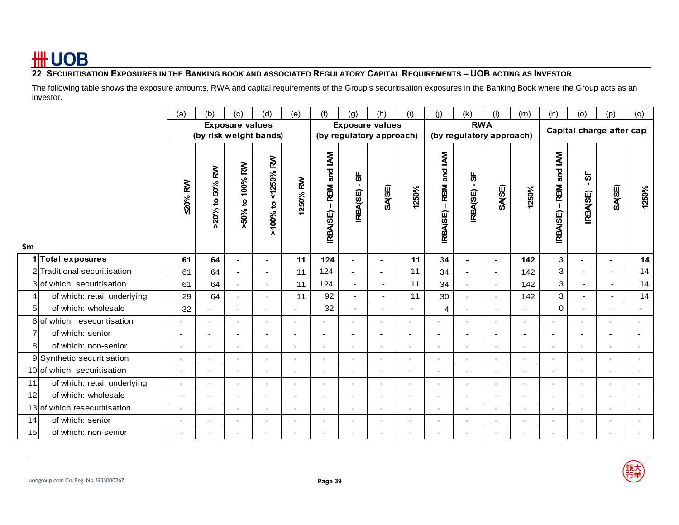### **22 SECURITISATION EXPOSURES IN THE BANKING BOOK AND ASSOCIATED REGULATORY CAPITAL REQUIREMENTS – UOB ACTING AS INVESTOR**

The following table shows the exposure amounts, RWA and capital requirements of the Group's securitisation exposures in the Banking Book where the Group acts as an investor.

|                |                              | (a)                      | (b)                      | (c)                      | (d)                                 | (e)                      | (f)                      | (g)                      | (h)                      | (i)            | (j)                       | (k)                      | (1)                      | (m)                      | (n)                      | (o)                      | (p)                      | (q)                      |
|----------------|------------------------------|--------------------------|--------------------------|--------------------------|-------------------------------------|--------------------------|--------------------------|--------------------------|--------------------------|----------------|---------------------------|--------------------------|--------------------------|--------------------------|--------------------------|--------------------------|--------------------------|--------------------------|
|                | <b>Exposure values</b>       |                          |                          |                          |                                     | <b>Exposure values</b>   |                          |                          | <b>RWA</b>               |                |                           | Capital charge after cap |                          |                          |                          |                          |                          |                          |
|                |                              |                          | (by risk weight bands)   |                          |                                     |                          |                          |                          | (by regulatory approach) |                |                           |                          | (by regulatory approach) |                          |                          |                          |                          |                          |
| \$m            |                              | <b>20% RW</b>            | 50% RW<br>$>20\%$ to     | >50% to 100% RW          | <b>RN</b><br>< 1250%<br>$>100\%$ to | 1250% RW                 | IRBA(SE) - RBM and IAM   | ზ<br>п.<br>IRBA(SE)      | SA(SE)                   | 1250%          | - RBM and IAM<br>IRBA(SE) | ჭ<br>п.<br>IRBA(SE)      | SA(SE)                   | 1250%                    | RBM and IAM<br>IRBA(SE)  | სხ<br>IRBA(SE)           | SA(SE)                   | 1250%                    |
|                | 1 Total exposures            | 61                       | 64                       | $\blacksquare$           | $\blacksquare$                      | 11                       | 124                      | $\blacksquare$           | $\blacksquare$           | 11             | 34                        | ٠                        | $\blacksquare$           | 142                      | $\mathbf 3$              | $\blacksquare$           | $\blacksquare$           | 14                       |
|                | 2 Traditional securitisation | 61                       | 64                       | $\overline{a}$           | $\blacksquare$                      | 11                       | 124                      | $\mathbf{r}$             | $\overline{\phantom{a}}$ | 11             | 34                        | ÷.                       | $\sim$                   | 142                      | 3                        | $\sim$                   | $\overline{\phantom{a}}$ | 14                       |
|                | 3 of which: securitisation   | 61                       | 64                       |                          |                                     | 11                       | 124                      | $\overline{a}$           |                          | 11             | 34                        |                          | $\sim$                   | 142                      | 3                        |                          |                          | 14                       |
| 41             | of which: retail underlying  | 29                       | 64                       | ÷,                       |                                     | 11                       | 92                       | $\blacksquare$           | $\overline{\phantom{0}}$ | 11             | 30                        |                          | $\sim$                   | 142                      | 3                        | $\blacksquare$           | $\overline{\phantom{0}}$ | 14                       |
| 5 <sub>l</sub> | of which: wholesale          | 32                       | $\sim$                   | $\blacksquare$           | ÷                                   | $\blacksquare$           | 32                       | $\blacksquare$           | ٠                        | $\blacksquare$ | $\overline{4}$            | ä,                       | $\sim$                   | $\blacksquare$           | $\mathbf 0$              | $\blacksquare$           | $\blacksquare$           | $\sim$                   |
|                | 6 of which: resecuritisation | $\blacksquare$           | ÷.                       | ÷                        |                                     |                          | $\overline{a}$           | $\sim$                   | ÷.                       | ٠              |                           | ۰                        |                          | ÷                        | ٠                        |                          |                          |                          |
| $\overline{7}$ | of which: senior             | ۰                        | $\overline{\phantom{a}}$ | $\blacksquare$           | ÷                                   | $\overline{a}$           | $\overline{\phantom{a}}$ | $\overline{\phantom{a}}$ | $\blacksquare$           | $\blacksquare$ | $\overline{a}$            | $\overline{\phantom{a}}$ | $\overline{\phantom{a}}$ | $\blacksquare$           | $\overline{\phantom{0}}$ | $\overline{\phantom{a}}$ | $\blacksquare$           | $\overline{\phantom{a}}$ |
| 8 <sup>1</sup> | of which: non-senior         |                          |                          |                          |                                     |                          |                          |                          |                          | ٠              |                           |                          |                          |                          |                          |                          |                          |                          |
|                | 9 Synthetic securitisation   | $\overline{\phantom{a}}$ | $\overline{a}$           | $\overline{\phantom{a}}$ | $\overline{\phantom{a}}$            | $\overline{\phantom{a}}$ | $\overline{a}$           | $\overline{a}$           | $\overline{\phantom{a}}$ | ٠              | $\overline{\phantom{a}}$  | $\overline{\phantom{a}}$ | $\sim$                   | $\overline{a}$           | ÷                        | $\overline{\phantom{a}}$ | $\blacksquare$           | $\overline{\phantom{a}}$ |
|                | 10 of which: securitisation  | $\overline{a}$           | $\sim$                   | ä,                       | ÷.                                  | $\mathbf{r}$             | ÷,                       | $\sim$                   | $\blacksquare$           | ÷.             | $\sim$                    | L,                       | $\sim$                   | ä,                       | ÷.                       | $\sim$                   | ä,                       | $\sim$                   |
| 11             | of which: retail underlying  | $\blacksquare$           | $\sim$                   | $\overline{\phantom{a}}$ | $\blacksquare$                      | $\blacksquare$           | $\overline{\phantom{a}}$ | $\overline{\phantom{a}}$ | $\overline{\phantom{a}}$ | $\sim$         | $\sim$                    | $\overline{\phantom{a}}$ | $\sim$                   | $\overline{\phantom{a}}$ | $\blacksquare$           | $\blacksquare$           | $\overline{\phantom{a}}$ | $\overline{\phantom{a}}$ |
| 12             | of which: wholesale          | ٠                        | $\overline{\phantom{a}}$ | ٠                        | $\overline{\phantom{a}}$            |                          | $\overline{a}$           | $\overline{\phantom{a}}$ | ٠                        | $\blacksquare$ |                           | ٠                        | $\sim$                   | ۰                        | ÷                        |                          |                          | $\overline{\phantom{a}}$ |
|                | 13 of which resecuritisation | $\overline{\phantom{a}}$ | ÷.                       | ÷                        | $\overline{\phantom{a}}$            | $\overline{a}$           | $\overline{\phantom{0}}$ | $\overline{a}$           | ÷,                       | $\overline{a}$ |                           | $\overline{\phantom{a}}$ | $\overline{a}$           | ÷                        | ٠                        | $\overline{\phantom{a}}$ |                          |                          |
| 14             | of which: senior             | $\overline{\phantom{a}}$ | $\overline{a}$           | $\overline{\phantom{a}}$ | $\overline{\phantom{a}}$            | $\overline{\phantom{a}}$ | $\overline{a}$           | $\overline{a}$           | $\blacksquare$           | $\overline{a}$ | $\overline{a}$            | ٠                        | $\sim$                   | $\overline{\phantom{a}}$ | $\overline{\phantom{a}}$ | $\overline{\phantom{a}}$ |                          |                          |
| 15             | of which: non-senior         |                          |                          |                          |                                     |                          |                          |                          |                          |                |                           |                          |                          |                          |                          |                          |                          |                          |

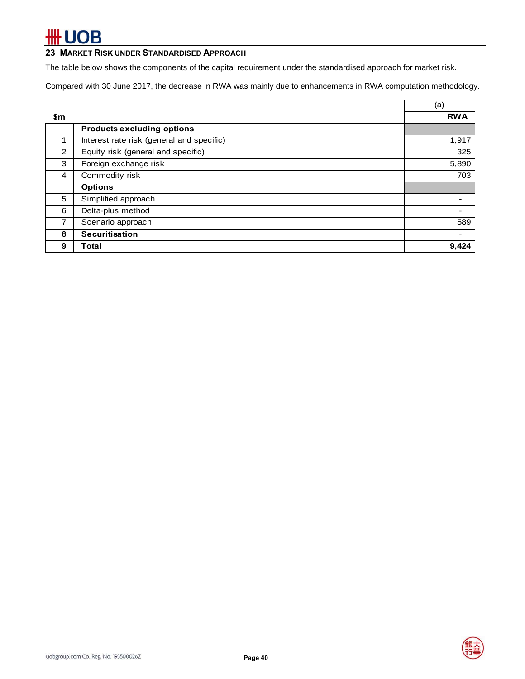### **23 MARKET RISK UNDER STANDARDISED APPROACH**

The table below shows the components of the capital requirement under the standardised approach for market risk.

Compared with 30 June 2017, the decrease in RWA was mainly due to enhancements in RWA computation methodology.

|     |                                           | (a)        |
|-----|-------------------------------------------|------------|
| \$m |                                           | <b>RWA</b> |
|     | <b>Products excluding options</b>         |            |
|     | Interest rate risk (general and specific) | 1,917      |
| 2   | Equity risk (general and specific)        | 325        |
| 3   | Foreign exchange risk                     | 5,890      |
| 4   | Commodity risk                            | 703        |
|     | <b>Options</b>                            |            |
| 5   | Simplified approach                       |            |
| 6   | Delta-plus method                         |            |
|     | Scenario approach                         | 589        |
| 8   | <b>Securitisation</b>                     |            |
| 9   | Total                                     | 9,424      |

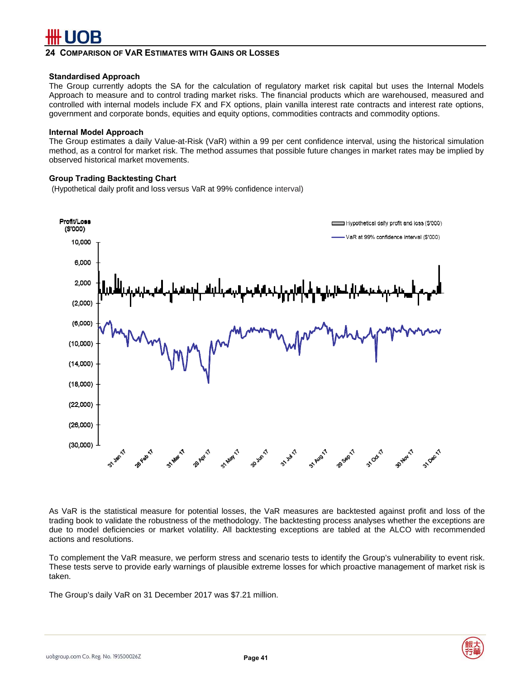### **24 COMPARISON OF VAR ESTIMATES WITH GAINS OR LOSSES**

### **Standardised Approach**

The Group currently adopts the SA for the calculation of regulatory market risk capital but uses the Internal Models Approach to measure and to control trading market risks. The financial products which are warehoused, measured and controlled with internal models include FX and FX options, plain vanilla interest rate contracts and interest rate options, government and corporate bonds, equities and equity options, commodities contracts and commodity options.

#### **Internal Model Approach**

The Group estimates a daily Value-at-Risk (VaR) within a 99 per cent confidence interval, using the historical simulation method, as a control for market risk. The method assumes that possible future changes in market rates may be implied by observed historical market movements.

### **Group Trading Backtesting Chart**

(Hypothetical daily profit and loss versus VaR at 99% confidence interval)



As VaR is the statistical measure for potential losses, the VaR measures are backtested against profit and loss of the trading book to validate the robustness of the methodology. The backtesting process analyses whether the exceptions are due to model deficiencies or market volatility. All backtesting exceptions are tabled at the ALCO with recommended actions and resolutions.

To complement the VaR measure, we perform stress and scenario tests to identify the Group's vulnerability to event risk. These tests serve to provide early warnings of plausible extreme losses for which proactive management of market risk is taken.

The Group's daily VaR on 31 December 2017 was \$7.21 million.

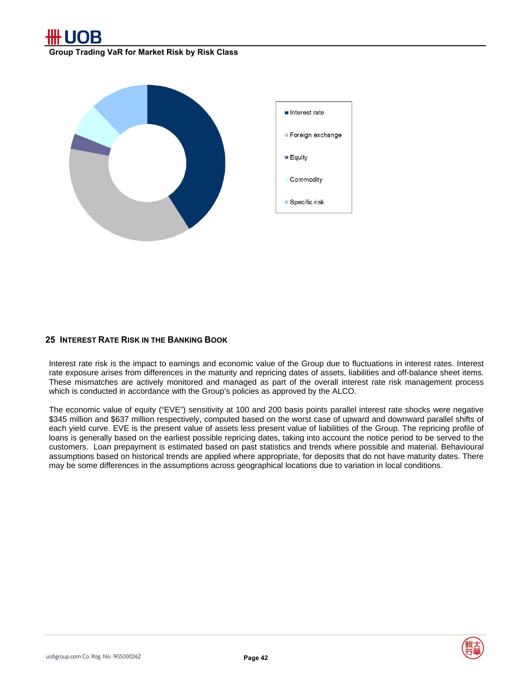

**Group Trading VaR for Market Risk by Risk Class** 



### **25 INTEREST RATE RISK IN THE BANKING BOOK**

Interest rate risk is the impact to earnings and economic value of the Group due to fluctuations in interest rates. Interest rate exposure arises from differences in the maturity and repricing dates of assets, liabilities and off-balance sheet items. These mismatches are actively monitored and managed as part of the overall interest rate risk management process which is conducted in accordance with the Group's policies as approved by the ALCO.

The economic value of equity ("EVE") sensitivity at 100 and 200 basis points parallel interest rate shocks were negative \$345 million and \$637 million respectively, computed based on the worst case of upward and downward parallel shifts of each yield curve. EVE is the present value of assets less present value of liabilities of the Group. The repricing profile of loans is generally based on the earliest possible repricing dates, taking into account the notice period to be served to the customers. Loan prepayment is estimated based on past statistics and trends where possible and material. Behavioural assumptions based on historical trends are applied where appropriate, for deposits that do not have maturity dates. There may be some differences in the assumptions across geographical locations due to variation in local conditions.

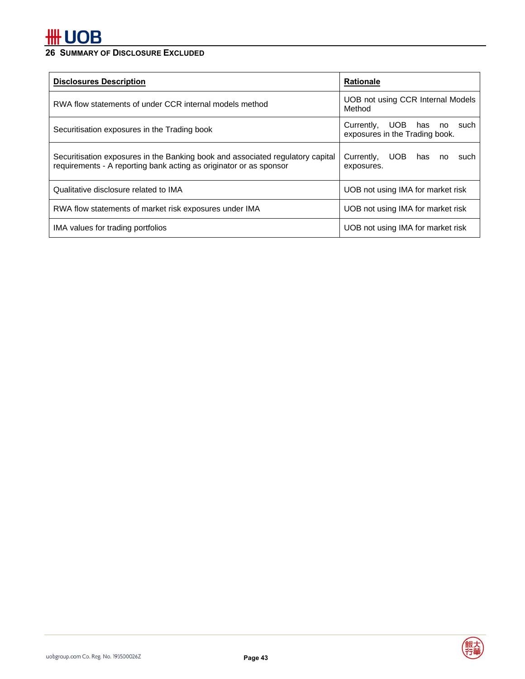## **26 SUMMARY OF DISCLOSURE EXCLUDED**

| <b>Disclosures Description</b>                                                                                                                       | <b>Rationale</b>                                                |
|------------------------------------------------------------------------------------------------------------------------------------------------------|-----------------------------------------------------------------|
| RWA flow statements of under CCR internal models method                                                                                              | UOB not using CCR Internal Models<br>Method                     |
| Securitisation exposures in the Trading book                                                                                                         | Currently, UOB has<br>no such<br>exposures in the Trading book. |
| Securitisation exposures in the Banking book and associated regulatory capital<br>requirements - A reporting bank acting as originator or as sponsor | Currently,<br>UOB L<br>has<br>such<br>no<br>exposures.          |
| Qualitative disclosure related to IMA                                                                                                                | UOB not using IMA for market risk                               |
| RWA flow statements of market risk exposures under IMA                                                                                               | UOB not using IMA for market risk                               |
| IMA values for trading portfolios                                                                                                                    | UOB not using IMA for market risk                               |



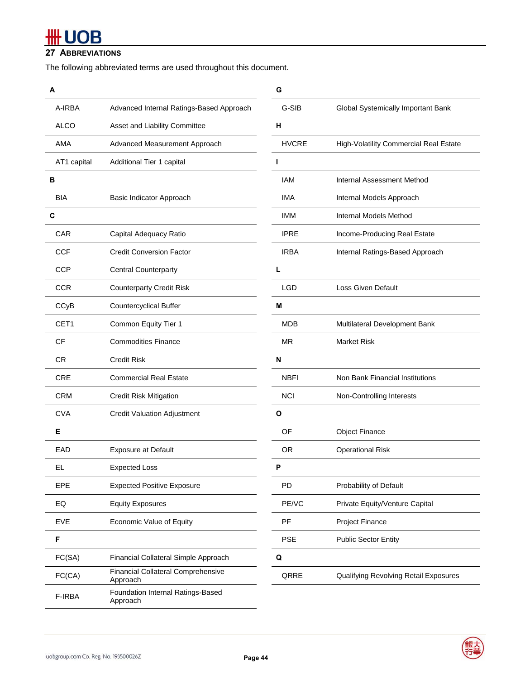### **27 ABBREVIATIONS**

The following abbreviated terms are used throughout this document.

| A           |                                                       | G            |                                        |
|-------------|-------------------------------------------------------|--------------|----------------------------------------|
| A-IRBA      | Advanced Internal Ratings-Based Approach              | G-SIB        | Global Systemically Important Bank     |
| <b>ALCO</b> | Asset and Liability Committee                         | н            |                                        |
| AMA         | Advanced Measurement Approach                         | <b>HVCRE</b> | High-Volatility Commercial Real Estate |
| AT1 capital | Additional Tier 1 capital                             | ı            |                                        |
| в           |                                                       | <b>IAM</b>   | Internal Assessment Method             |
| <b>BIA</b>  | Basic Indicator Approach                              | <b>IMA</b>   | Internal Models Approach               |
| С           |                                                       | <b>IMM</b>   | Internal Models Method                 |
| <b>CAR</b>  | Capital Adequacy Ratio                                | <b>IPRE</b>  | Income-Producing Real Estate           |
| <b>CCF</b>  | <b>Credit Conversion Factor</b>                       | <b>IRBA</b>  | Internal Ratings-Based Approach        |
| <b>CCP</b>  | Central Counterparty                                  | L            |                                        |
| <b>CCR</b>  | <b>Counterparty Credit Risk</b>                       | <b>LGD</b>   | <b>Loss Given Default</b>              |
| CCyB        | <b>Countercyclical Buffer</b>                         | M            |                                        |
| CET1        | Common Equity Tier 1                                  | <b>MDB</b>   | Multilateral Development Bank          |
| <b>CF</b>   | <b>Commodities Finance</b>                            | <b>MR</b>    | <b>Market Risk</b>                     |
| <b>CR</b>   | <b>Credit Risk</b>                                    | N            |                                        |
| <b>CRE</b>  | <b>Commercial Real Estate</b>                         | <b>NBFI</b>  | Non Bank Financial Institutions        |
| <b>CRM</b>  | <b>Credit Risk Mitigation</b>                         | <b>NCI</b>   | Non-Controlling Interests              |
| <b>CVA</b>  | <b>Credit Valuation Adjustment</b>                    | $\mathbf{o}$ |                                        |
| Е           |                                                       | OF           | <b>Object Finance</b>                  |
| <b>EAD</b>  | <b>Exposure at Default</b>                            | <b>OR</b>    | <b>Operational Risk</b>                |
| EL          | <b>Expected Loss</b>                                  | P            |                                        |
| EPE         | <b>Expected Positive Exposure</b>                     | PD           | Probability of Default                 |
| EQ          | <b>Equity Exposures</b>                               | PE/VC        | Private Equity/Venture Capital         |
| <b>EVE</b>  | Economic Value of Equity                              | PF           | Project Finance                        |
| F           |                                                       | <b>PSE</b>   | <b>Public Sector Entity</b>            |
| FC(SA)      | Financial Collateral Simple Approach                  | Q            |                                        |
| FC(CA)      | <b>Financial Collateral Comprehensive</b><br>Approach | QRRE         | Qualifying Revolving Retail Exposures  |
| F-IRBA      | Foundation Internal Ratings-Based<br>Approach         |              |                                        |

|                                                       | G            |                                        |
|-------------------------------------------------------|--------------|----------------------------------------|
| Advanced Internal Ratings-Based Approach              | G-SIB        | Global Systemically Important Bank     |
| Asset and Liability Committee                         | н            |                                        |
| Advanced Measurement Approach                         | <b>HVCRE</b> | High-Volatility Commercial Real Estate |
| Additional Tier 1 capital                             | L            |                                        |
|                                                       | <b>IAM</b>   | Internal Assessment Method             |
| Basic Indicator Approach                              | <b>IMA</b>   | Internal Models Approach               |
|                                                       | <b>IMM</b>   | Internal Models Method                 |
| Capital Adequacy Ratio                                | <b>IPRE</b>  | Income-Producing Real Estate           |
| <b>Credit Conversion Factor</b>                       | <b>IRBA</b>  | Internal Ratings-Based Approach        |
| <b>Central Counterparty</b>                           | L            |                                        |
| <b>Counterparty Credit Risk</b>                       | <b>LGD</b>   | <b>Loss Given Default</b>              |
| <b>Countercyclical Buffer</b>                         | М            |                                        |
| Common Equity Tier 1                                  | <b>MDB</b>   | Multilateral Development Bank          |
| <b>Commodities Finance</b>                            | <b>MR</b>    | <b>Market Risk</b>                     |
| <b>Credit Risk</b>                                    | N            |                                        |
| <b>Commercial Real Estate</b>                         | <b>NBFI</b>  | Non Bank Financial Institutions        |
| Credit Risk Mitigation                                | <b>NCI</b>   | Non-Controlling Interests              |
| <b>Credit Valuation Adjustment</b>                    | O            |                                        |
|                                                       | OF           | <b>Object Finance</b>                  |
| <b>Exposure at Default</b>                            | 0R           | <b>Operational Risk</b>                |
| Expected Loss                                         | P            |                                        |
| <b>Expected Positive Exposure</b>                     | PD           | Probability of Default                 |
| <b>Equity Exposures</b>                               | PE/VC        | Private Equity/Venture Capital         |
| Economic Value of Equity                              | PF           | <b>Project Finance</b>                 |
|                                                       | <b>PSE</b>   | <b>Public Sector Entity</b>            |
| Financial Collateral Simple Approach                  | Q            |                                        |
| <b>Financial Collateral Comprehensive</b><br>Approach | QRRE         | Qualifying Revolving Retail Exposures  |
|                                                       |              |                                        |